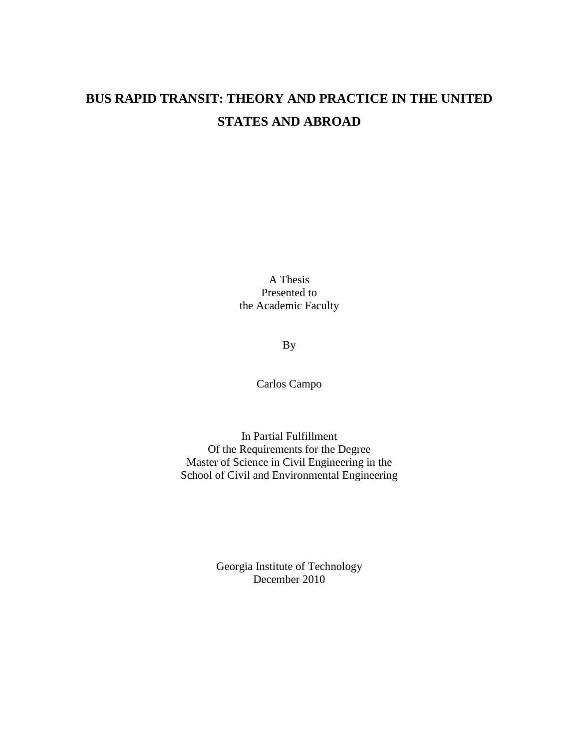# **BUS RAPID TRANSIT: THEORY AND PRACTICE IN THE UNITED STATES AND ABROAD**

A Thesis Presented to the Academic Faculty

By

Carlos Campo

In Partial Fulfillment Of the Requirements for the Degree Master of Science in Civil Engineering in the School of Civil and Environmental Engineering

> Georgia Institute of Technology December 2010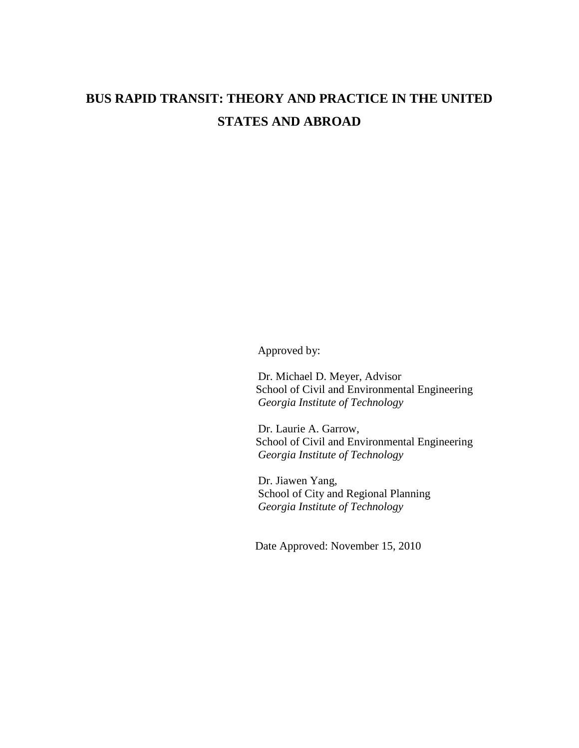# **BUS RAPID TRANSIT: THEORY AND PRACTICE IN THE UNITED STATES AND ABROAD**

Approved by:

 Dr. Michael D. Meyer, Advisor School of Civil and Environmental Engineering *Georgia Institute of Technology* 

 Dr. Laurie A. Garrow, School of Civil and Environmental Engineering *Georgia Institute of Technology* 

 Dr. Jiawen Yang, School of City and Regional Planning *Georgia Institute of Technology* 

Date Approved: November 15, 2010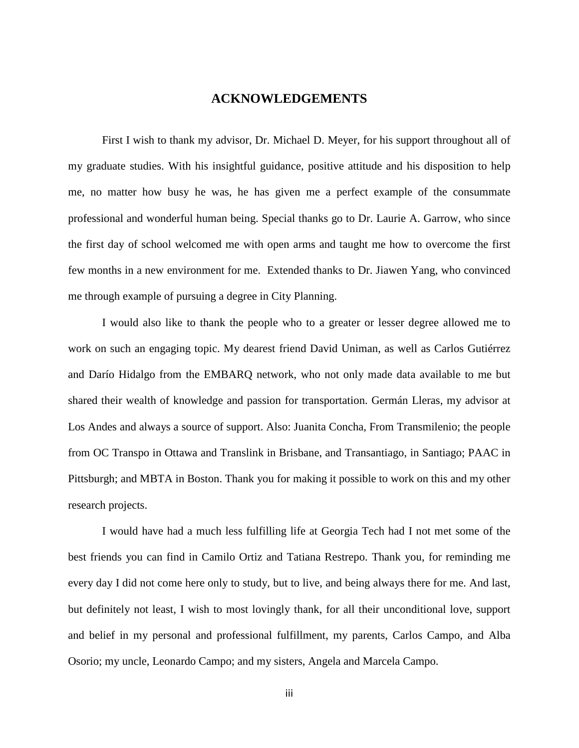### **ACKNOWLEDGEMENTS**

First I wish to thank my advisor, Dr. Michael D. Meyer, for his support throughout all of my graduate studies. With his insightful guidance, positive attitude and his disposition to help me, no matter how busy he was, he has given me a perfect example of the consummate professional and wonderful human being. Special thanks go to Dr. Laurie A. Garrow, who since the first day of school welcomed me with open arms and taught me how to overcome the first few months in a new environment for me. Extended thanks to Dr. Jiawen Yang, who convinced me through example of pursuing a degree in City Planning.

 I would also like to thank the people who to a greater or lesser degree allowed me to work on such an engaging topic. My dearest friend David Uniman, as well as Carlos Gutiérrez and Darío Hidalgo from the EMBARQ network, who not only made data available to me but shared their wealth of knowledge and passion for transportation. Germán Lleras, my advisor at Los Andes and always a source of support. Also: Juanita Concha, From Transmilenio; the people from OC Transpo in Ottawa and Translink in Brisbane, and Transantiago, in Santiago; PAAC in Pittsburgh; and MBTA in Boston. Thank you for making it possible to work on this and my other research projects.

I would have had a much less fulfilling life at Georgia Tech had I not met some of the best friends you can find in Camilo Ortiz and Tatiana Restrepo. Thank you, for reminding me every day I did not come here only to study, but to live, and being always there for me. And last, but definitely not least, I wish to most lovingly thank, for all their unconditional love, support and belief in my personal and professional fulfillment, my parents, Carlos Campo, and Alba Osorio; my uncle, Leonardo Campo; and my sisters, Angela and Marcela Campo.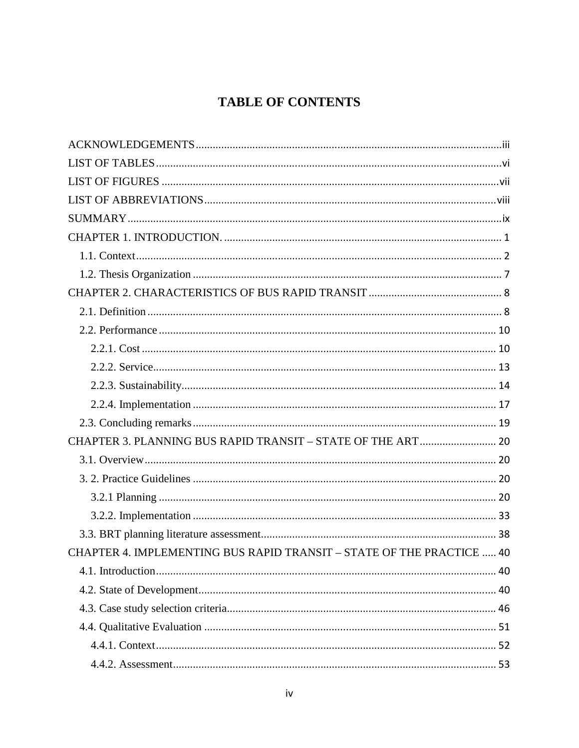# **TABLE OF CONTENTS**

| CHAPTER 3. PLANNING BUS RAPID TRANSIT - STATE OF THE ART 20           |  |
|-----------------------------------------------------------------------|--|
|                                                                       |  |
|                                                                       |  |
|                                                                       |  |
|                                                                       |  |
|                                                                       |  |
| CHAPTER 4. IMPLEMENTING BUS RAPID TRANSIT - STATE OF THE PRACTICE  40 |  |
|                                                                       |  |
|                                                                       |  |
|                                                                       |  |
|                                                                       |  |
|                                                                       |  |
|                                                                       |  |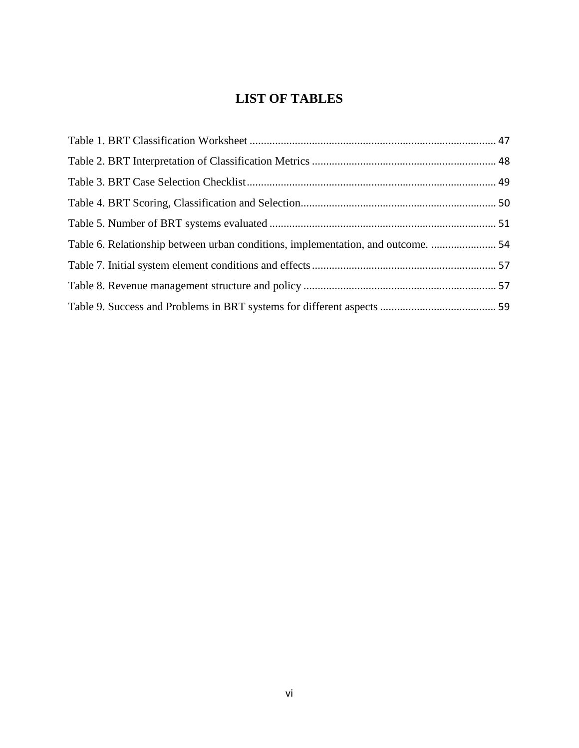# **LIST OF TABLES**

| Table 6. Relationship between urban conditions, implementation, and outcome.  54 |  |
|----------------------------------------------------------------------------------|--|
|                                                                                  |  |
|                                                                                  |  |
|                                                                                  |  |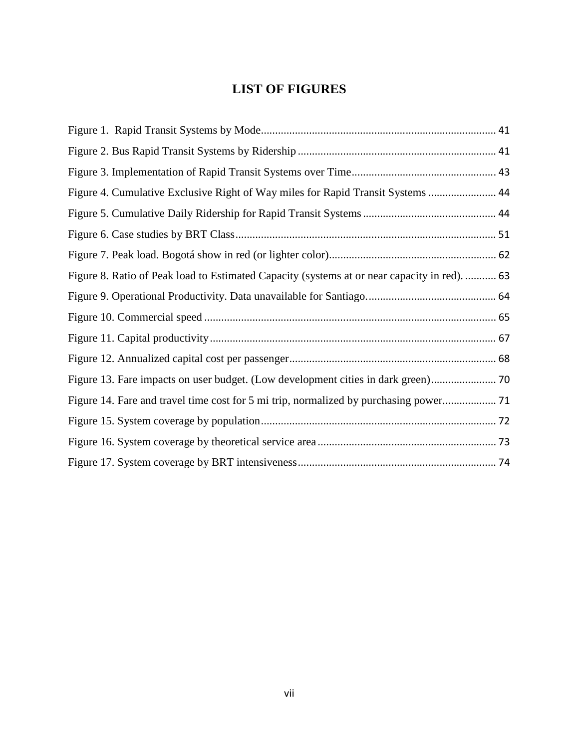# **LIST OF FIGURES**

| Figure 4. Cumulative Exclusive Right of Way miles for Rapid Transit Systems  44              |  |
|----------------------------------------------------------------------------------------------|--|
|                                                                                              |  |
|                                                                                              |  |
|                                                                                              |  |
| Figure 8. Ratio of Peak load to Estimated Capacity (systems at or near capacity in red).  63 |  |
|                                                                                              |  |
|                                                                                              |  |
|                                                                                              |  |
|                                                                                              |  |
|                                                                                              |  |
|                                                                                              |  |
|                                                                                              |  |
|                                                                                              |  |
|                                                                                              |  |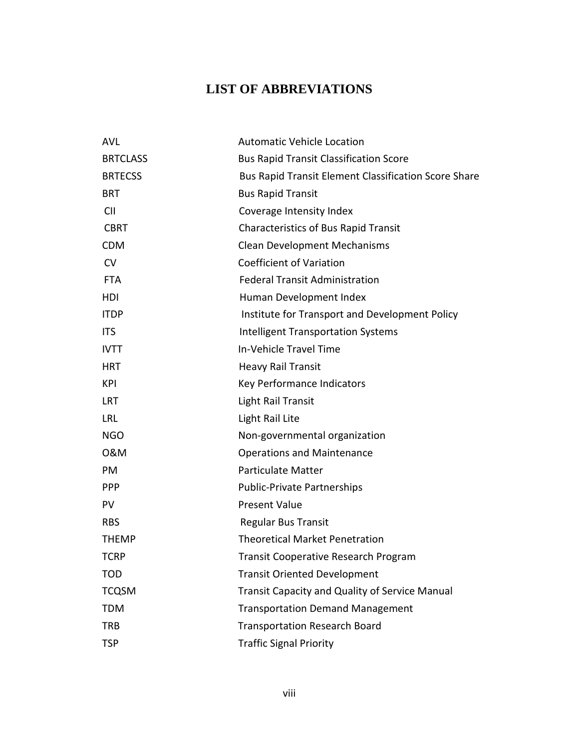# **LIST OF ABBREVIATIONS**

| <b>AVL</b>      | <b>Automatic Vehicle Location</b>                    |
|-----------------|------------------------------------------------------|
| <b>BRTCLASS</b> | <b>Bus Rapid Transit Classification Score</b>        |
| <b>BRTECSS</b>  | Bus Rapid Transit Element Classification Score Share |
| <b>BRT</b>      | <b>Bus Rapid Transit</b>                             |
| <b>CII</b>      | Coverage Intensity Index                             |
| <b>CBRT</b>     | <b>Characteristics of Bus Rapid Transit</b>          |
| <b>CDM</b>      | <b>Clean Development Mechanisms</b>                  |
| CV              | <b>Coefficient of Variation</b>                      |
| <b>FTA</b>      | <b>Federal Transit Administration</b>                |
| HDI             | Human Development Index                              |
| <b>ITDP</b>     | Institute for Transport and Development Policy       |
| <b>ITS</b>      | <b>Intelligent Transportation Systems</b>            |
| <b>IVTT</b>     | In-Vehicle Travel Time                               |
| <b>HRT</b>      | <b>Heavy Rail Transit</b>                            |
| KPI             | Key Performance Indicators                           |
| <b>LRT</b>      | Light Rail Transit                                   |
| <b>LRL</b>      | Light Rail Lite                                      |
| <b>NGO</b>      | Non-governmental organization                        |
| 0&M             | <b>Operations and Maintenance</b>                    |
| PM              | <b>Particulate Matter</b>                            |
| <b>PPP</b>      | <b>Public-Private Partnerships</b>                   |
| <b>PV</b>       | <b>Present Value</b>                                 |
| <b>RBS</b>      | <b>Regular Bus Transit</b>                           |
| <b>THEMP</b>    | <b>Theoretical Market Penetration</b>                |
| <b>TCRP</b>     | <b>Transit Cooperative Research Program</b>          |
| <b>TOD</b>      | <b>Transit Oriented Development</b>                  |
| <b>TCQSM</b>    | Transit Capacity and Quality of Service Manual       |
| <b>TDM</b>      | <b>Transportation Demand Management</b>              |
| <b>TRB</b>      | <b>Transportation Research Board</b>                 |
| <b>TSP</b>      | <b>Traffic Signal Priority</b>                       |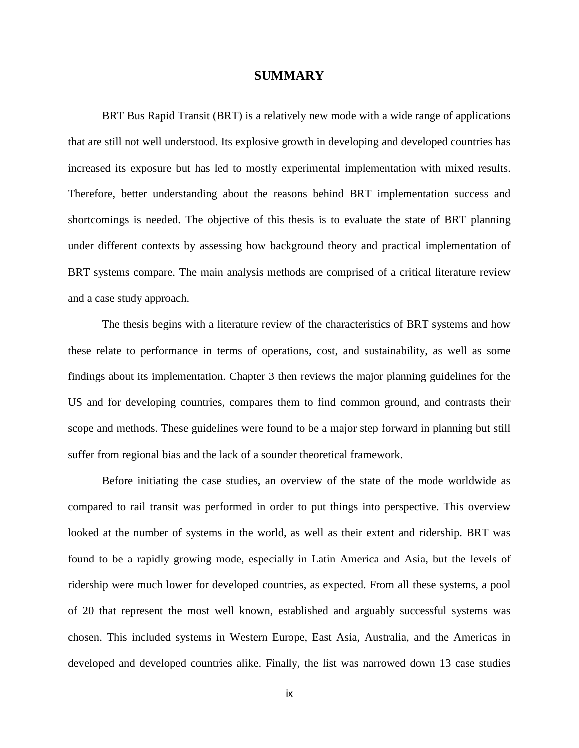#### **SUMMARY**

BRT Bus Rapid Transit (BRT) is a relatively new mode with a wide range of applications that are still not well understood. Its explosive growth in developing and developed countries has increased its exposure but has led to mostly experimental implementation with mixed results. Therefore, better understanding about the reasons behind BRT implementation success and shortcomings is needed. The objective of this thesis is to evaluate the state of BRT planning under different contexts by assessing how background theory and practical implementation of BRT systems compare. The main analysis methods are comprised of a critical literature review and a case study approach.

The thesis begins with a literature review of the characteristics of BRT systems and how these relate to performance in terms of operations, cost, and sustainability, as well as some findings about its implementation. Chapter 3 then reviews the major planning guidelines for the US and for developing countries, compares them to find common ground, and contrasts their scope and methods. These guidelines were found to be a major step forward in planning but still suffer from regional bias and the lack of a sounder theoretical framework.

Before initiating the case studies, an overview of the state of the mode worldwide as compared to rail transit was performed in order to put things into perspective. This overview looked at the number of systems in the world, as well as their extent and ridership. BRT was found to be a rapidly growing mode, especially in Latin America and Asia, but the levels of ridership were much lower for developed countries, as expected. From all these systems, a pool of 20 that represent the most well known, established and arguably successful systems was chosen. This included systems in Western Europe, East Asia, Australia, and the Americas in developed and developed countries alike. Finally, the list was narrowed down 13 case studies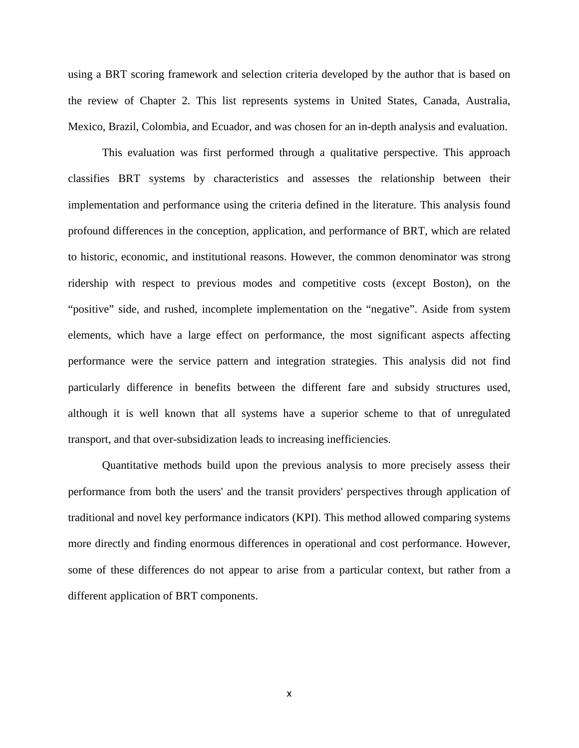using a BRT scoring framework and selection criteria developed by the author that is based on the review of Chapter 2. This list represents systems in United States, Canada, Australia, Mexico, Brazil, Colombia, and Ecuador, and was chosen for an in-depth analysis and evaluation.

 This evaluation was first performed through a qualitative perspective. This approach classifies BRT systems by characteristics and assesses the relationship between their implementation and performance using the criteria defined in the literature. This analysis found profound differences in the conception, application, and performance of BRT, which are related to historic, economic, and institutional reasons. However, the common denominator was strong ridership with respect to previous modes and competitive costs (except Boston), on the "positive" side, and rushed, incomplete implementation on the "negative". Aside from system elements, which have a large effect on performance, the most significant aspects affecting performance were the service pattern and integration strategies. This analysis did not find particularly difference in benefits between the different fare and subsidy structures used, although it is well known that all systems have a superior scheme to that of unregulated transport, and that over-subsidization leads to increasing inefficiencies.

 Quantitative methods build upon the previous analysis to more precisely assess their performance from both the users' and the transit providers' perspectives through application of traditional and novel key performance indicators (KPI). This method allowed comparing systems more directly and finding enormous differences in operational and cost performance. However, some of these differences do not appear to arise from a particular context, but rather from a different application of BRT components.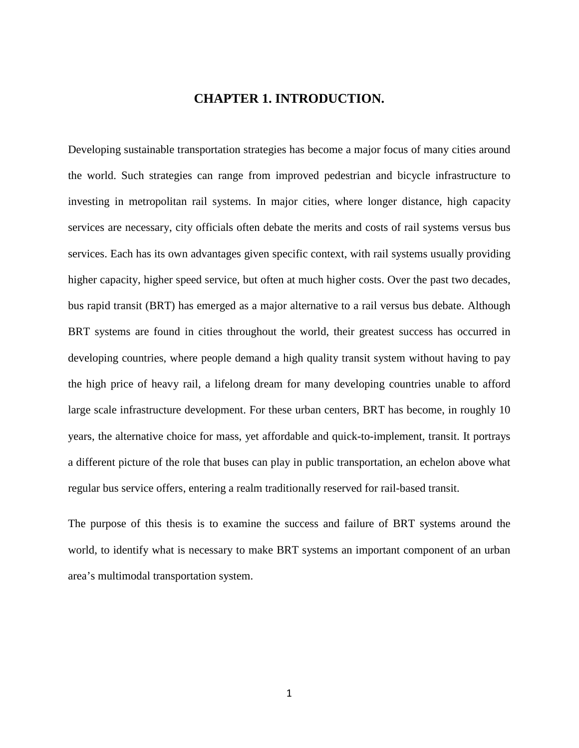## **CHAPTER 1. INTRODUCTION.**

Developing sustainable transportation strategies has become a major focus of many cities around the world. Such strategies can range from improved pedestrian and bicycle infrastructure to investing in metropolitan rail systems. In major cities, where longer distance, high capacity services are necessary, city officials often debate the merits and costs of rail systems versus bus services. Each has its own advantages given specific context, with rail systems usually providing higher capacity, higher speed service, but often at much higher costs. Over the past two decades, bus rapid transit (BRT) has emerged as a major alternative to a rail versus bus debate. Although BRT systems are found in cities throughout the world, their greatest success has occurred in developing countries, where people demand a high quality transit system without having to pay the high price of heavy rail, a lifelong dream for many developing countries unable to afford large scale infrastructure development. For these urban centers, BRT has become, in roughly 10 years, the alternative choice for mass, yet affordable and quick-to-implement, transit. It portrays a different picture of the role that buses can play in public transportation, an echelon above what regular bus service offers, entering a realm traditionally reserved for rail-based transit.

The purpose of this thesis is to examine the success and failure of BRT systems around the world, to identify what is necessary to make BRT systems an important component of an urban area's multimodal transportation system.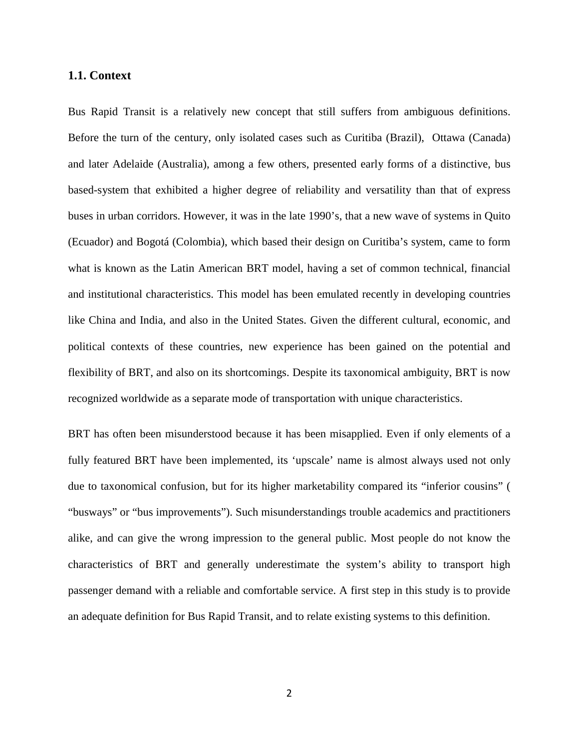#### **1.1. Context**

Bus Rapid Transit is a relatively new concept that still suffers from ambiguous definitions. Before the turn of the century, only isolated cases such as Curitiba (Brazil), Ottawa (Canada) and later Adelaide (Australia), among a few others, presented early forms of a distinctive, bus based-system that exhibited a higher degree of reliability and versatility than that of express buses in urban corridors. However, it was in the late 1990's, that a new wave of systems in Quito (Ecuador) and Bogotá (Colombia), which based their design on Curitiba's system, came to form what is known as the Latin American BRT model, having a set of common technical, financial and institutional characteristics. This model has been emulated recently in developing countries like China and India, and also in the United States. Given the different cultural, economic, and political contexts of these countries, new experience has been gained on the potential and flexibility of BRT, and also on its shortcomings. Despite its taxonomical ambiguity, BRT is now recognized worldwide as a separate mode of transportation with unique characteristics.

BRT has often been misunderstood because it has been misapplied. Even if only elements of a fully featured BRT have been implemented, its 'upscale' name is almost always used not only due to taxonomical confusion, but for its higher marketability compared its "inferior cousins" ( "busways" or "bus improvements"). Such misunderstandings trouble academics and practitioners alike, and can give the wrong impression to the general public. Most people do not know the characteristics of BRT and generally underestimate the system's ability to transport high passenger demand with a reliable and comfortable service. A first step in this study is to provide an adequate definition for Bus Rapid Transit, and to relate existing systems to this definition.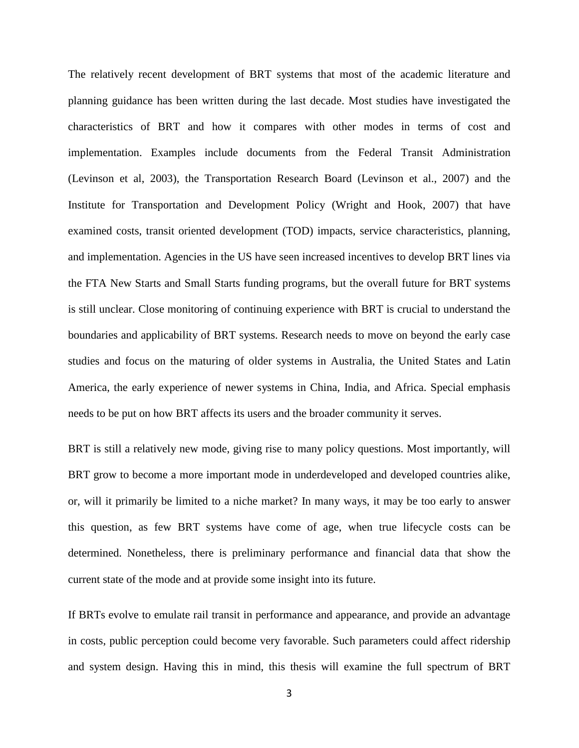The relatively recent development of BRT systems that most of the academic literature and planning guidance has been written during the last decade. Most studies have investigated the characteristics of BRT and how it compares with other modes in terms of cost and implementation. Examples include documents from the Federal Transit Administration (Levinson et al, 2003), the Transportation Research Board (Levinson et al., 2007) and the Institute for Transportation and Development Policy (Wright and Hook, 2007) that have examined costs, transit oriented development (TOD) impacts, service characteristics, planning, and implementation. Agencies in the US have seen increased incentives to develop BRT lines via the FTA New Starts and Small Starts funding programs, but the overall future for BRT systems is still unclear. Close monitoring of continuing experience with BRT is crucial to understand the boundaries and applicability of BRT systems. Research needs to move on beyond the early case studies and focus on the maturing of older systems in Australia, the United States and Latin America, the early experience of newer systems in China, India, and Africa. Special emphasis needs to be put on how BRT affects its users and the broader community it serves.

BRT is still a relatively new mode, giving rise to many policy questions. Most importantly, will BRT grow to become a more important mode in underdeveloped and developed countries alike, or, will it primarily be limited to a niche market? In many ways, it may be too early to answer this question, as few BRT systems have come of age, when true lifecycle costs can be determined. Nonetheless, there is preliminary performance and financial data that show the current state of the mode and at provide some insight into its future.

If BRTs evolve to emulate rail transit in performance and appearance, and provide an advantage in costs, public perception could become very favorable. Such parameters could affect ridership and system design. Having this in mind, this thesis will examine the full spectrum of BRT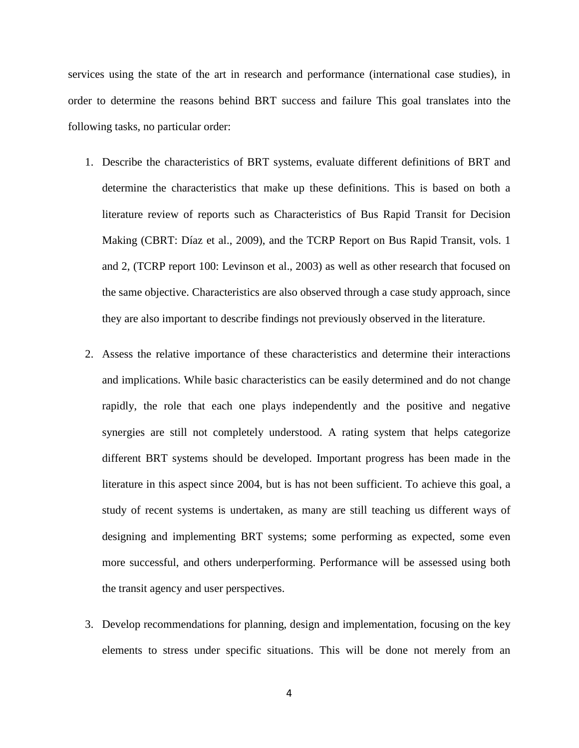services using the state of the art in research and performance (international case studies), in order to determine the reasons behind BRT success and failure This goal translates into the following tasks, no particular order:

- 1. Describe the characteristics of BRT systems, evaluate different definitions of BRT and determine the characteristics that make up these definitions. This is based on both a literature review of reports such as Characteristics of Bus Rapid Transit for Decision Making (CBRT: Díaz et al., 2009), and the TCRP Report on Bus Rapid Transit, vols. 1 and 2, (TCRP report 100: Levinson et al., 2003) as well as other research that focused on the same objective. Characteristics are also observed through a case study approach, since they are also important to describe findings not previously observed in the literature.
- 2. Assess the relative importance of these characteristics and determine their interactions and implications. While basic characteristics can be easily determined and do not change rapidly, the role that each one plays independently and the positive and negative synergies are still not completely understood. A rating system that helps categorize different BRT systems should be developed. Important progress has been made in the literature in this aspect since 2004, but is has not been sufficient. To achieve this goal, a study of recent systems is undertaken, as many are still teaching us different ways of designing and implementing BRT systems; some performing as expected, some even more successful, and others underperforming. Performance will be assessed using both the transit agency and user perspectives.
- 3. Develop recommendations for planning, design and implementation, focusing on the key elements to stress under specific situations. This will be done not merely from an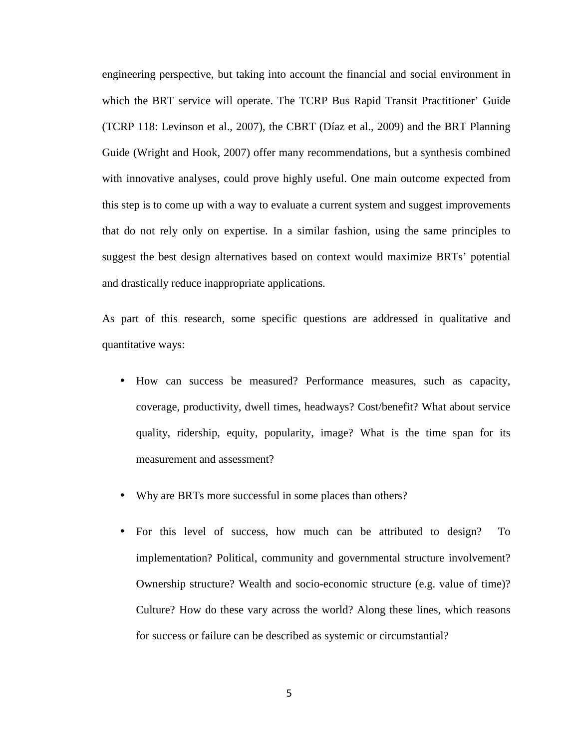engineering perspective, but taking into account the financial and social environment in which the BRT service will operate. The TCRP Bus Rapid Transit Practitioner' Guide (TCRP 118: Levinson et al., 2007), the CBRT (Díaz et al., 2009) and the BRT Planning Guide (Wright and Hook, 2007) offer many recommendations, but a synthesis combined with innovative analyses, could prove highly useful. One main outcome expected from this step is to come up with a way to evaluate a current system and suggest improvements that do not rely only on expertise. In a similar fashion, using the same principles to suggest the best design alternatives based on context would maximize BRTs' potential and drastically reduce inappropriate applications.

As part of this research, some specific questions are addressed in qualitative and quantitative ways:

- How can success be measured? Performance measures, such as capacity, coverage, productivity, dwell times, headways? Cost/benefit? What about service quality, ridership, equity, popularity, image? What is the time span for its measurement and assessment?
- Why are BRTs more successful in some places than others?
- For this level of success, how much can be attributed to design? To implementation? Political, community and governmental structure involvement? Ownership structure? Wealth and socio-economic structure (e.g. value of time)? Culture? How do these vary across the world? Along these lines, which reasons for success or failure can be described as systemic or circumstantial?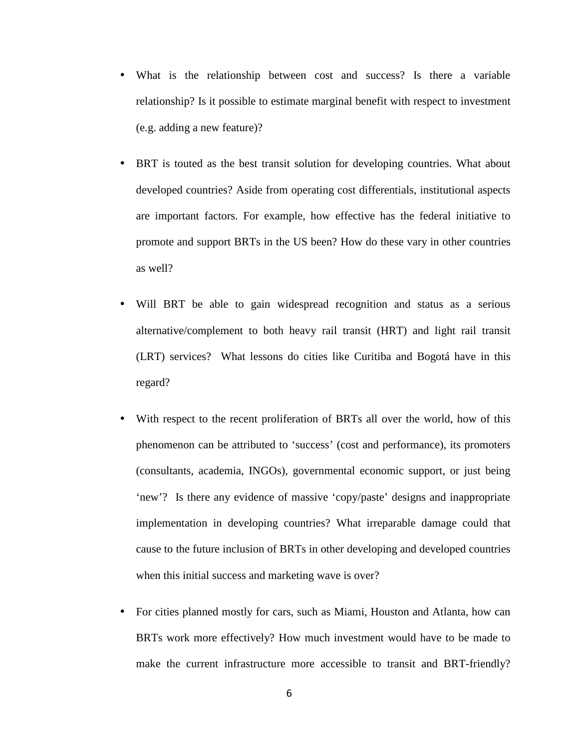- What is the relationship between cost and success? Is there a variable relationship? Is it possible to estimate marginal benefit with respect to investment (e.g. adding a new feature)?
- BRT is touted as the best transit solution for developing countries. What about developed countries? Aside from operating cost differentials, institutional aspects are important factors. For example, how effective has the federal initiative to promote and support BRTs in the US been? How do these vary in other countries as well?
- Will BRT be able to gain widespread recognition and status as a serious alternative/complement to both heavy rail transit (HRT) and light rail transit (LRT) services? What lessons do cities like Curitiba and Bogotá have in this regard?
- With respect to the recent proliferation of BRTs all over the world, how of this phenomenon can be attributed to 'success' (cost and performance), its promoters (consultants, academia, INGOs), governmental economic support, or just being 'new'? Is there any evidence of massive 'copy/paste' designs and inappropriate implementation in developing countries? What irreparable damage could that cause to the future inclusion of BRTs in other developing and developed countries when this initial success and marketing wave is over?
- For cities planned mostly for cars, such as Miami, Houston and Atlanta, how can BRTs work more effectively? How much investment would have to be made to make the current infrastructure more accessible to transit and BRT-friendly?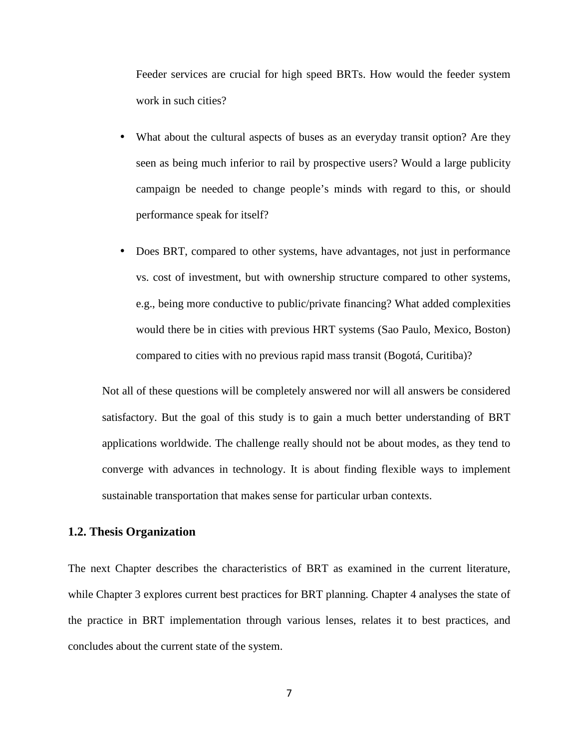Feeder services are crucial for high speed BRTs. How would the feeder system work in such cities?

- What about the cultural aspects of buses as an everyday transit option? Are they seen as being much inferior to rail by prospective users? Would a large publicity campaign be needed to change people's minds with regard to this, or should performance speak for itself?
- Does BRT, compared to other systems, have advantages, not just in performance vs. cost of investment, but with ownership structure compared to other systems, e.g., being more conductive to public/private financing? What added complexities would there be in cities with previous HRT systems (Sao Paulo, Mexico, Boston) compared to cities with no previous rapid mass transit (Bogotá, Curitiba)?

Not all of these questions will be completely answered nor will all answers be considered satisfactory. But the goal of this study is to gain a much better understanding of BRT applications worldwide. The challenge really should not be about modes, as they tend to converge with advances in technology. It is about finding flexible ways to implement sustainable transportation that makes sense for particular urban contexts.

# **1.2. Thesis Organization**

The next Chapter describes the characteristics of BRT as examined in the current literature, while Chapter 3 explores current best practices for BRT planning. Chapter 4 analyses the state of the practice in BRT implementation through various lenses, relates it to best practices, and concludes about the current state of the system.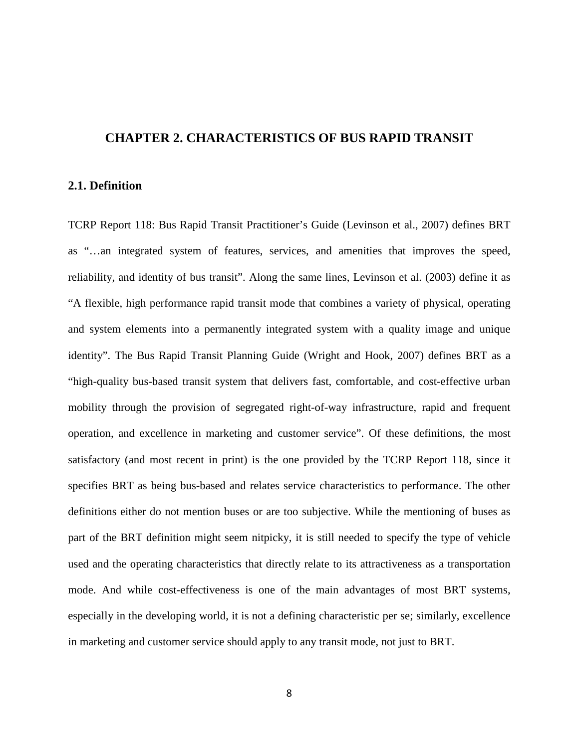#### **CHAPTER 2. CHARACTERISTICS OF BUS RAPID TRANSIT**

## **2.1. Definition**

TCRP Report 118: Bus Rapid Transit Practitioner's Guide (Levinson et al., 2007) defines BRT as "…an integrated system of features, services, and amenities that improves the speed, reliability, and identity of bus transit". Along the same lines, Levinson et al. (2003) define it as "A flexible, high performance rapid transit mode that combines a variety of physical, operating and system elements into a permanently integrated system with a quality image and unique identity". The Bus Rapid Transit Planning Guide (Wright and Hook, 2007) defines BRT as a "high-quality bus-based transit system that delivers fast, comfortable, and cost-effective urban mobility through the provision of segregated right-of-way infrastructure, rapid and frequent operation, and excellence in marketing and customer service". Of these definitions, the most satisfactory (and most recent in print) is the one provided by the TCRP Report 118, since it specifies BRT as being bus-based and relates service characteristics to performance. The other definitions either do not mention buses or are too subjective. While the mentioning of buses as part of the BRT definition might seem nitpicky, it is still needed to specify the type of vehicle used and the operating characteristics that directly relate to its attractiveness as a transportation mode. And while cost-effectiveness is one of the main advantages of most BRT systems, especially in the developing world, it is not a defining characteristic per se; similarly, excellence in marketing and customer service should apply to any transit mode, not just to BRT.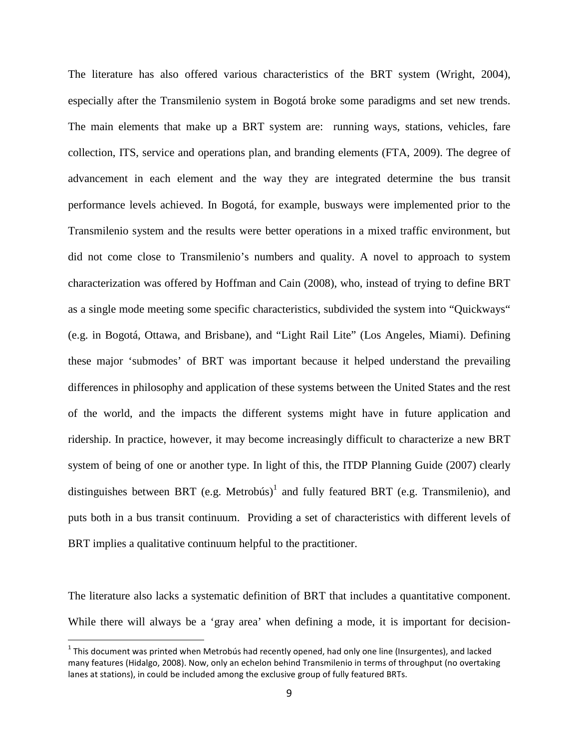The literature has also offered various characteristics of the BRT system (Wright, 2004), especially after the Transmilenio system in Bogotá broke some paradigms and set new trends. The main elements that make up a BRT system are: running ways, stations, vehicles, fare collection, ITS, service and operations plan, and branding elements (FTA, 2009). The degree of advancement in each element and the way they are integrated determine the bus transit performance levels achieved. In Bogotá, for example, busways were implemented prior to the Transmilenio system and the results were better operations in a mixed traffic environment, but did not come close to Transmilenio's numbers and quality. A novel to approach to system characterization was offered by Hoffman and Cain (2008), who, instead of trying to define BRT as a single mode meeting some specific characteristics, subdivided the system into "Quickways" (e.g. in Bogotá, Ottawa, and Brisbane), and "Light Rail Lite" (Los Angeles, Miami). Defining these major 'submodes' of BRT was important because it helped understand the prevailing differences in philosophy and application of these systems between the United States and the rest of the world, and the impacts the different systems might have in future application and ridership. In practice, however, it may become increasingly difficult to characterize a new BRT system of being of one or another type. In light of this, the ITDP Planning Guide (2007) clearly distinguishes between BRT (e.g. Metrobús)<sup>1</sup> and fully featured BRT (e.g. Transmilenio), and puts both in a bus transit continuum. Providing a set of characteristics with different levels of BRT implies a qualitative continuum helpful to the practitioner.

The literature also lacks a systematic definition of BRT that includes a quantitative component. While there will always be a 'gray area' when defining a mode, it is important for decision-

1

 $1$  This document was printed when Metrobús had recently opened, had only one line (Insurgentes), and lacked many features (Hidalgo, 2008). Now, only an echelon behind Transmilenio in terms of throughput (no overtaking lanes at stations), in could be included among the exclusive group of fully featured BRTs.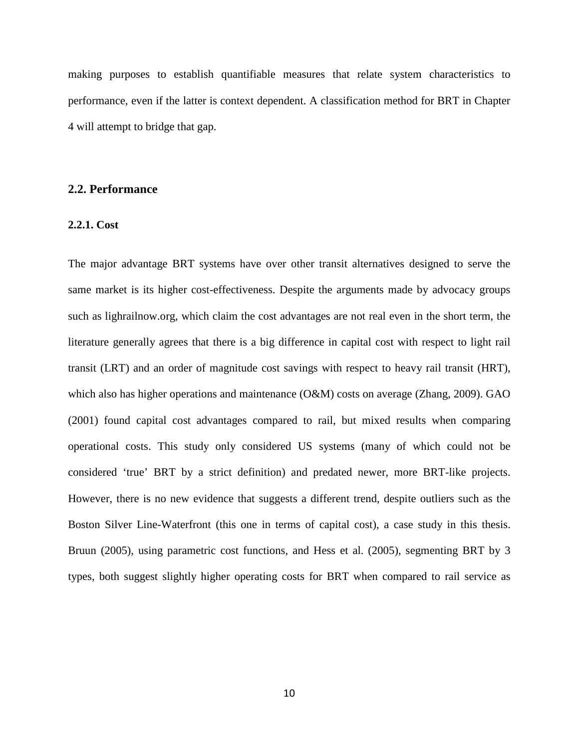making purposes to establish quantifiable measures that relate system characteristics to performance, even if the latter is context dependent. A classification method for BRT in Chapter 4 will attempt to bridge that gap.

## **2.2. Performance**

#### **2.2.1. Cost**

The major advantage BRT systems have over other transit alternatives designed to serve the same market is its higher cost-effectiveness. Despite the arguments made by advocacy groups such as lighrailnow.org, which claim the cost advantages are not real even in the short term, the literature generally agrees that there is a big difference in capital cost with respect to light rail transit (LRT) and an order of magnitude cost savings with respect to heavy rail transit (HRT), which also has higher operations and maintenance (O&M) costs on average (Zhang, 2009). GAO (2001) found capital cost advantages compared to rail, but mixed results when comparing operational costs. This study only considered US systems (many of which could not be considered 'true' BRT by a strict definition) and predated newer, more BRT-like projects. However, there is no new evidence that suggests a different trend, despite outliers such as the Boston Silver Line-Waterfront (this one in terms of capital cost), a case study in this thesis. Bruun (2005), using parametric cost functions, and Hess et al. (2005), segmenting BRT by 3 types, both suggest slightly higher operating costs for BRT when compared to rail service as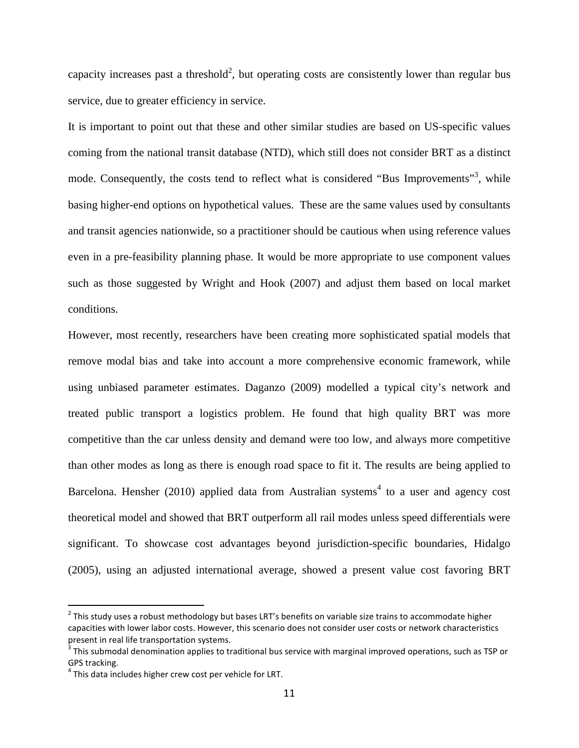capacity increases past a threshold<sup>2</sup>, but operating costs are consistently lower than regular bus service, due to greater efficiency in service.

It is important to point out that these and other similar studies are based on US-specific values coming from the national transit database (NTD), which still does not consider BRT as a distinct mode. Consequently, the costs tend to reflect what is considered "Bus Improvements"<sup>3</sup>, while basing higher-end options on hypothetical values. These are the same values used by consultants and transit agencies nationwide, so a practitioner should be cautious when using reference values even in a pre-feasibility planning phase. It would be more appropriate to use component values such as those suggested by Wright and Hook (2007) and adjust them based on local market conditions.

However, most recently, researchers have been creating more sophisticated spatial models that remove modal bias and take into account a more comprehensive economic framework, while using unbiased parameter estimates. Daganzo (2009) modelled a typical city's network and treated public transport a logistics problem. He found that high quality BRT was more competitive than the car unless density and demand were too low, and always more competitive than other modes as long as there is enough road space to fit it. The results are being applied to Barcelona. Hensher  $(2010)$  applied data from Australian systems<sup>4</sup> to a user and agency cost theoretical model and showed that BRT outperform all rail modes unless speed differentials were significant. To showcase cost advantages beyond jurisdiction-specific boundaries, Hidalgo (2005), using an adjusted international average, showed a present value cost favoring BRT

.

<sup>&</sup>lt;sup>2</sup> This study uses a robust methodology but bases LRT's benefits on variable size trains to accommodate higher capacities with lower labor costs. However, this scenario does not consider user costs or network characteristics present in real life transportation systems.

 $3$  This submodal denomination applies to traditional bus service with marginal improved operations, such as TSP or GPS tracking.

 $4$  This data includes higher crew cost per vehicle for LRT.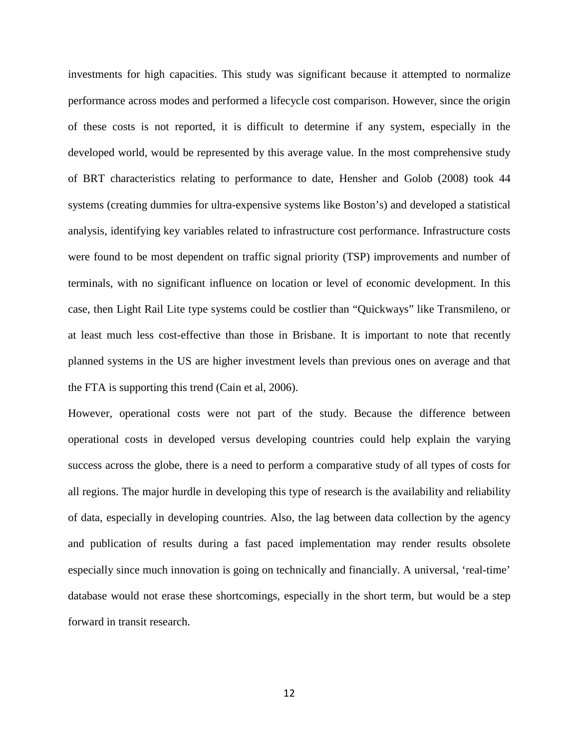investments for high capacities. This study was significant because it attempted to normalize performance across modes and performed a lifecycle cost comparison. However, since the origin of these costs is not reported, it is difficult to determine if any system, especially in the developed world, would be represented by this average value. In the most comprehensive study of BRT characteristics relating to performance to date, Hensher and Golob (2008) took 44 systems (creating dummies for ultra-expensive systems like Boston's) and developed a statistical analysis, identifying key variables related to infrastructure cost performance. Infrastructure costs were found to be most dependent on traffic signal priority (TSP) improvements and number of terminals, with no significant influence on location or level of economic development. In this case, then Light Rail Lite type systems could be costlier than "Quickways" like Transmileno, or at least much less cost-effective than those in Brisbane. It is important to note that recently planned systems in the US are higher investment levels than previous ones on average and that the FTA is supporting this trend (Cain et al, 2006).

However, operational costs were not part of the study. Because the difference between operational costs in developed versus developing countries could help explain the varying success across the globe, there is a need to perform a comparative study of all types of costs for all regions. The major hurdle in developing this type of research is the availability and reliability of data, especially in developing countries. Also, the lag between data collection by the agency and publication of results during a fast paced implementation may render results obsolete especially since much innovation is going on technically and financially. A universal, 'real-time' database would not erase these shortcomings, especially in the short term, but would be a step forward in transit research.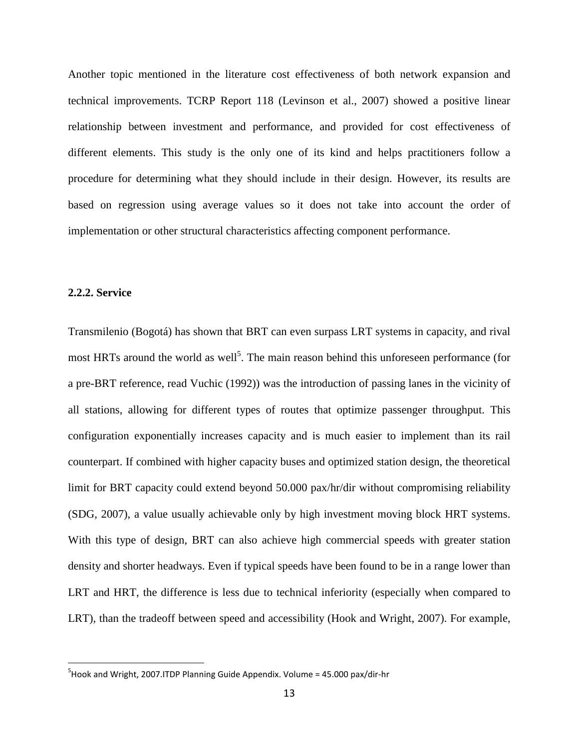Another topic mentioned in the literature cost effectiveness of both network expansion and technical improvements. TCRP Report 118 (Levinson et al., 2007) showed a positive linear relationship between investment and performance, and provided for cost effectiveness of different elements. This study is the only one of its kind and helps practitioners follow a procedure for determining what they should include in their design. However, its results are based on regression using average values so it does not take into account the order of implementation or other structural characteristics affecting component performance.

#### **2.2.2. Service**

1

Transmilenio (Bogotá) has shown that BRT can even surpass LRT systems in capacity, and rival most HRTs around the world as well<sup>5</sup>. The main reason behind this unforeseen performance (for a pre-BRT reference, read Vuchic (1992)) was the introduction of passing lanes in the vicinity of all stations, allowing for different types of routes that optimize passenger throughput. This configuration exponentially increases capacity and is much easier to implement than its rail counterpart. If combined with higher capacity buses and optimized station design, the theoretical limit for BRT capacity could extend beyond 50.000 pax/hr/dir without compromising reliability (SDG, 2007), a value usually achievable only by high investment moving block HRT systems. With this type of design, BRT can also achieve high commercial speeds with greater station density and shorter headways. Even if typical speeds have been found to be in a range lower than LRT and HRT, the difference is less due to technical inferiority (especially when compared to LRT), than the tradeoff between speed and accessibility (Hook and Wright, 2007). For example,

 $5$ Hook and Wright, 2007.ITDP Planning Guide Appendix. Volume = 45.000 pax/dir-hr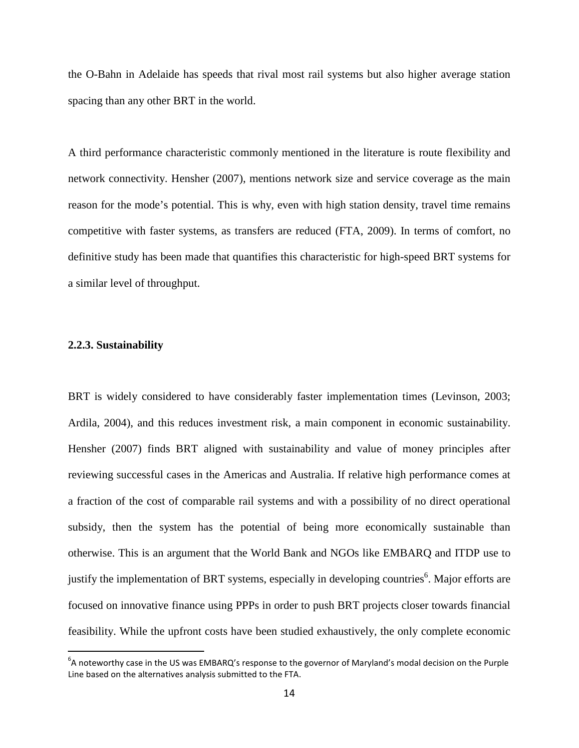the O-Bahn in Adelaide has speeds that rival most rail systems but also higher average station spacing than any other BRT in the world.

A third performance characteristic commonly mentioned in the literature is route flexibility and network connectivity. Hensher (2007), mentions network size and service coverage as the main reason for the mode's potential. This is why, even with high station density, travel time remains competitive with faster systems, as transfers are reduced (FTA, 2009). In terms of comfort, no definitive study has been made that quantifies this characteristic for high-speed BRT systems for a similar level of throughput.

#### **2.2.3. Sustainability**

.

BRT is widely considered to have considerably faster implementation times (Levinson, 2003; Ardila, 2004), and this reduces investment risk, a main component in economic sustainability. Hensher (2007) finds BRT aligned with sustainability and value of money principles after reviewing successful cases in the Americas and Australia. If relative high performance comes at a fraction of the cost of comparable rail systems and with a possibility of no direct operational subsidy, then the system has the potential of being more economically sustainable than otherwise. This is an argument that the World Bank and NGOs like EMBARQ and ITDP use to justify the implementation of BRT systems, especially in developing countries<sup>6</sup>. Major efforts are focused on innovative finance using PPPs in order to push BRT projects closer towards financial feasibility. While the upfront costs have been studied exhaustively, the only complete economic

<sup>&</sup>lt;sup>6</sup>A noteworthy case in the US was EMBARQ's response to the governor of Maryland's modal decision on the Purple Line based on the alternatives analysis submitted to the FTA.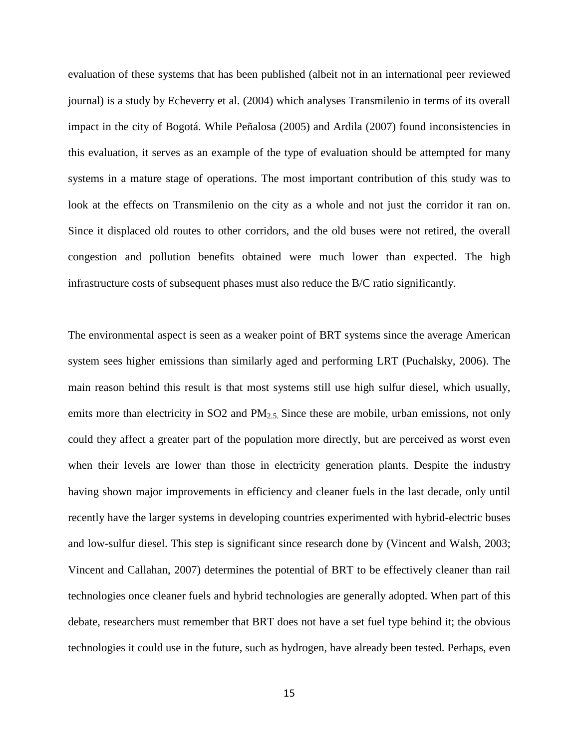evaluation of these systems that has been published (albeit not in an international peer reviewed journal) is a study by Echeverry et al. (2004) which analyses Transmilenio in terms of its overall impact in the city of Bogotá. While Peñalosa (2005) and Ardila (2007) found inconsistencies in this evaluation, it serves as an example of the type of evaluation should be attempted for many systems in a mature stage of operations. The most important contribution of this study was to look at the effects on Transmilenio on the city as a whole and not just the corridor it ran on. Since it displaced old routes to other corridors, and the old buses were not retired, the overall congestion and pollution benefits obtained were much lower than expected. The high infrastructure costs of subsequent phases must also reduce the B/C ratio significantly.

The environmental aspect is seen as a weaker point of BRT systems since the average American system sees higher emissions than similarly aged and performing LRT (Puchalsky, 2006). The main reason behind this result is that most systems still use high sulfur diesel, which usually, emits more than electricity in SO2 and PM<sub>2.5</sub>. Since these are mobile, urban emissions, not only could they affect a greater part of the population more directly, but are perceived as worst even when their levels are lower than those in electricity generation plants. Despite the industry having shown major improvements in efficiency and cleaner fuels in the last decade, only until recently have the larger systems in developing countries experimented with hybrid-electric buses and low-sulfur diesel. This step is significant since research done by (Vincent and Walsh, 2003; Vincent and Callahan, 2007) determines the potential of BRT to be effectively cleaner than rail technologies once cleaner fuels and hybrid technologies are generally adopted. When part of this debate, researchers must remember that BRT does not have a set fuel type behind it; the obvious technologies it could use in the future, such as hydrogen, have already been tested. Perhaps, even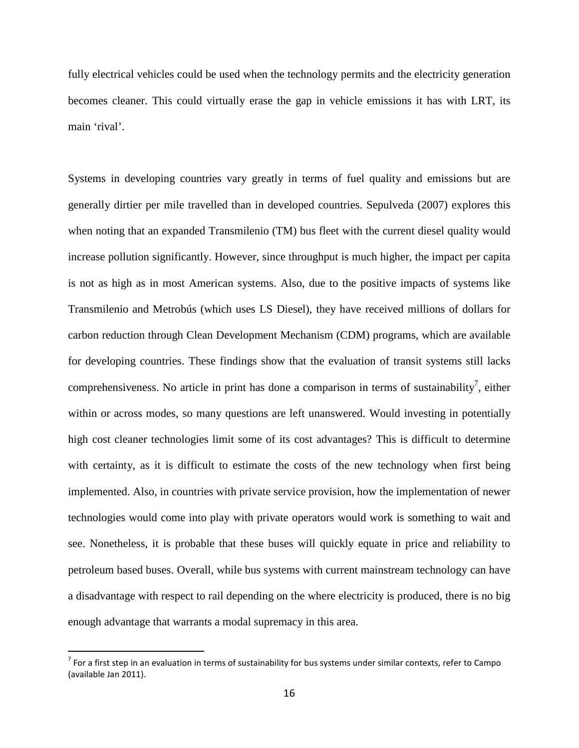fully electrical vehicles could be used when the technology permits and the electricity generation becomes cleaner. This could virtually erase the gap in vehicle emissions it has with LRT, its main 'rival'.

Systems in developing countries vary greatly in terms of fuel quality and emissions but are generally dirtier per mile travelled than in developed countries. Sepulveda (2007) explores this when noting that an expanded Transmilenio (TM) bus fleet with the current diesel quality would increase pollution significantly. However, since throughput is much higher, the impact per capita is not as high as in most American systems. Also, due to the positive impacts of systems like Transmilenio and Metrobús (which uses LS Diesel), they have received millions of dollars for carbon reduction through Clean Development Mechanism (CDM) programs, which are available for developing countries. These findings show that the evaluation of transit systems still lacks comprehensiveness. No article in print has done a comparison in terms of sustainability<sup>7</sup>, either within or across modes, so many questions are left unanswered. Would investing in potentially high cost cleaner technologies limit some of its cost advantages? This is difficult to determine with certainty, as it is difficult to estimate the costs of the new technology when first being implemented. Also, in countries with private service provision, how the implementation of newer technologies would come into play with private operators would work is something to wait and see. Nonetheless, it is probable that these buses will quickly equate in price and reliability to petroleum based buses. Overall, while bus systems with current mainstream technology can have a disadvantage with respect to rail depending on the where electricity is produced, there is no big enough advantage that warrants a modal supremacy in this area.

.

 $^7$  For a first step in an evaluation in terms of sustainability for bus systems under similar contexts, refer to Campo (available Jan 2011).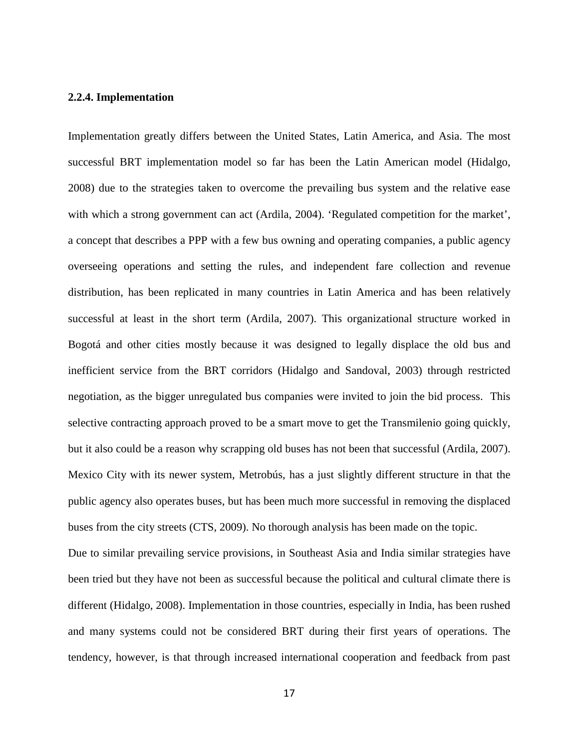#### **2.2.4. Implementation**

Implementation greatly differs between the United States, Latin America, and Asia. The most successful BRT implementation model so far has been the Latin American model (Hidalgo, 2008) due to the strategies taken to overcome the prevailing bus system and the relative ease with which a strong government can act (Ardila, 2004). 'Regulated competition for the market', a concept that describes a PPP with a few bus owning and operating companies, a public agency overseeing operations and setting the rules, and independent fare collection and revenue distribution, has been replicated in many countries in Latin America and has been relatively successful at least in the short term (Ardila, 2007). This organizational structure worked in Bogotá and other cities mostly because it was designed to legally displace the old bus and inefficient service from the BRT corridors (Hidalgo and Sandoval, 2003) through restricted negotiation, as the bigger unregulated bus companies were invited to join the bid process. This selective contracting approach proved to be a smart move to get the Transmilenio going quickly, but it also could be a reason why scrapping old buses has not been that successful (Ardila, 2007). Mexico City with its newer system, Metrobús, has a just slightly different structure in that the public agency also operates buses, but has been much more successful in removing the displaced buses from the city streets (CTS, 2009). No thorough analysis has been made on the topic. Due to similar prevailing service provisions, in Southeast Asia and India similar strategies have been tried but they have not been as successful because the political and cultural climate there is different (Hidalgo, 2008). Implementation in those countries, especially in India, has been rushed

and many systems could not be considered BRT during their first years of operations. The tendency, however, is that through increased international cooperation and feedback from past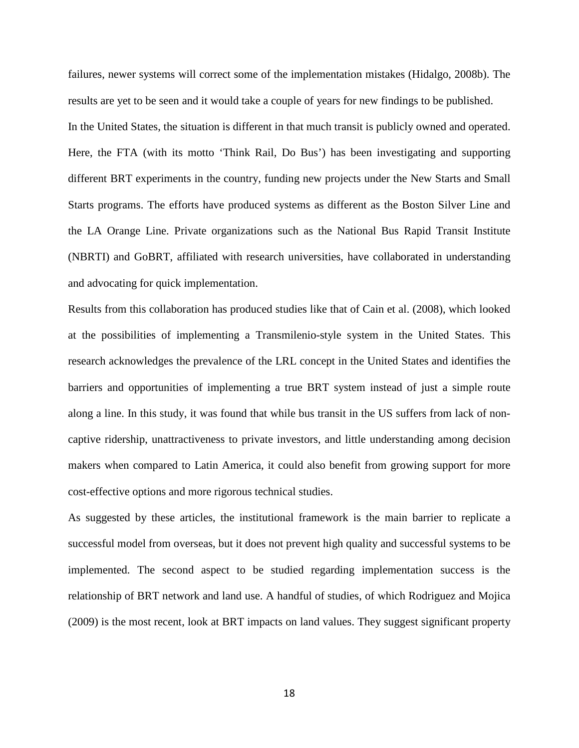failures, newer systems will correct some of the implementation mistakes (Hidalgo, 2008b). The results are yet to be seen and it would take a couple of years for new findings to be published. In the United States, the situation is different in that much transit is publicly owned and operated. Here, the FTA (with its motto 'Think Rail, Do Bus') has been investigating and supporting different BRT experiments in the country, funding new projects under the New Starts and Small Starts programs. The efforts have produced systems as different as the Boston Silver Line and the LA Orange Line. Private organizations such as the National Bus Rapid Transit Institute (NBRTI) and GoBRT, affiliated with research universities, have collaborated in understanding and advocating for quick implementation.

Results from this collaboration has produced studies like that of Cain et al. (2008), which looked at the possibilities of implementing a Transmilenio-style system in the United States. This research acknowledges the prevalence of the LRL concept in the United States and identifies the barriers and opportunities of implementing a true BRT system instead of just a simple route along a line. In this study, it was found that while bus transit in the US suffers from lack of noncaptive ridership, unattractiveness to private investors, and little understanding among decision makers when compared to Latin America, it could also benefit from growing support for more cost-effective options and more rigorous technical studies.

As suggested by these articles, the institutional framework is the main barrier to replicate a successful model from overseas, but it does not prevent high quality and successful systems to be implemented. The second aspect to be studied regarding implementation success is the relationship of BRT network and land use. A handful of studies, of which Rodriguez and Mojica (2009) is the most recent, look at BRT impacts on land values. They suggest significant property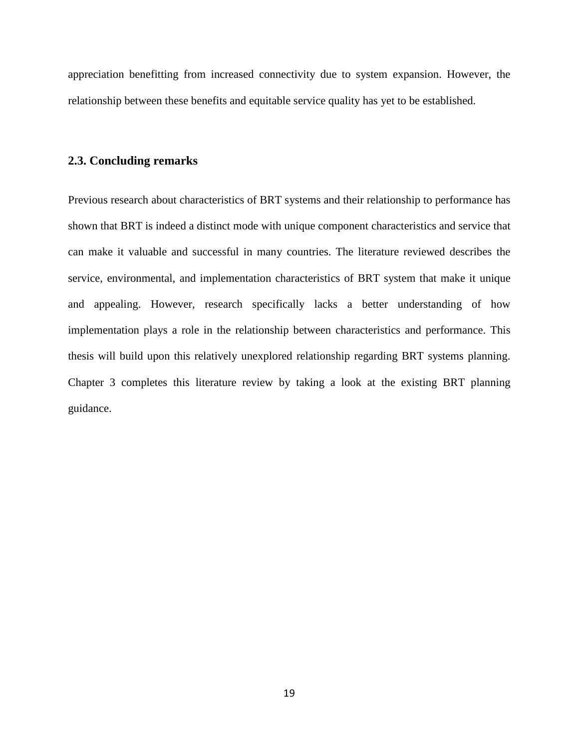appreciation benefitting from increased connectivity due to system expansion. However, the relationship between these benefits and equitable service quality has yet to be established.

## **2.3. Concluding remarks**

Previous research about characteristics of BRT systems and their relationship to performance has shown that BRT is indeed a distinct mode with unique component characteristics and service that can make it valuable and successful in many countries. The literature reviewed describes the service, environmental, and implementation characteristics of BRT system that make it unique and appealing. However, research specifically lacks a better understanding of how implementation plays a role in the relationship between characteristics and performance. This thesis will build upon this relatively unexplored relationship regarding BRT systems planning. Chapter 3 completes this literature review by taking a look at the existing BRT planning guidance.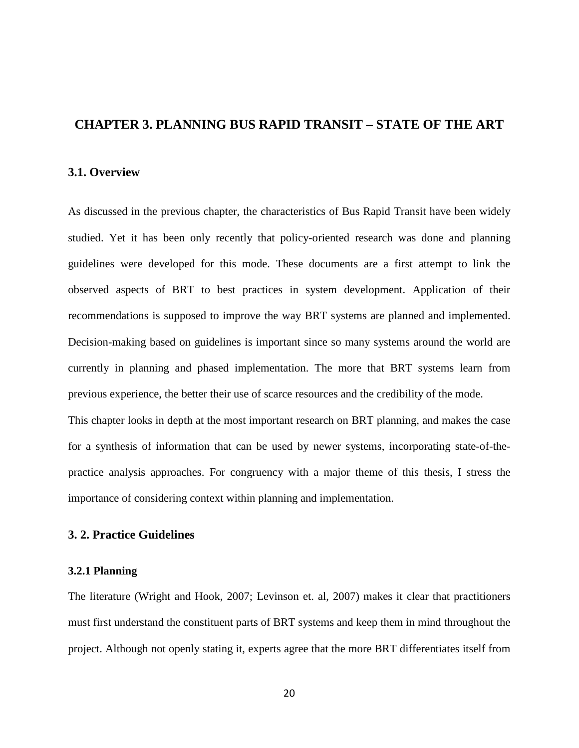# **CHAPTER 3. PLANNING BUS RAPID TRANSIT – STATE OF THE ART**

### **3.1. Overview**

As discussed in the previous chapter, the characteristics of Bus Rapid Transit have been widely studied. Yet it has been only recently that policy-oriented research was done and planning guidelines were developed for this mode. These documents are a first attempt to link the observed aspects of BRT to best practices in system development. Application of their recommendations is supposed to improve the way BRT systems are planned and implemented. Decision-making based on guidelines is important since so many systems around the world are currently in planning and phased implementation. The more that BRT systems learn from previous experience, the better their use of scarce resources and the credibility of the mode.

This chapter looks in depth at the most important research on BRT planning, and makes the case for a synthesis of information that can be used by newer systems, incorporating state-of-thepractice analysis approaches. For congruency with a major theme of this thesis, I stress the importance of considering context within planning and implementation.

## **3. 2. Practice Guidelines**

#### **3.2.1 Planning**

The literature (Wright and Hook, 2007; Levinson et. al, 2007) makes it clear that practitioners must first understand the constituent parts of BRT systems and keep them in mind throughout the project. Although not openly stating it, experts agree that the more BRT differentiates itself from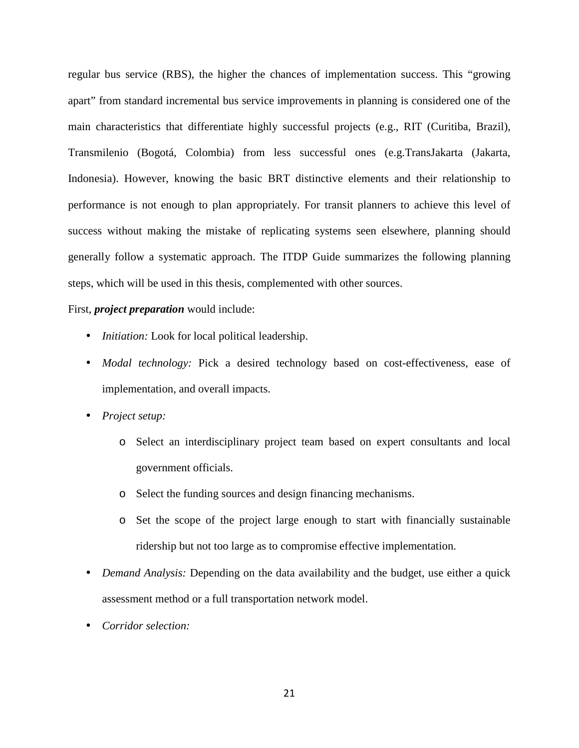regular bus service (RBS), the higher the chances of implementation success. This "growing apart" from standard incremental bus service improvements in planning is considered one of the main characteristics that differentiate highly successful projects (e.g., RIT (Curitiba, Brazil), Transmilenio (Bogotá, Colombia) from less successful ones (e.g.TransJakarta (Jakarta, Indonesia). However, knowing the basic BRT distinctive elements and their relationship to performance is not enough to plan appropriately. For transit planners to achieve this level of success without making the mistake of replicating systems seen elsewhere, planning should generally follow a systematic approach. The ITDP Guide summarizes the following planning steps, which will be used in this thesis, complemented with other sources.

#### First, *project preparation* would include:

- *Initiation:* Look for local political leadership.
- *Modal technology:* Pick a desired technology based on cost-effectiveness, ease of implementation, and overall impacts.
- *Project setup:* 
	- o Select an interdisciplinary project team based on expert consultants and local government officials.
	- o Select the funding sources and design financing mechanisms.
	- o Set the scope of the project large enough to start with financially sustainable ridership but not too large as to compromise effective implementation.
- *Demand Analysis:* Depending on the data availability and the budget, use either a quick assessment method or a full transportation network model.
- *Corridor selection:*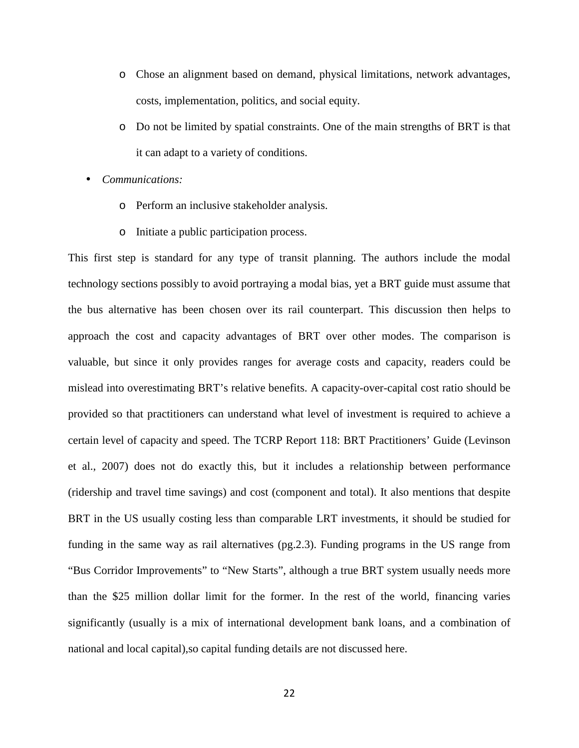- o Chose an alignment based on demand, physical limitations, network advantages, costs, implementation, politics, and social equity.
- o Do not be limited by spatial constraints. One of the main strengths of BRT is that it can adapt to a variety of conditions.
- *Communications:* 
	- o Perform an inclusive stakeholder analysis.
	- o Initiate a public participation process.

This first step is standard for any type of transit planning. The authors include the modal technology sections possibly to avoid portraying a modal bias, yet a BRT guide must assume that the bus alternative has been chosen over its rail counterpart. This discussion then helps to approach the cost and capacity advantages of BRT over other modes. The comparison is valuable, but since it only provides ranges for average costs and capacity, readers could be mislead into overestimating BRT's relative benefits. A capacity-over-capital cost ratio should be provided so that practitioners can understand what level of investment is required to achieve a certain level of capacity and speed. The TCRP Report 118: BRT Practitioners' Guide (Levinson et al., 2007) does not do exactly this, but it includes a relationship between performance (ridership and travel time savings) and cost (component and total). It also mentions that despite BRT in the US usually costing less than comparable LRT investments, it should be studied for funding in the same way as rail alternatives (pg.2.3). Funding programs in the US range from "Bus Corridor Improvements" to "New Starts", although a true BRT system usually needs more than the \$25 million dollar limit for the former. In the rest of the world, financing varies significantly (usually is a mix of international development bank loans, and a combination of national and local capital),so capital funding details are not discussed here.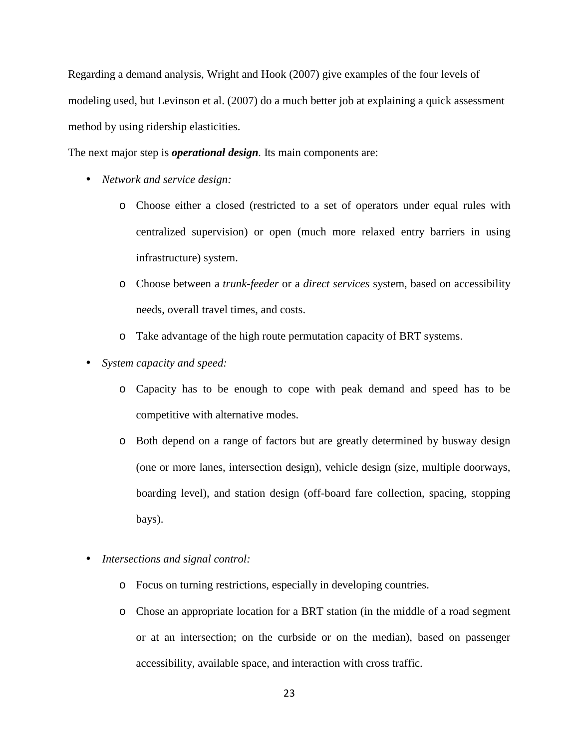Regarding a demand analysis, Wright and Hook (2007) give examples of the four levels of modeling used, but Levinson et al. (2007) do a much better job at explaining a quick assessment method by using ridership elasticities.

The next major step is *operational design.* Its main components are:

- *Network and service design:* 
	- o Choose either a closed (restricted to a set of operators under equal rules with centralized supervision) or open (much more relaxed entry barriers in using infrastructure) system.
	- o Choose between a *trunk-feeder* or a *direct services* system, based on accessibility needs, overall travel times, and costs.
	- o Take advantage of the high route permutation capacity of BRT systems.
- *System capacity and speed:* 
	- o Capacity has to be enough to cope with peak demand and speed has to be competitive with alternative modes.
	- o Both depend on a range of factors but are greatly determined by busway design (one or more lanes, intersection design), vehicle design (size, multiple doorways, boarding level), and station design (off-board fare collection, spacing, stopping bays).
- *Intersections and signal control:* 
	- o Focus on turning restrictions, especially in developing countries.
	- o Chose an appropriate location for a BRT station (in the middle of a road segment or at an intersection; on the curbside or on the median), based on passenger accessibility, available space, and interaction with cross traffic.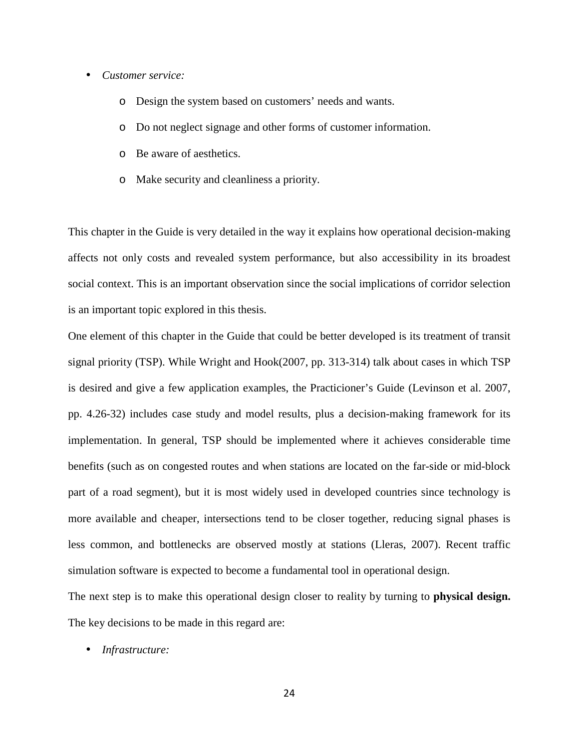- *Customer service:* 
	- o Design the system based on customers' needs and wants.
	- o Do not neglect signage and other forms of customer information.
	- o Be aware of aesthetics.
	- o Make security and cleanliness a priority.

This chapter in the Guide is very detailed in the way it explains how operational decision-making affects not only costs and revealed system performance, but also accessibility in its broadest social context. This is an important observation since the social implications of corridor selection is an important topic explored in this thesis.

One element of this chapter in the Guide that could be better developed is its treatment of transit signal priority (TSP). While Wright and Hook(2007, pp. 313-314) talk about cases in which TSP is desired and give a few application examples, the Practicioner's Guide (Levinson et al. 2007, pp. 4.26-32) includes case study and model results, plus a decision-making framework for its implementation. In general, TSP should be implemented where it achieves considerable time benefits (such as on congested routes and when stations are located on the far-side or mid-block part of a road segment), but it is most widely used in developed countries since technology is more available and cheaper, intersections tend to be closer together, reducing signal phases is less common, and bottlenecks are observed mostly at stations (Lleras, 2007). Recent traffic simulation software is expected to become a fundamental tool in operational design.

The next step is to make this operational design closer to reality by turning to **physical design.**  The key decisions to be made in this regard are:

• *Infrastructure:*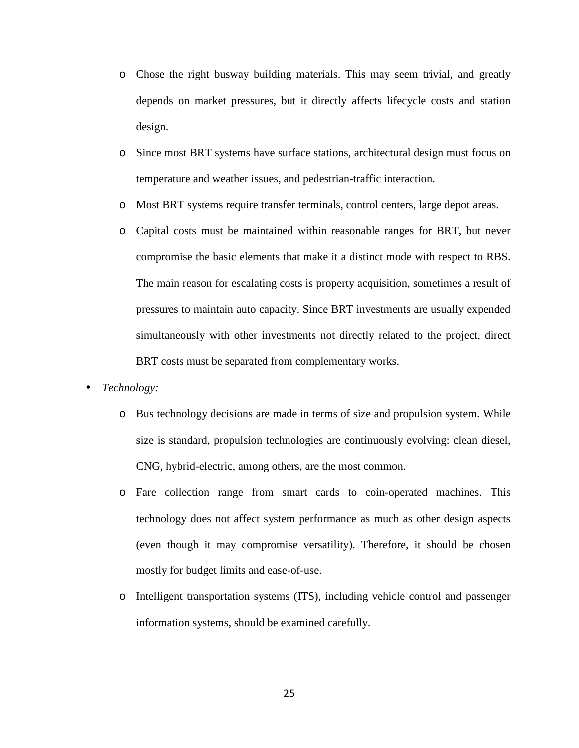- o Chose the right busway building materials. This may seem trivial, and greatly depends on market pressures, but it directly affects lifecycle costs and station design.
- o Since most BRT systems have surface stations, architectural design must focus on temperature and weather issues, and pedestrian-traffic interaction.
- o Most BRT systems require transfer terminals, control centers, large depot areas.
- o Capital costs must be maintained within reasonable ranges for BRT, but never compromise the basic elements that make it a distinct mode with respect to RBS. The main reason for escalating costs is property acquisition, sometimes a result of pressures to maintain auto capacity. Since BRT investments are usually expended simultaneously with other investments not directly related to the project, direct BRT costs must be separated from complementary works.
- *Technology:* 
	- o Bus technology decisions are made in terms of size and propulsion system. While size is standard, propulsion technologies are continuously evolving: clean diesel, CNG, hybrid-electric, among others, are the most common.
	- o Fare collection range from smart cards to coin-operated machines. This technology does not affect system performance as much as other design aspects (even though it may compromise versatility). Therefore, it should be chosen mostly for budget limits and ease-of-use.
	- o Intelligent transportation systems (ITS), including vehicle control and passenger information systems, should be examined carefully.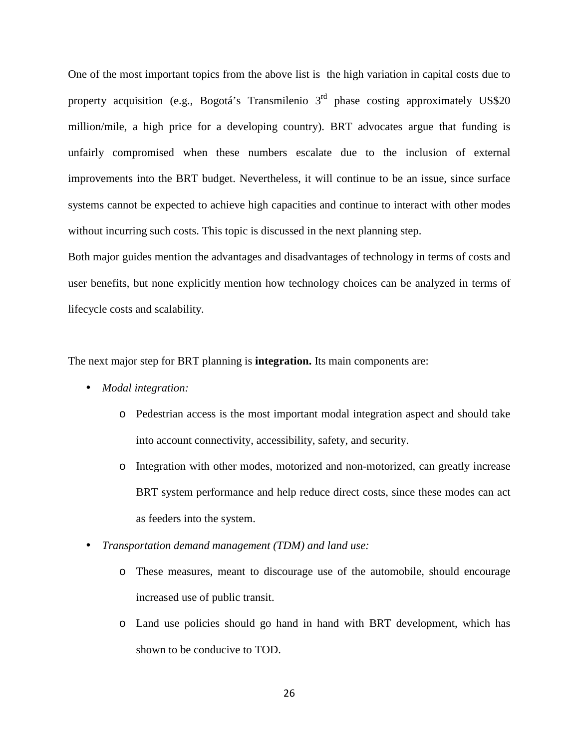One of the most important topics from the above list is the high variation in capital costs due to property acquisition (e.g., Bogotá's Transmilenio  $3<sup>rd</sup>$  phase costing approximately US\$20 million/mile, a high price for a developing country). BRT advocates argue that funding is unfairly compromised when these numbers escalate due to the inclusion of external improvements into the BRT budget. Nevertheless, it will continue to be an issue, since surface systems cannot be expected to achieve high capacities and continue to interact with other modes without incurring such costs. This topic is discussed in the next planning step.

Both major guides mention the advantages and disadvantages of technology in terms of costs and user benefits, but none explicitly mention how technology choices can be analyzed in terms of lifecycle costs and scalability.

The next major step for BRT planning is **integration.** Its main components are:

- *Modal integration:* 
	- o Pedestrian access is the most important modal integration aspect and should take into account connectivity, accessibility, safety, and security.
	- o Integration with other modes, motorized and non-motorized, can greatly increase BRT system performance and help reduce direct costs, since these modes can act as feeders into the system.
- *Transportation demand management (TDM) and land use:* 
	- o These measures, meant to discourage use of the automobile, should encourage increased use of public transit.
	- o Land use policies should go hand in hand with BRT development, which has shown to be conducive to TOD.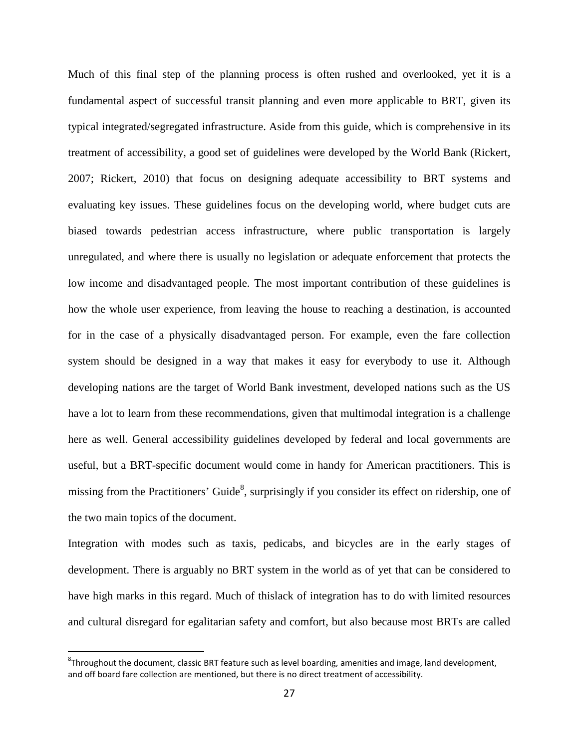Much of this final step of the planning process is often rushed and overlooked, yet it is a fundamental aspect of successful transit planning and even more applicable to BRT, given its typical integrated/segregated infrastructure. Aside from this guide, which is comprehensive in its treatment of accessibility, a good set of guidelines were developed by the World Bank (Rickert, 2007; Rickert, 2010) that focus on designing adequate accessibility to BRT systems and evaluating key issues. These guidelines focus on the developing world, where budget cuts are biased towards pedestrian access infrastructure, where public transportation is largely unregulated, and where there is usually no legislation or adequate enforcement that protects the low income and disadvantaged people. The most important contribution of these guidelines is how the whole user experience, from leaving the house to reaching a destination, is accounted for in the case of a physically disadvantaged person. For example, even the fare collection system should be designed in a way that makes it easy for everybody to use it. Although developing nations are the target of World Bank investment, developed nations such as the US have a lot to learn from these recommendations, given that multimodal integration is a challenge here as well. General accessibility guidelines developed by federal and local governments are useful, but a BRT-specific document would come in handy for American practitioners. This is missing from the Practitioners' Guide<sup>8</sup>, surprisingly if you consider its effect on ridership, one of the two main topics of the document.

Integration with modes such as taxis, pedicabs, and bicycles are in the early stages of development. There is arguably no BRT system in the world as of yet that can be considered to have high marks in this regard. Much of thislack of integration has to do with limited resources and cultural disregard for egalitarian safety and comfort, but also because most BRTs are called

.

 ${}^{8}$ Throughout the document, classic BRT feature such as level boarding, amenities and image, land development, and off board fare collection are mentioned, but there is no direct treatment of accessibility.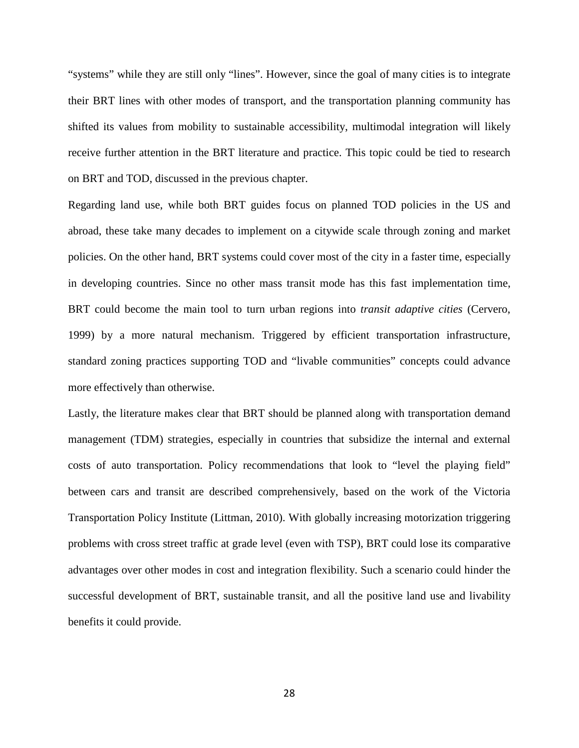"systems" while they are still only "lines". However, since the goal of many cities is to integrate their BRT lines with other modes of transport, and the transportation planning community has shifted its values from mobility to sustainable accessibility, multimodal integration will likely receive further attention in the BRT literature and practice. This topic could be tied to research on BRT and TOD, discussed in the previous chapter.

Regarding land use, while both BRT guides focus on planned TOD policies in the US and abroad, these take many decades to implement on a citywide scale through zoning and market policies. On the other hand, BRT systems could cover most of the city in a faster time, especially in developing countries. Since no other mass transit mode has this fast implementation time, BRT could become the main tool to turn urban regions into *transit adaptive cities* (Cervero, 1999) by a more natural mechanism. Triggered by efficient transportation infrastructure, standard zoning practices supporting TOD and "livable communities" concepts could advance more effectively than otherwise.

Lastly, the literature makes clear that BRT should be planned along with transportation demand management (TDM) strategies, especially in countries that subsidize the internal and external costs of auto transportation. Policy recommendations that look to "level the playing field" between cars and transit are described comprehensively, based on the work of the Victoria Transportation Policy Institute (Littman, 2010). With globally increasing motorization triggering problems with cross street traffic at grade level (even with TSP), BRT could lose its comparative advantages over other modes in cost and integration flexibility. Such a scenario could hinder the successful development of BRT, sustainable transit, and all the positive land use and livability benefits it could provide.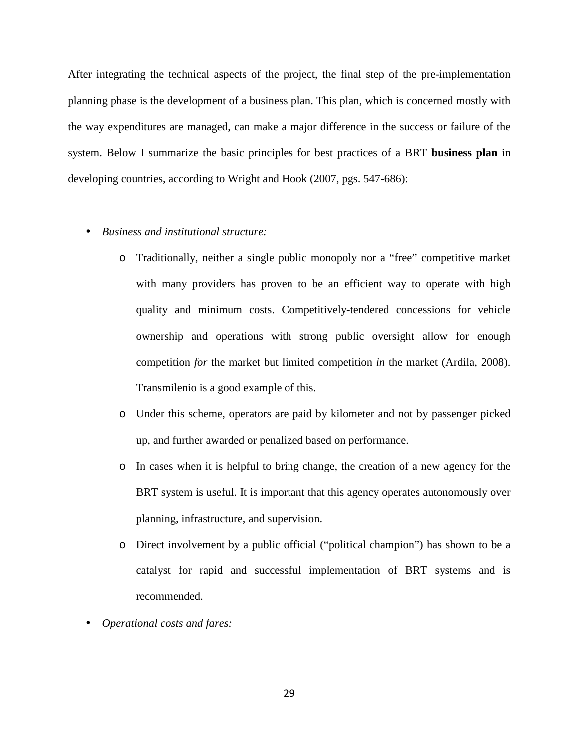After integrating the technical aspects of the project, the final step of the pre-implementation planning phase is the development of a business plan. This plan, which is concerned mostly with the way expenditures are managed, can make a major difference in the success or failure of the system. Below I summarize the basic principles for best practices of a BRT **business plan** in developing countries, according to Wright and Hook (2007, pgs. 547-686):

- *Business and institutional structure:* 
	- o Traditionally, neither a single public monopoly nor a "free" competitive market with many providers has proven to be an efficient way to operate with high quality and minimum costs. Competitively-tendered concessions for vehicle ownership and operations with strong public oversight allow for enough competition *for* the market but limited competition *in* the market (Ardila, 2008). Transmilenio is a good example of this.
	- o Under this scheme, operators are paid by kilometer and not by passenger picked up, and further awarded or penalized based on performance.
	- o In cases when it is helpful to bring change, the creation of a new agency for the BRT system is useful. It is important that this agency operates autonomously over planning, infrastructure, and supervision.
	- o Direct involvement by a public official ("political champion") has shown to be a catalyst for rapid and successful implementation of BRT systems and is recommended.
- *Operational costs and fares:*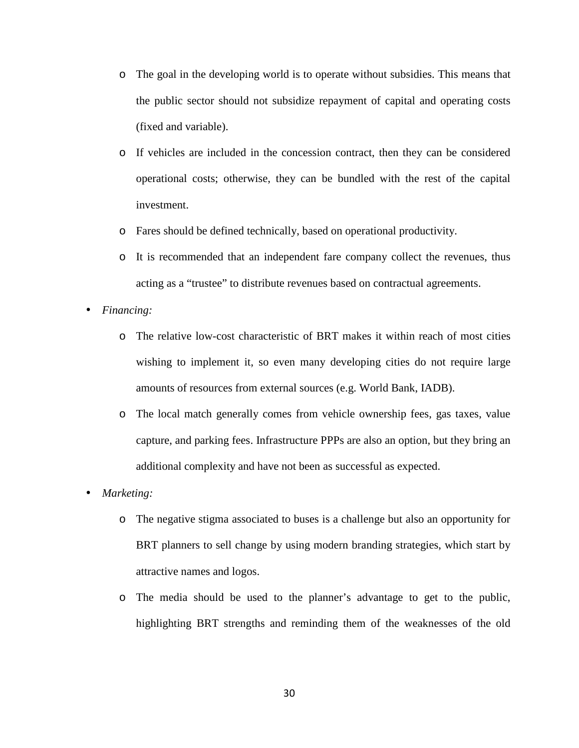- o The goal in the developing world is to operate without subsidies. This means that the public sector should not subsidize repayment of capital and operating costs (fixed and variable).
- o If vehicles are included in the concession contract, then they can be considered operational costs; otherwise, they can be bundled with the rest of the capital investment.
- o Fares should be defined technically, based on operational productivity.
- o It is recommended that an independent fare company collect the revenues, thus acting as a "trustee" to distribute revenues based on contractual agreements.
- *Financing:* 
	- o The relative low-cost characteristic of BRT makes it within reach of most cities wishing to implement it, so even many developing cities do not require large amounts of resources from external sources (e.g. World Bank, IADB).
	- o The local match generally comes from vehicle ownership fees, gas taxes, value capture, and parking fees. Infrastructure PPPs are also an option, but they bring an additional complexity and have not been as successful as expected.
- *Marketing:* 
	- o The negative stigma associated to buses is a challenge but also an opportunity for BRT planners to sell change by using modern branding strategies, which start by attractive names and logos.
	- o The media should be used to the planner's advantage to get to the public, highlighting BRT strengths and reminding them of the weaknesses of the old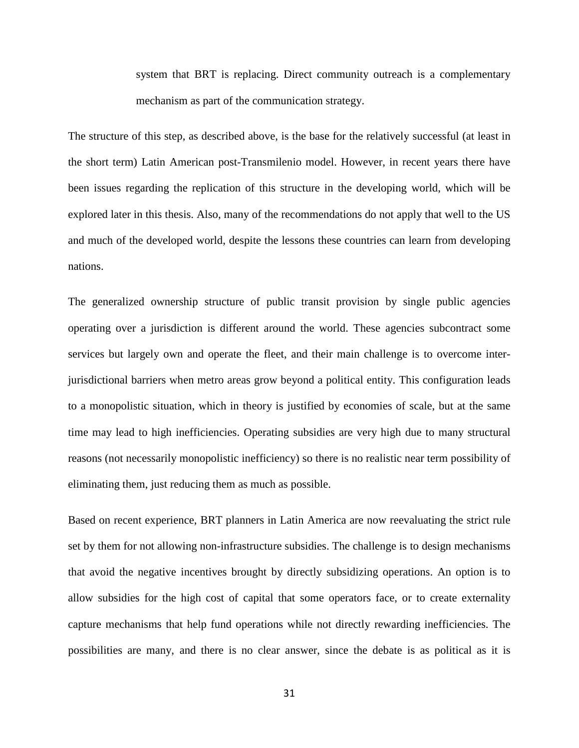system that BRT is replacing. Direct community outreach is a complementary mechanism as part of the communication strategy.

The structure of this step, as described above, is the base for the relatively successful (at least in the short term) Latin American post-Transmilenio model. However, in recent years there have been issues regarding the replication of this structure in the developing world, which will be explored later in this thesis. Also, many of the recommendations do not apply that well to the US and much of the developed world, despite the lessons these countries can learn from developing nations.

The generalized ownership structure of public transit provision by single public agencies operating over a jurisdiction is different around the world. These agencies subcontract some services but largely own and operate the fleet, and their main challenge is to overcome interjurisdictional barriers when metro areas grow beyond a political entity. This configuration leads to a monopolistic situation, which in theory is justified by economies of scale, but at the same time may lead to high inefficiencies. Operating subsidies are very high due to many structural reasons (not necessarily monopolistic inefficiency) so there is no realistic near term possibility of eliminating them, just reducing them as much as possible.

Based on recent experience, BRT planners in Latin America are now reevaluating the strict rule set by them for not allowing non-infrastructure subsidies. The challenge is to design mechanisms that avoid the negative incentives brought by directly subsidizing operations. An option is to allow subsidies for the high cost of capital that some operators face, or to create externality capture mechanisms that help fund operations while not directly rewarding inefficiencies. The possibilities are many, and there is no clear answer, since the debate is as political as it is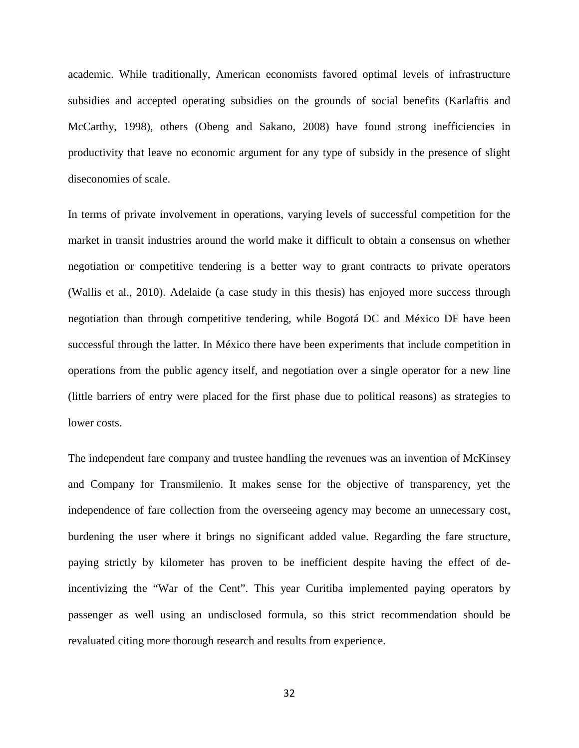academic. While traditionally, American economists favored optimal levels of infrastructure subsidies and accepted operating subsidies on the grounds of social benefits (Karlaftis and McCarthy, 1998), others (Obeng and Sakano, 2008) have found strong inefficiencies in productivity that leave no economic argument for any type of subsidy in the presence of slight diseconomies of scale.

In terms of private involvement in operations, varying levels of successful competition for the market in transit industries around the world make it difficult to obtain a consensus on whether negotiation or competitive tendering is a better way to grant contracts to private operators (Wallis et al., 2010). Adelaide (a case study in this thesis) has enjoyed more success through negotiation than through competitive tendering, while Bogotá DC and México DF have been successful through the latter. In México there have been experiments that include competition in operations from the public agency itself, and negotiation over a single operator for a new line (little barriers of entry were placed for the first phase due to political reasons) as strategies to lower costs.

The independent fare company and trustee handling the revenues was an invention of McKinsey and Company for Transmilenio. It makes sense for the objective of transparency, yet the independence of fare collection from the overseeing agency may become an unnecessary cost, burdening the user where it brings no significant added value. Regarding the fare structure, paying strictly by kilometer has proven to be inefficient despite having the effect of deincentivizing the "War of the Cent". This year Curitiba implemented paying operators by passenger as well using an undisclosed formula, so this strict recommendation should be revaluated citing more thorough research and results from experience.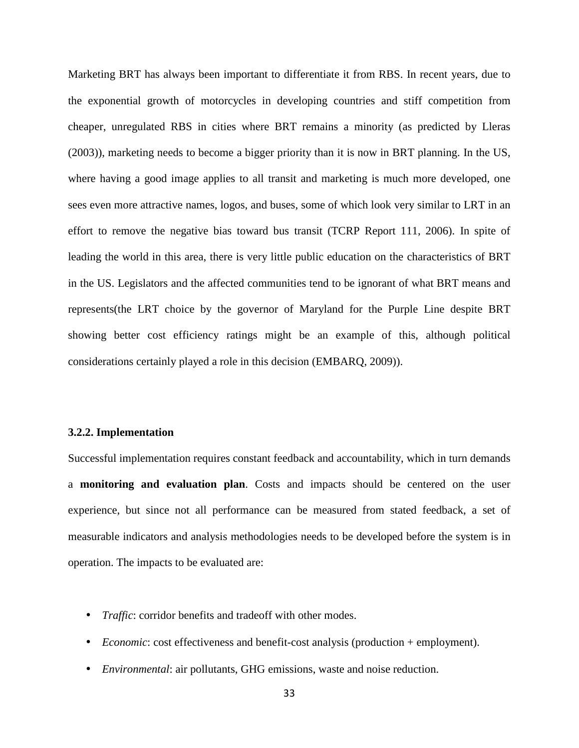Marketing BRT has always been important to differentiate it from RBS. In recent years, due to the exponential growth of motorcycles in developing countries and stiff competition from cheaper, unregulated RBS in cities where BRT remains a minority (as predicted by Lleras (2003)), marketing needs to become a bigger priority than it is now in BRT planning. In the US, where having a good image applies to all transit and marketing is much more developed, one sees even more attractive names, logos, and buses, some of which look very similar to LRT in an effort to remove the negative bias toward bus transit (TCRP Report 111, 2006). In spite of leading the world in this area, there is very little public education on the characteristics of BRT in the US. Legislators and the affected communities tend to be ignorant of what BRT means and represents(the LRT choice by the governor of Maryland for the Purple Line despite BRT showing better cost efficiency ratings might be an example of this, although political considerations certainly played a role in this decision (EMBARQ, 2009)).

### **3.2.2. Implementation**

Successful implementation requires constant feedback and accountability, which in turn demands a **monitoring and evaluation plan**. Costs and impacts should be centered on the user experience, but since not all performance can be measured from stated feedback, a set of measurable indicators and analysis methodologies needs to be developed before the system is in operation. The impacts to be evaluated are:

- *Traffic*: corridor benefits and tradeoff with other modes.
- *Economic*: cost effectiveness and benefit-cost analysis (production + employment).
- *Environmental*: air pollutants, GHG emissions, waste and noise reduction.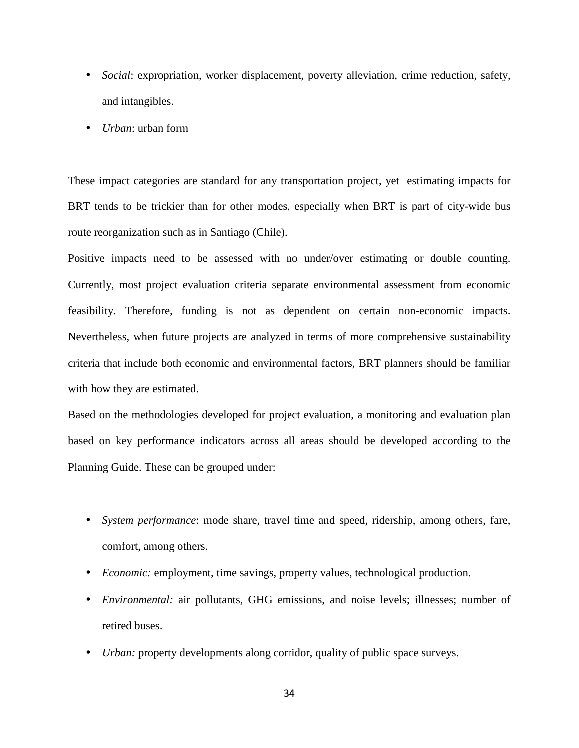- *Social*: expropriation, worker displacement, poverty alleviation, crime reduction, safety, and intangibles.
- *Urban*: urban form

These impact categories are standard for any transportation project, yet estimating impacts for BRT tends to be trickier than for other modes, especially when BRT is part of city-wide bus route reorganization such as in Santiago (Chile).

Positive impacts need to be assessed with no under/over estimating or double counting. Currently, most project evaluation criteria separate environmental assessment from economic feasibility. Therefore, funding is not as dependent on certain non-economic impacts. Nevertheless, when future projects are analyzed in terms of more comprehensive sustainability criteria that include both economic and environmental factors, BRT planners should be familiar with how they are estimated.

Based on the methodologies developed for project evaluation, a monitoring and evaluation plan based on key performance indicators across all areas should be developed according to the Planning Guide. These can be grouped under:

- *System performance*: mode share, travel time and speed, ridership, among others, fare, comfort, among others.
- *Economic:* employment, time savings, property values, technological production.
- *Environmental:* air pollutants, GHG emissions, and noise levels; illnesses; number of retired buses.
- *Urban:* property developments along corridor, quality of public space surveys.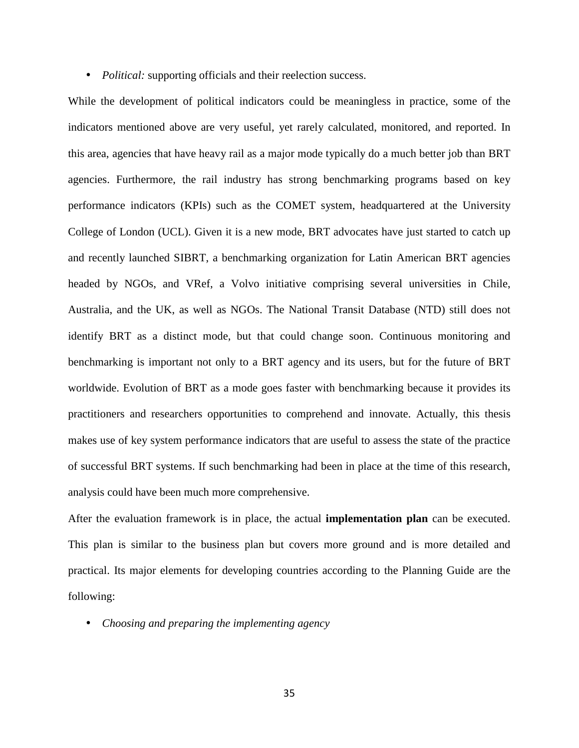• *Political:* supporting officials and their reelection success.

While the development of political indicators could be meaningless in practice, some of the indicators mentioned above are very useful, yet rarely calculated, monitored, and reported. In this area, agencies that have heavy rail as a major mode typically do a much better job than BRT agencies. Furthermore, the rail industry has strong benchmarking programs based on key performance indicators (KPIs) such as the COMET system, headquartered at the University College of London (UCL). Given it is a new mode, BRT advocates have just started to catch up and recently launched SIBRT, a benchmarking organization for Latin American BRT agencies headed by NGOs, and VRef, a Volvo initiative comprising several universities in Chile, Australia, and the UK, as well as NGOs. The National Transit Database (NTD) still does not identify BRT as a distinct mode, but that could change soon. Continuous monitoring and benchmarking is important not only to a BRT agency and its users, but for the future of BRT worldwide. Evolution of BRT as a mode goes faster with benchmarking because it provides its practitioners and researchers opportunities to comprehend and innovate. Actually, this thesis makes use of key system performance indicators that are useful to assess the state of the practice of successful BRT systems. If such benchmarking had been in place at the time of this research, analysis could have been much more comprehensive.

After the evaluation framework is in place, the actual **implementation plan** can be executed. This plan is similar to the business plan but covers more ground and is more detailed and practical. Its major elements for developing countries according to the Planning Guide are the following:

• *Choosing and preparing the implementing agency*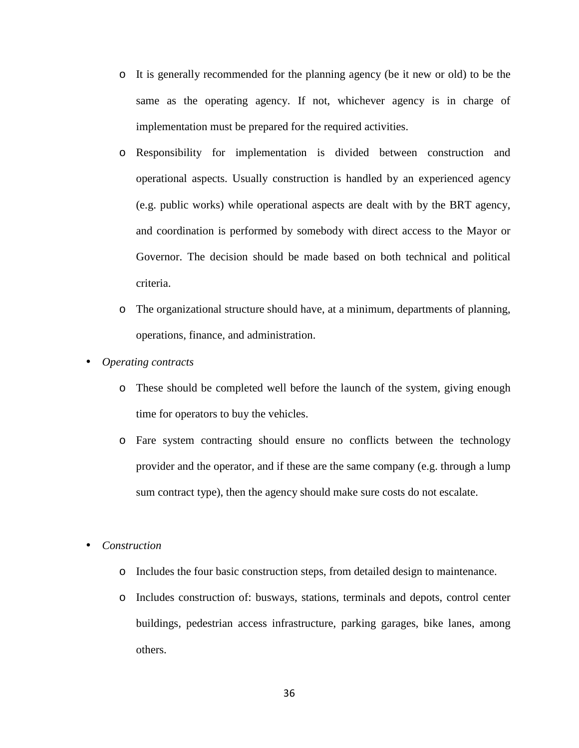- o It is generally recommended for the planning agency (be it new or old) to be the same as the operating agency. If not, whichever agency is in charge of implementation must be prepared for the required activities.
- o Responsibility for implementation is divided between construction and operational aspects. Usually construction is handled by an experienced agency (e.g. public works) while operational aspects are dealt with by the BRT agency, and coordination is performed by somebody with direct access to the Mayor or Governor. The decision should be made based on both technical and political criteria.
- o The organizational structure should have, at a minimum, departments of planning, operations, finance, and administration.
- *Operating contracts* 
	- o These should be completed well before the launch of the system, giving enough time for operators to buy the vehicles.
	- o Fare system contracting should ensure no conflicts between the technology provider and the operator, and if these are the same company (e.g. through a lump sum contract type), then the agency should make sure costs do not escalate.
- *Construction* 
	- o Includes the four basic construction steps, from detailed design to maintenance.
	- o Includes construction of: busways, stations, terminals and depots, control center buildings, pedestrian access infrastructure, parking garages, bike lanes, among others.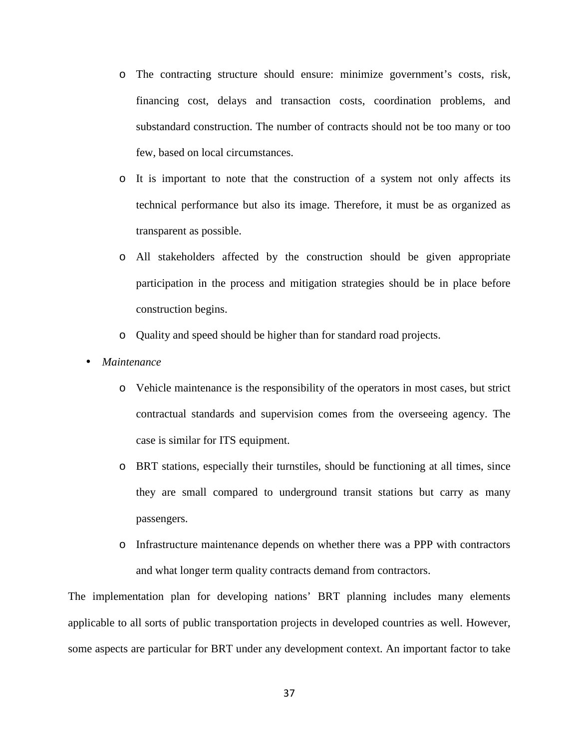- o The contracting structure should ensure: minimize government's costs, risk, financing cost, delays and transaction costs, coordination problems, and substandard construction. The number of contracts should not be too many or too few, based on local circumstances.
- o It is important to note that the construction of a system not only affects its technical performance but also its image. Therefore, it must be as organized as transparent as possible.
- o All stakeholders affected by the construction should be given appropriate participation in the process and mitigation strategies should be in place before construction begins.
- o Quality and speed should be higher than for standard road projects.
- *Maintenance* 
	- o Vehicle maintenance is the responsibility of the operators in most cases, but strict contractual standards and supervision comes from the overseeing agency. The case is similar for ITS equipment.
	- o BRT stations, especially their turnstiles, should be functioning at all times, since they are small compared to underground transit stations but carry as many passengers.
	- o Infrastructure maintenance depends on whether there was a PPP with contractors and what longer term quality contracts demand from contractors.

The implementation plan for developing nations' BRT planning includes many elements applicable to all sorts of public transportation projects in developed countries as well. However, some aspects are particular for BRT under any development context. An important factor to take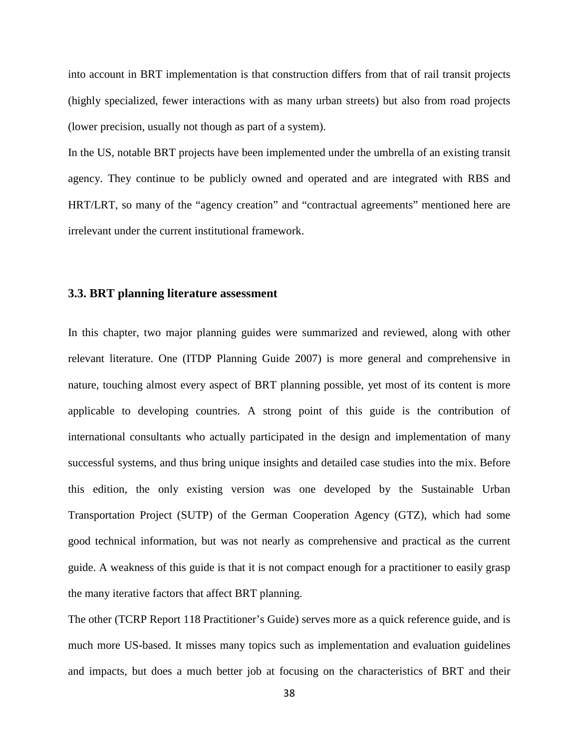into account in BRT implementation is that construction differs from that of rail transit projects (highly specialized, fewer interactions with as many urban streets) but also from road projects (lower precision, usually not though as part of a system).

In the US, notable BRT projects have been implemented under the umbrella of an existing transit agency. They continue to be publicly owned and operated and are integrated with RBS and HRT/LRT, so many of the "agency creation" and "contractual agreements" mentioned here are irrelevant under the current institutional framework.

### **3.3. BRT planning literature assessment**

In this chapter, two major planning guides were summarized and reviewed, along with other relevant literature. One (ITDP Planning Guide 2007) is more general and comprehensive in nature, touching almost every aspect of BRT planning possible, yet most of its content is more applicable to developing countries. A strong point of this guide is the contribution of international consultants who actually participated in the design and implementation of many successful systems, and thus bring unique insights and detailed case studies into the mix. Before this edition, the only existing version was one developed by the Sustainable Urban Transportation Project (SUTP) of the German Cooperation Agency (GTZ), which had some good technical information, but was not nearly as comprehensive and practical as the current guide. A weakness of this guide is that it is not compact enough for a practitioner to easily grasp the many iterative factors that affect BRT planning.

The other (TCRP Report 118 Practitioner's Guide) serves more as a quick reference guide, and is much more US-based. It misses many topics such as implementation and evaluation guidelines and impacts, but does a much better job at focusing on the characteristics of BRT and their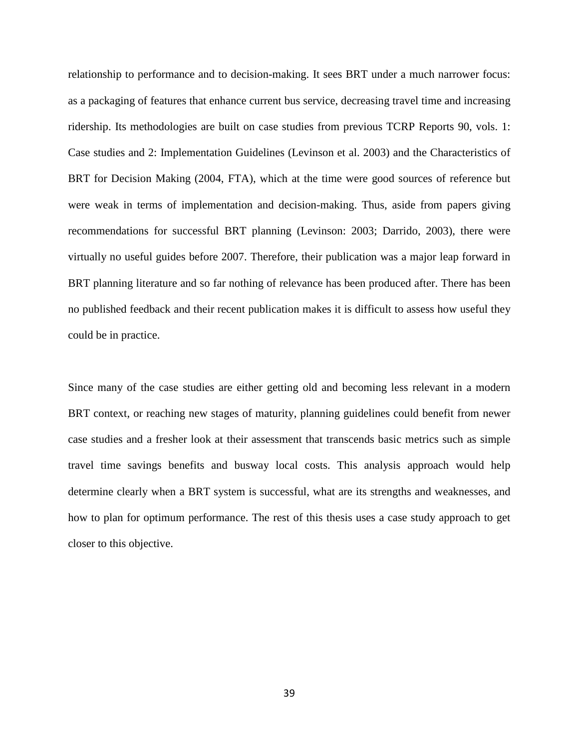relationship to performance and to decision-making. It sees BRT under a much narrower focus: as a packaging of features that enhance current bus service, decreasing travel time and increasing ridership. Its methodologies are built on case studies from previous TCRP Reports 90, vols. 1: Case studies and 2: Implementation Guidelines (Levinson et al. 2003) and the Characteristics of BRT for Decision Making (2004, FTA), which at the time were good sources of reference but were weak in terms of implementation and decision-making. Thus, aside from papers giving recommendations for successful BRT planning (Levinson: 2003; Darrido, 2003), there were virtually no useful guides before 2007. Therefore, their publication was a major leap forward in BRT planning literature and so far nothing of relevance has been produced after. There has been no published feedback and their recent publication makes it is difficult to assess how useful they could be in practice.

Since many of the case studies are either getting old and becoming less relevant in a modern BRT context, or reaching new stages of maturity, planning guidelines could benefit from newer case studies and a fresher look at their assessment that transcends basic metrics such as simple travel time savings benefits and busway local costs. This analysis approach would help determine clearly when a BRT system is successful, what are its strengths and weaknesses, and how to plan for optimum performance. The rest of this thesis uses a case study approach to get closer to this objective.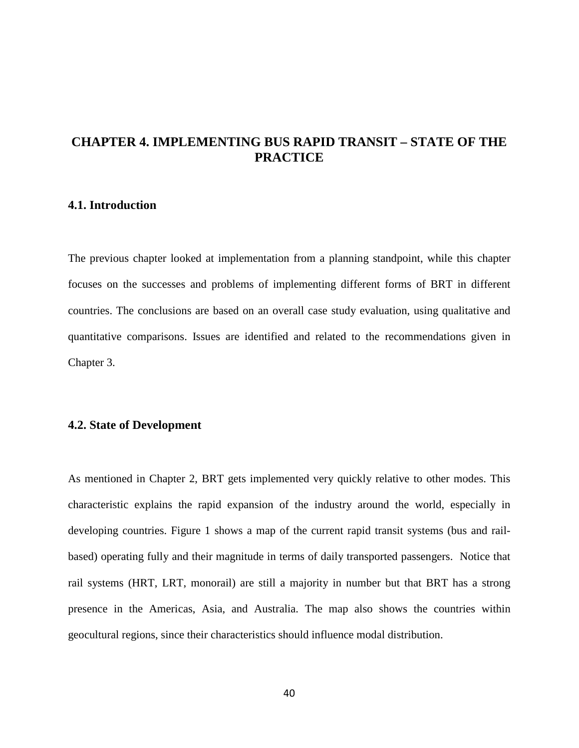## **CHAPTER 4. IMPLEMENTING BUS RAPID TRANSIT – STATE OF THE PRACTICE**

### **4.1. Introduction**

The previous chapter looked at implementation from a planning standpoint, while this chapter focuses on the successes and problems of implementing different forms of BRT in different countries. The conclusions are based on an overall case study evaluation, using qualitative and quantitative comparisons. Issues are identified and related to the recommendations given in Chapter 3.

### **4.2. State of Development**

As mentioned in Chapter 2, BRT gets implemented very quickly relative to other modes. This characteristic explains the rapid expansion of the industry around the world, especially in developing countries. Figure 1 shows a map of the current rapid transit systems (bus and railbased) operating fully and their magnitude in terms of daily transported passengers. Notice that rail systems (HRT, LRT, monorail) are still a majority in number but that BRT has a strong presence in the Americas, Asia, and Australia. The map also shows the countries within geocultural regions, since their characteristics should influence modal distribution.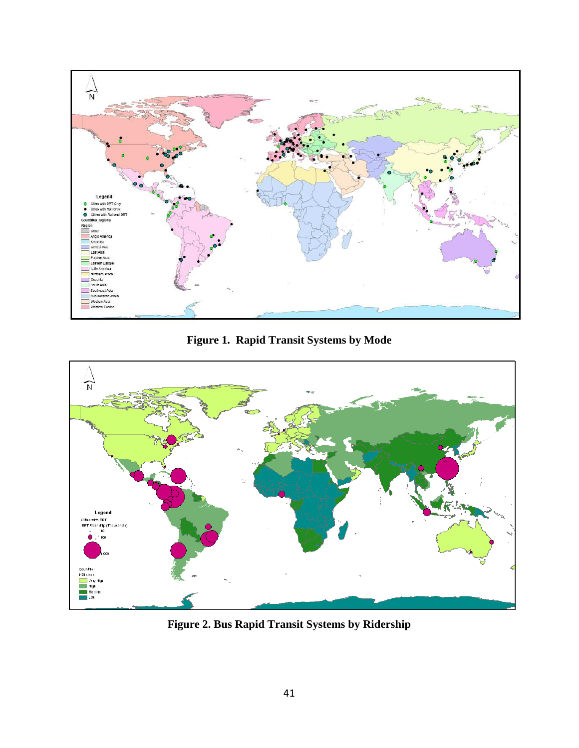

**Figure 1. Rapid Transit Systems by Mode** 



**Figure 2. Bus Rapid Transit Systems by Ridership**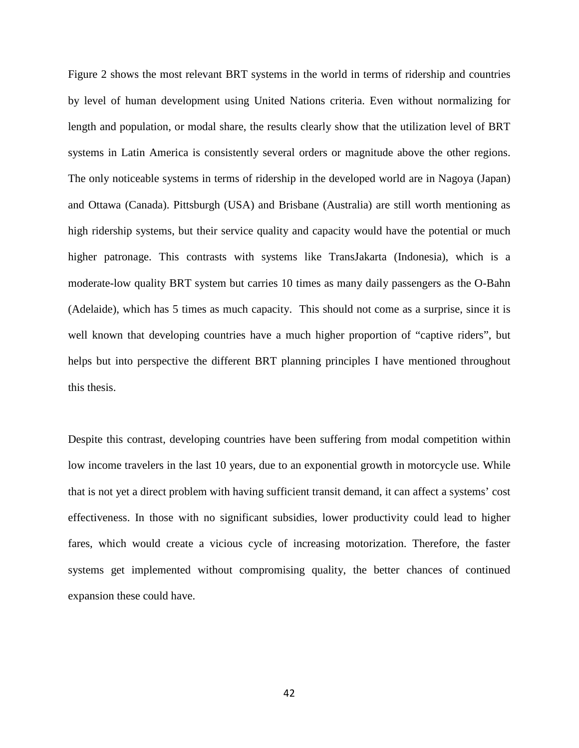Figure 2 shows the most relevant BRT systems in the world in terms of ridership and countries by level of human development using United Nations criteria. Even without normalizing for length and population, or modal share, the results clearly show that the utilization level of BRT systems in Latin America is consistently several orders or magnitude above the other regions. The only noticeable systems in terms of ridership in the developed world are in Nagoya (Japan) and Ottawa (Canada). Pittsburgh (USA) and Brisbane (Australia) are still worth mentioning as high ridership systems, but their service quality and capacity would have the potential or much higher patronage. This contrasts with systems like TransJakarta (Indonesia), which is a moderate-low quality BRT system but carries 10 times as many daily passengers as the O-Bahn (Adelaide), which has 5 times as much capacity. This should not come as a surprise, since it is well known that developing countries have a much higher proportion of "captive riders", but helps but into perspective the different BRT planning principles I have mentioned throughout this thesis.

Despite this contrast, developing countries have been suffering from modal competition within low income travelers in the last 10 years, due to an exponential growth in motorcycle use. While that is not yet a direct problem with having sufficient transit demand, it can affect a systems' cost effectiveness. In those with no significant subsidies, lower productivity could lead to higher fares, which would create a vicious cycle of increasing motorization. Therefore, the faster systems get implemented without compromising quality, the better chances of continued expansion these could have.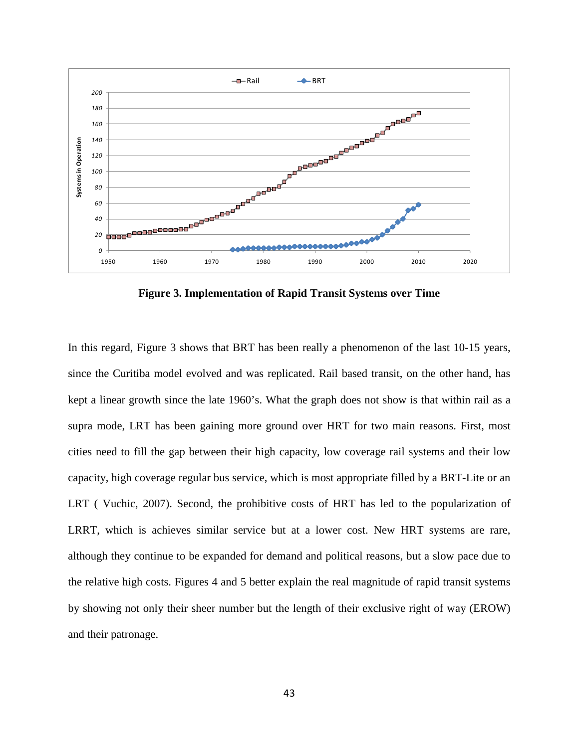

**Figure 3. Implementation of Rapid Transit Systems over Time** 

In this regard, Figure 3 shows that BRT has been really a phenomenon of the last 10-15 years, since the Curitiba model evolved and was replicated. Rail based transit, on the other hand, has kept a linear growth since the late 1960's. What the graph does not show is that within rail as a supra mode, LRT has been gaining more ground over HRT for two main reasons. First, most cities need to fill the gap between their high capacity, low coverage rail systems and their low capacity, high coverage regular bus service, which is most appropriate filled by a BRT-Lite or an LRT ( Vuchic, 2007). Second, the prohibitive costs of HRT has led to the popularization of LRRT, which is achieves similar service but at a lower cost. New HRT systems are rare, although they continue to be expanded for demand and political reasons, but a slow pace due to the relative high costs. Figures 4 and 5 better explain the real magnitude of rapid transit systems by showing not only their sheer number but the length of their exclusive right of way (EROW) and their patronage.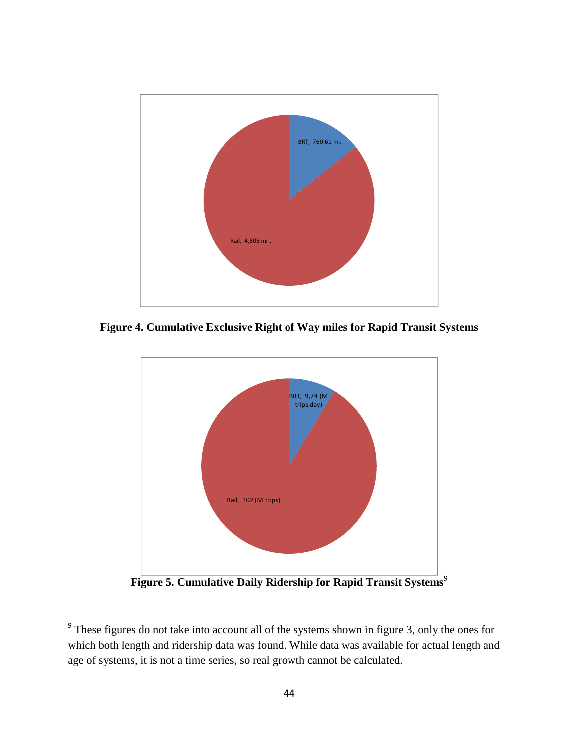

**Figure 4. Cumulative Exclusive Right of Way miles for Rapid Transit Systems** 



**Figure 5. Cumulative Daily Ridership for Rapid Transit Systems**<sup>9</sup>

.

<sup>&</sup>lt;sup>9</sup> These figures do not take into account all of the systems shown in figure 3, only the ones for which both length and ridership data was found. While data was available for actual length and age of systems, it is not a time series, so real growth cannot be calculated.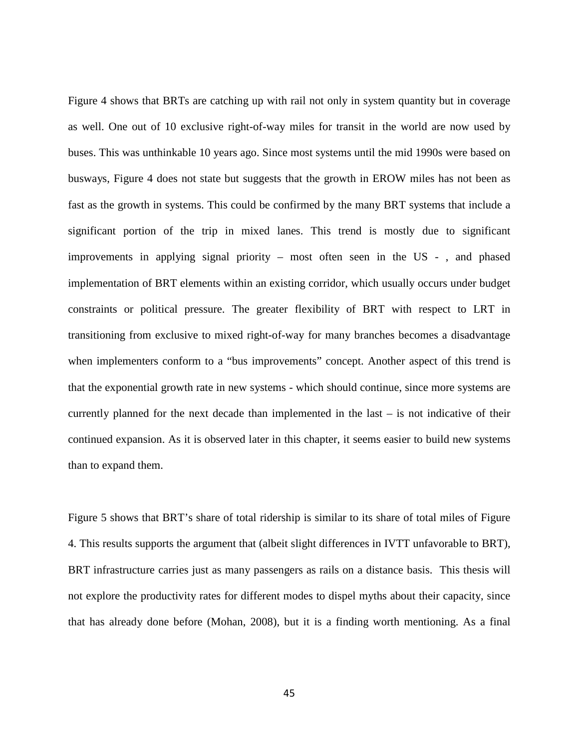Figure 4 shows that BRTs are catching up with rail not only in system quantity but in coverage as well. One out of 10 exclusive right-of-way miles for transit in the world are now used by buses. This was unthinkable 10 years ago. Since most systems until the mid 1990s were based on busways, Figure 4 does not state but suggests that the growth in EROW miles has not been as fast as the growth in systems. This could be confirmed by the many BRT systems that include a significant portion of the trip in mixed lanes. This trend is mostly due to significant improvements in applying signal priority – most often seen in the US - , and phased implementation of BRT elements within an existing corridor, which usually occurs under budget constraints or political pressure. The greater flexibility of BRT with respect to LRT in transitioning from exclusive to mixed right-of-way for many branches becomes a disadvantage when implementers conform to a "bus improvements" concept. Another aspect of this trend is that the exponential growth rate in new systems - which should continue, since more systems are currently planned for the next decade than implemented in the last – is not indicative of their continued expansion. As it is observed later in this chapter, it seems easier to build new systems than to expand them.

Figure 5 shows that BRT's share of total ridership is similar to its share of total miles of Figure 4. This results supports the argument that (albeit slight differences in IVTT unfavorable to BRT), BRT infrastructure carries just as many passengers as rails on a distance basis. This thesis will not explore the productivity rates for different modes to dispel myths about their capacity, since that has already done before (Mohan, 2008), but it is a finding worth mentioning. As a final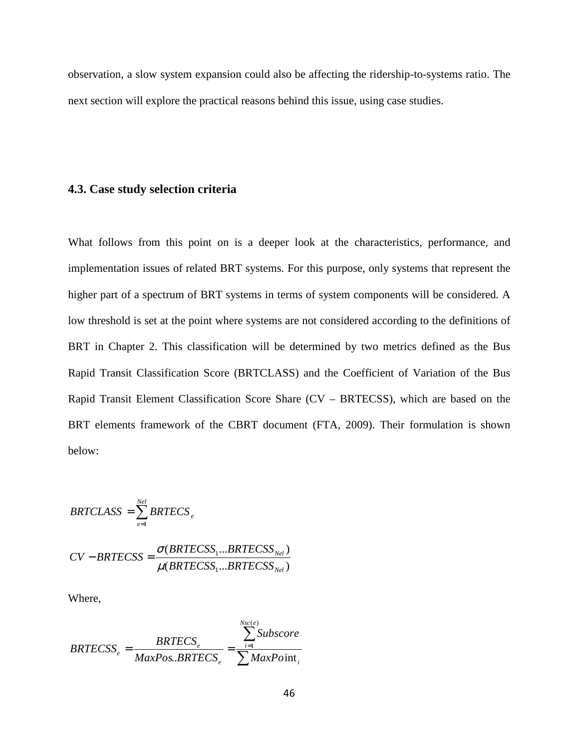observation, a slow system expansion could also be affecting the ridership-to-systems ratio. The next section will explore the practical reasons behind this issue, using case studies.

### **4.3. Case study selection criteria**

What follows from this point on is a deeper look at the characteristics, performance, and implementation issues of related BRT systems. For this purpose, only systems that represent the higher part of a spectrum of BRT systems in terms of system components will be considered. A low threshold is set at the point where systems are not considered according to the definitions of BRT in Chapter 2. This classification will be determined by two metrics defined as the Bus Rapid Transit Classification Score (BRTCLASS) and the Coefficient of Variation of the Bus Rapid Transit Element Classification Score Share (CV – BRTECSS), which are based on the BRT elements framework of the CBRT document (FTA, 2009). Their formulation is shown below:

$$
BRTCLASS = \sum_{e=1}^{Nel} BRTECS_e
$$

$$
CV-BRTECSS = \frac{\sigma(BRTECSS_1...BRTECSS_{Net})}{\mu(BRTECSS_1...BRTECSS_{Net})}
$$

Where,

$$
BRTECSS_e = \frac{BRTECS_e}{MaxPos.BRTECS_e} = \frac{\sum_{i=1}^{Nsc(e)} Subscore}{\sum MaxPoint_i}
$$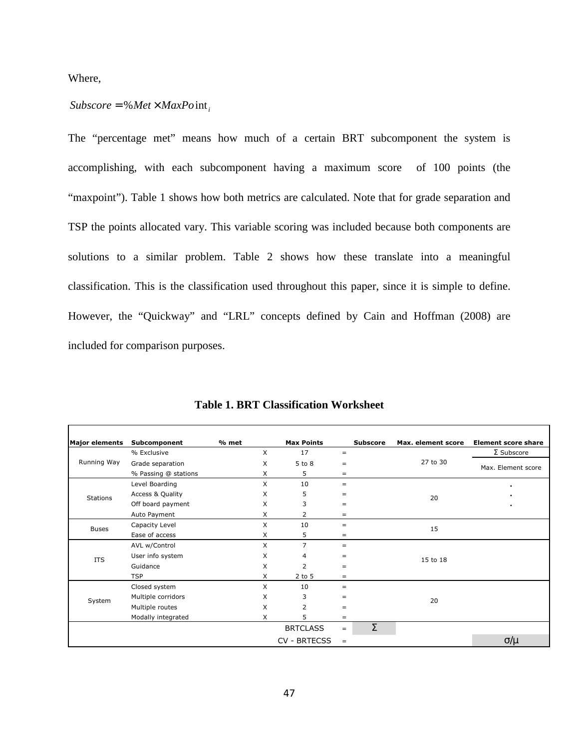Where,

### $Subscore = %Met \times MaxPoint,$

The "percentage met" means how much of a certain BRT subcomponent the system is accomplishing, with each subcomponent having a maximum score of 100 points (the "maxpoint"). Table 1 shows how both metrics are calculated. Note that for grade separation and TSP the points allocated vary. This variable scoring was included because both components are solutions to a similar problem. Table 2 shows how these translate into a meaningful classification. This is the classification used throughout this paper, since it is simple to define. However, the "Quickway" and "LRL" concepts defined by Cain and Hoffman (2008) are included for comparison purposes.

| <b>Major elements</b> | Subcomponent                | % met | <b>Max Points</b>   |     | <b>Subscore</b> | Max. element score | <b>Element score share</b> |
|-----------------------|-----------------------------|-------|---------------------|-----|-----------------|--------------------|----------------------------|
|                       | % Exclusive                 | X     | 17                  | $=$ |                 |                    | $\Sigma$ Subscore          |
| Running Way           | Grade separation            | X     | $5$ to $8$          | $=$ |                 | 27 to 30           | Max. Element score         |
|                       | % Passing @ stations        | X     | 5                   | $=$ |                 |                    |                            |
|                       | Level Boarding              | X     | 10                  | $=$ |                 |                    | $\blacksquare$             |
| <b>Stations</b>       | <b>Access &amp; Quality</b> | X     | 5                   | $=$ |                 | 20                 | $\blacksquare$             |
|                       | Off board payment           | X     | 3                   | $=$ |                 |                    | ٠                          |
|                       | Auto Payment                | X     | 2                   | $=$ |                 |                    |                            |
| <b>Buses</b>          | Capacity Level              | X     | 10                  | $=$ |                 | 15                 |                            |
|                       | Ease of access              | X     | 5                   | $=$ |                 |                    |                            |
|                       | AVL w/Control               | X     | $\overline{7}$      | $=$ |                 |                    |                            |
| <b>ITS</b>            | User info system            | X     | 4                   | $=$ |                 | 15 to 18           |                            |
|                       | Guidance                    | X     | $\overline{2}$      | $=$ |                 |                    |                            |
|                       | <b>TSP</b>                  | X     | $2$ to $5$          | $=$ |                 |                    |                            |
|                       | Closed system               | X     | 10                  | $=$ |                 |                    |                            |
| System                | Multiple corridors          | X     | 3                   | $=$ |                 | 20                 |                            |
|                       | X<br>Multiple routes        |       | 2                   | $=$ |                 |                    |                            |
|                       | Modally integrated          | X     | 5                   | $=$ |                 |                    |                            |
|                       |                             |       | <b>BRTCLASS</b>     | $=$ | Σ               |                    |                            |
|                       |                             |       | <b>CV - BRTECSS</b> | $=$ |                 |                    | $\sigma/\mu$               |

**Table 1. BRT Classification Worksheet**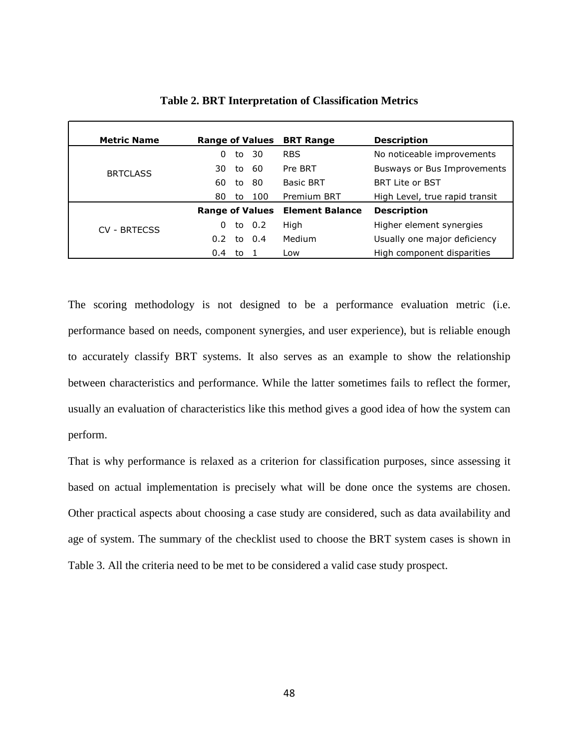| <b>Metric Name</b> | <b>Range of Values</b> |    |        | <b>BRT Range</b>       | <b>Description</b>             |
|--------------------|------------------------|----|--------|------------------------|--------------------------------|
|                    | 0                      | to | -30    | <b>RBS</b>             | No noticeable improvements     |
| <b>BRTCLASS</b>    | 30                     | to | -60    | Pre BRT                | Busways or Bus Improvements    |
|                    | 60                     | to | 80     | <b>Basic BRT</b>       | <b>BRT Lite or BST</b>         |
|                    | 80                     | to | 100    | <b>Premium BRT</b>     | High Level, true rapid transit |
|                    | <b>Range of Values</b> |    |        | <b>Element Balance</b> | <b>Description</b>             |
| CV - BRTFCSS       | 0                      |    | to 0.2 | High                   | Higher element synergies       |
|                    | $0.2^{\circ}$          |    | to 0.4 | Medium                 | Usually one major deficiency   |
|                    | 0.4                    | to |        | Low                    | High component disparities     |

**Table 2. BRT Interpretation of Classification Metrics** 

The scoring methodology is not designed to be a performance evaluation metric (i.e. performance based on needs, component synergies, and user experience), but is reliable enough to accurately classify BRT systems. It also serves as an example to show the relationship between characteristics and performance. While the latter sometimes fails to reflect the former, usually an evaluation of characteristics like this method gives a good idea of how the system can perform.

That is why performance is relaxed as a criterion for classification purposes, since assessing it based on actual implementation is precisely what will be done once the systems are chosen. Other practical aspects about choosing a case study are considered, such as data availability and age of system. The summary of the checklist used to choose the BRT system cases is shown in Table 3. All the criteria need to be met to be considered a valid case study prospect.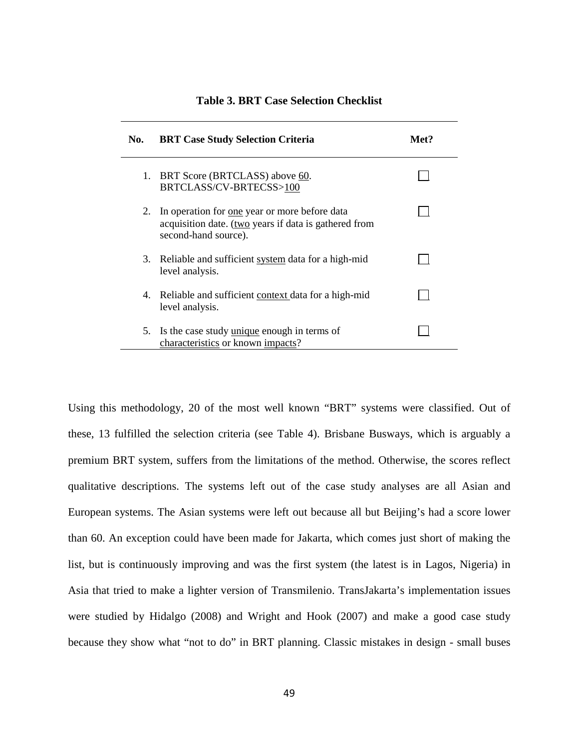| No. | <b>BRT Case Study Selection Criteria</b>                                                                                              | Met? |
|-----|---------------------------------------------------------------------------------------------------------------------------------------|------|
| 1.  | BRT Score (BRTCLASS) above 60.<br>BRTCLASS/CV-BRTECSS>100                                                                             |      |
| 2.  | In operation for <u>one</u> year or more before data<br>acquisition date. (two years if data is gathered from<br>second-hand source). |      |
|     | 3. Reliable and sufficient system data for a high-mid<br>level analysis.                                                              |      |
| 4.  | Reliable and sufficient context data for a high-mid<br>level analysis.                                                                |      |
| 5.  | Is the case study unique enough in terms of<br>characteristics or known impacts?                                                      |      |

### **Table 3. BRT Case Selection Checklist**

Using this methodology, 20 of the most well known "BRT" systems were classified. Out of these, 13 fulfilled the selection criteria (see Table 4). Brisbane Busways, which is arguably a premium BRT system, suffers from the limitations of the method. Otherwise, the scores reflect qualitative descriptions. The systems left out of the case study analyses are all Asian and European systems. The Asian systems were left out because all but Beijing's had a score lower than 60. An exception could have been made for Jakarta, which comes just short of making the list, but is continuously improving and was the first system (the latest is in Lagos, Nigeria) in Asia that tried to make a lighter version of Transmilenio. TransJakarta's implementation issues were studied by Hidalgo (2008) and Wright and Hook (2007) and make a good case study because they show what "not to do" in BRT planning. Classic mistakes in design - small buses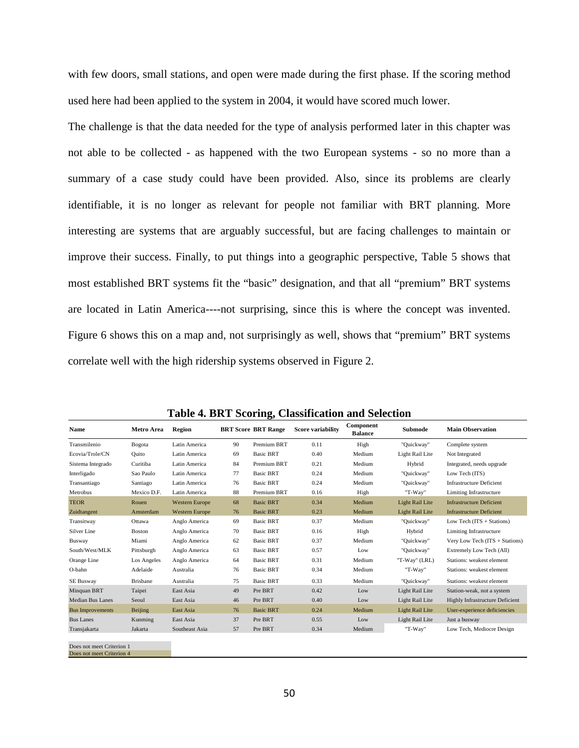with few doors, small stations, and open were made during the first phase. If the scoring method used here had been applied to the system in 2004, it would have scored much lower.

The challenge is that the data needed for the type of analysis performed later in this chapter was not able to be collected - as happened with the two European systems - so no more than a summary of a case study could have been provided. Also, since its problems are clearly identifiable, it is no longer as relevant for people not familiar with BRT planning. More interesting are systems that are arguably successful, but are facing challenges to maintain or improve their success. Finally, to put things into a geographic perspective, Table 5 shows that most established BRT systems fit the "basic" designation, and that all "premium" BRT systems are located in Latin America----not surprising, since this is where the concept was invented. Figure 6 shows this on a map and, not surprisingly as well, shows that "premium" BRT systems correlate well with the high ridership systems observed in Figure 2.

|                                                        |                 |                       |    | 01                         |                          |                             |                        |                                        |
|--------------------------------------------------------|-----------------|-----------------------|----|----------------------------|--------------------------|-----------------------------|------------------------|----------------------------------------|
| Name                                                   | Metro Area      | <b>Region</b>         |    | <b>BRT Score BRT Range</b> | <b>Score variability</b> | Component<br><b>Balance</b> | Submode                | <b>Main Observation</b>                |
| Transmilenio                                           | <b>Bogota</b>   | Latin America         | 90 | Premium BRT                | 0.11                     | High                        | "Quickway"             | Complete system                        |
| Ecovia/Trole/CN                                        | Ouito           | Latin America         | 69 | <b>Basic BRT</b>           | 0.40                     | Medium                      | Light Rail Lite        | Not Integrated                         |
| Sistema Integrado                                      | Curitiba        | Latin America         | 84 | Premium BRT                | 0.21                     | Medium                      | Hybrid                 | Integrated, needs upgrade              |
| Interligado                                            | Sao Paulo       | Latin America         | 77 | <b>Basic BRT</b>           | 0.24                     | Medium                      | "Quickway"             | Low Tech (ITS)                         |
| Transantiago                                           | Santiago        | Latin America         | 76 | <b>Basic BRT</b>           | 0.24                     | Medium                      | "Quickway"             | <b>Infrastructure Deficient</b>        |
| Metrobus                                               | Mexico D.F.     | Latin America         | 88 | Premium BRT                | 0.16                     | High                        | "T-Way"                | Limiting Infrastructure                |
| <b>TEOR</b>                                            | Rouen           | <b>Western Europe</b> | 68 | <b>Basic BRT</b>           | 0.34                     | Medium                      | <b>Light Rail Lite</b> | <b>Infrastructure Deficient</b>        |
| Zuidtangent                                            | Amsterdam       | <b>Western Europe</b> | 76 | <b>Basic BRT</b>           | 0.23                     | Medium                      | <b>Light Rail Lite</b> | <b>Infrastructure Deficient</b>        |
| Transitway                                             | Ottawa          | Anglo America         | 69 | <b>Basic BRT</b>           | 0.37                     | Medium                      | "Quickway"             | Low Tech (ITS + Stations)              |
| Silver Line                                            | <b>Boston</b>   | Anglo America         | 70 | <b>Basic BRT</b>           | 0.16                     | High                        | Hybrid                 | <b>Limiting Infrastructure</b>         |
| <b>Busway</b>                                          | Miami           | Anglo America         | 62 | <b>Basic BRT</b>           | 0.37                     | Medium                      | "Quickway"             | Very Low Tech (ITS + Stations)         |
| South/West/MLK                                         | Pittsburgh      | Anglo America         | 63 | <b>Basic BRT</b>           | 0.57                     | Low                         | "Quickway"             | Extremely Low Tech (All)               |
| Orange Line                                            | Los Angeles     | Anglo America         | 64 | <b>Basic BRT</b>           | 0.31                     | Medium                      | "T-Way" (LRL)          | Stations: weakest element              |
| O-bahn                                                 | Adelaide        | Australia             | 76 | <b>Basic BRT</b>           | 0.34                     | Medium                      | "T-Way"                | Stations: weakest element              |
| <b>SE Busway</b>                                       | <b>Brisbane</b> | Australia             | 75 | <b>Basic BRT</b>           | 0.33                     | Medium                      | "Quickway"             | Stations: weakest element              |
| Minquan BRT                                            | Taipei          | East Asia             | 49 | Pre BRT                    | 0.42                     | Low                         | Light Rail Lite        | Station-weak, not a system             |
| <b>Median Bus Lanes</b>                                | Seoul           | East Asia             | 46 | Pre BRT                    | 0.40                     | Low                         | Light Rail Lite        | <b>Highly Infrastructure Deficient</b> |
| <b>Bus Improvements</b>                                | Beijing         | East Asia             | 76 | <b>Basic BRT</b>           | 0.24                     | Medium                      | <b>Light Rail Lite</b> | User-experience deficiencies           |
| <b>Bus Lanes</b>                                       | Kunming         | East Asia             | 37 | Pre BRT                    | 0.55                     | Low                         | Light Rail Lite        | Just a busway                          |
| Transjakarta                                           | Jakarta         | Southeast Asia        | 57 | Pre BRT                    | 0.34                     | Medium                      | "T-Way"                | Low Tech, Mediocre Design              |
| Does not meet Criterion 1<br>Does not meet Criterion 4 |                 |                       |    |                            |                          |                             |                        |                                        |

**Table 4. BRT Scoring, Classification and Selection**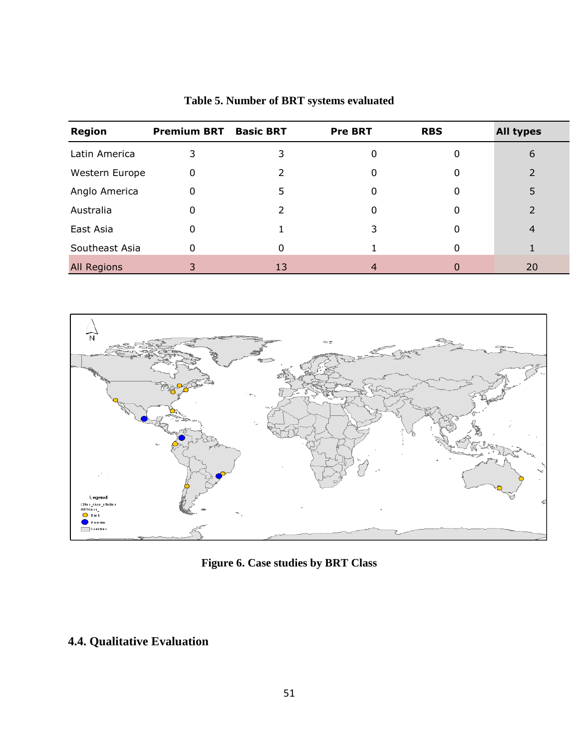| <b>Region</b>  | <b>Premium BRT</b> | <b>Basic BRT</b> | <b>Pre BRT</b> | <b>RBS</b> | <b>All types</b> |
|----------------|--------------------|------------------|----------------|------------|------------------|
| Latin America  | 3                  | 3                | 0              | O          | 6                |
| Western Europe | 0                  |                  |                |            |                  |
| Anglo America  | 0                  | 5                |                | 0          | 5                |
| Australia      | 0                  |                  |                | 0          |                  |
| East Asia      | 0                  |                  | 3              |            | 4                |
| Southeast Asia | 0                  | 0                |                | 0          |                  |
| All Regions    | 3                  | 13               | 4              |            | 20               |

# **Table 5. Number of BRT systems evaluated**



**Figure 6. Case studies by BRT Class** 

# **4.4. Qualitative Evaluation**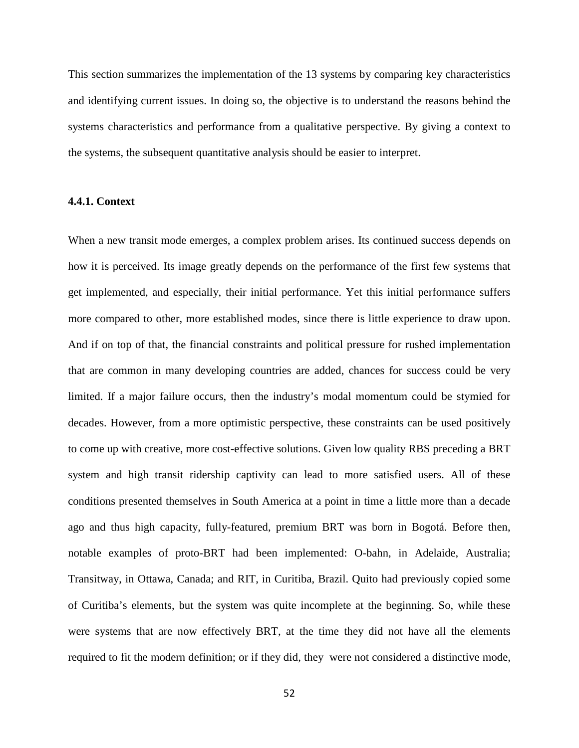This section summarizes the implementation of the 13 systems by comparing key characteristics and identifying current issues. In doing so, the objective is to understand the reasons behind the systems characteristics and performance from a qualitative perspective. By giving a context to the systems, the subsequent quantitative analysis should be easier to interpret.

### **4.4.1. Context**

When a new transit mode emerges, a complex problem arises. Its continued success depends on how it is perceived. Its image greatly depends on the performance of the first few systems that get implemented, and especially, their initial performance. Yet this initial performance suffers more compared to other, more established modes, since there is little experience to draw upon. And if on top of that, the financial constraints and political pressure for rushed implementation that are common in many developing countries are added, chances for success could be very limited. If a major failure occurs, then the industry's modal momentum could be stymied for decades. However, from a more optimistic perspective, these constraints can be used positively to come up with creative, more cost-effective solutions. Given low quality RBS preceding a BRT system and high transit ridership captivity can lead to more satisfied users. All of these conditions presented themselves in South America at a point in time a little more than a decade ago and thus high capacity, fully-featured, premium BRT was born in Bogotá. Before then, notable examples of proto-BRT had been implemented: O-bahn, in Adelaide, Australia; Transitway, in Ottawa, Canada; and RIT, in Curitiba, Brazil. Quito had previously copied some of Curitiba's elements, but the system was quite incomplete at the beginning. So, while these were systems that are now effectively BRT, at the time they did not have all the elements required to fit the modern definition; or if they did, they were not considered a distinctive mode,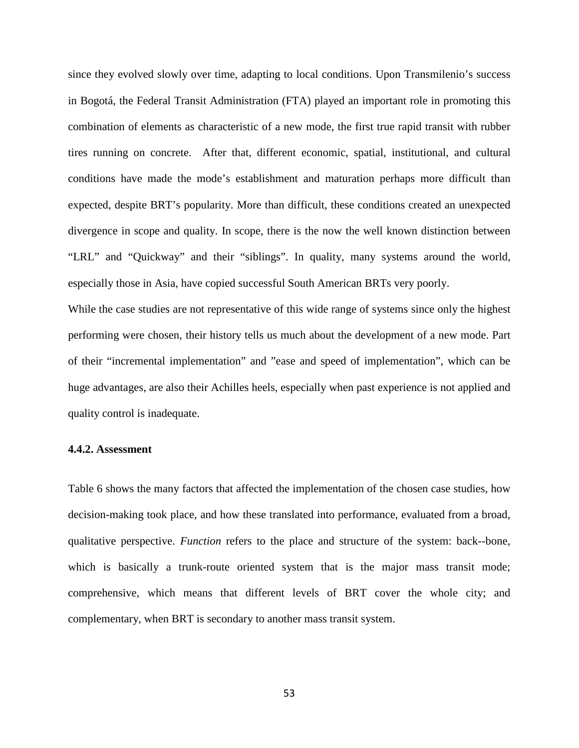since they evolved slowly over time, adapting to local conditions. Upon Transmilenio's success in Bogotá, the Federal Transit Administration (FTA) played an important role in promoting this combination of elements as characteristic of a new mode, the first true rapid transit with rubber tires running on concrete. After that, different economic, spatial, institutional, and cultural conditions have made the mode's establishment and maturation perhaps more difficult than expected, despite BRT's popularity. More than difficult, these conditions created an unexpected divergence in scope and quality. In scope, there is the now the well known distinction between "LRL" and "Quickway" and their "siblings". In quality, many systems around the world, especially those in Asia, have copied successful South American BRTs very poorly.

While the case studies are not representative of this wide range of systems since only the highest performing were chosen, their history tells us much about the development of a new mode. Part of their "incremental implementation" and "ease and speed of implementation", which can be huge advantages, are also their Achilles heels, especially when past experience is not applied and quality control is inadequate.

#### **4.4.2. Assessment**

Table 6 shows the many factors that affected the implementation of the chosen case studies, how decision-making took place, and how these translated into performance, evaluated from a broad, qualitative perspective. *Function* refers to the place and structure of the system: back--bone, which is basically a trunk-route oriented system that is the major mass transit mode; comprehensive, which means that different levels of BRT cover the whole city; and complementary, when BRT is secondary to another mass transit system.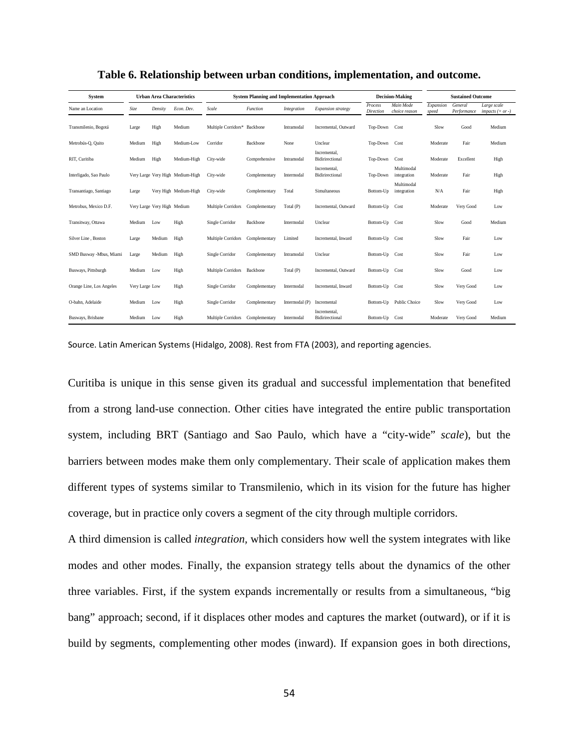| <b>System</b>            | <b>Urban Area Characteristics</b> |                             |                                  | <b>System Planning and Implementation Approach</b> |               |                |                                 |                             | <b>Decision-Making</b>     | <b>Sustained Outcome</b> |                        |                                   |
|--------------------------|-----------------------------------|-----------------------------|----------------------------------|----------------------------------------------------|---------------|----------------|---------------------------------|-----------------------------|----------------------------|--------------------------|------------------------|-----------------------------------|
| Name an Location         | Size                              | Density                     | Econ. Dev.                       | Scale                                              | Function      | Integration    | Expansion strategy              | Process<br><b>Direction</b> | Main Mode<br>choice reason | Expansion<br>speed       | General<br>Performance | Large scale<br>impacts $(+ or -)$ |
| Transmilenio, Bogotá     | Large                             | High                        | Medium                           | Multiple Corridors* Backbone                       |               | Intramodal     | Incremental, Outward            | Top-Down                    | Cost                       | Slow                     | Good                   | Medium                            |
| Metrobús-O, Quito        | Medium                            | High                        | Medium-Low                       | Corridor                                           | Backbone      | None           | Unclear                         | Top-Down                    | Cost                       | Moderate                 | Fair                   | Medium                            |
| RIT, Curitiba            | Medium                            | High                        | Medium-High                      | City-wide                                          | Comprehensive | Intramodal     | Incremental.<br>Bidirirectional | Top-Down                    | Cost                       | Moderate                 | Excellent              | High                              |
| Interligado, Sao Paulo   |                                   |                             | Very Large Very High Medium-High | City-wide                                          | Complementary | Intermodal     | Incremental.<br>Bidirirectional | Top-Down                    | Multimodal<br>integration  | Moderate                 | Fair                   | High                              |
| Transantiago, Santiago   | Large                             |                             | Very High Medium-High            | City-wide                                          | Complementary | Total          | Simultaneous                    | Bottom-Up                   | Multimodal<br>integration  | N/A                      | Fair                   | High                              |
| Metrobus, Mexico D.F.    |                                   | Very Large Very High Medium |                                  | Multiple Corridors                                 | Complementary | Total (P)      | Incremental, Outward            | Bottom-Up                   | Cost                       | Moderate                 | Very Good              | Low                               |
| Transitway, Ottawa       | Medium                            | Low                         | High                             | Single Corridor                                    | Backbone      | Intermodal     | Unclear                         | Bottom-Up                   | Cost                       | Slow                     | Good                   | Medium                            |
| Silver Line, Boston      | Large                             | Medium                      | High                             | Multiple Corridors                                 | Complementary | Limited        | Incremental, Inward             | Bottom-Up                   | Cost                       | Slow                     | Fair                   | Low                               |
| SMD Busway -Mbus, Miami  | Large                             | Medium                      | High                             | Single Corridor                                    | Complementary | Intramodal     | Unclear                         | Bottom-Up                   | Cost                       | Slow                     | Fair                   | Low                               |
| Busways, Pittsburgh      | Medium                            | Low                         | High                             | Multiple Corridors                                 | Backbone      | Total (P)      | Incremental, Outward            | Bottom-Up                   | Cost                       | Slow                     | Good                   | Low                               |
| Orange Line, Los Angeles | Very Large Low                    |                             | High                             | Single Corridor                                    | Complementary | Intermodal     | Incremental, Inward             | Bottom-Up                   | Cost                       | Slow                     | Very Good              | Low                               |
| O-bahn, Adelaide         | Medium                            | Low                         | High                             | Single Corridor                                    | Complementary | Intermodal (P) | Incremental                     | Bottom-Up                   | Public Choice              | Slow                     | Very Good              | Low                               |
| Busways, Brisbane        | Medium                            | Low                         | High                             | Multiple Corridors                                 | Complementary | Intermodal     | Incremental.<br>Bidirirectional | Bottom-Up                   | Cost                       | Moderate                 | Very Good              | Medium                            |

**Table 6. Relationship between urban conditions, implementation, and outcome.** 

Source. Latin American Systems (Hidalgo, 2008). Rest from FTA (2003), and reporting agencies.

Curitiba is unique in this sense given its gradual and successful implementation that benefited from a strong land-use connection. Other cities have integrated the entire public transportation system, including BRT (Santiago and Sao Paulo, which have a "city-wide" *scale*), but the barriers between modes make them only complementary. Their scale of application makes them different types of systems similar to Transmilenio, which in its vision for the future has higher coverage, but in practice only covers a segment of the city through multiple corridors.

A third dimension is called *integration,* which considers how well the system integrates with like modes and other modes. Finally, the expansion strategy tells about the dynamics of the other three variables. First, if the system expands incrementally or results from a simultaneous, "big bang" approach; second, if it displaces other modes and captures the market (outward), or if it is build by segments, complementing other modes (inward). If expansion goes in both directions,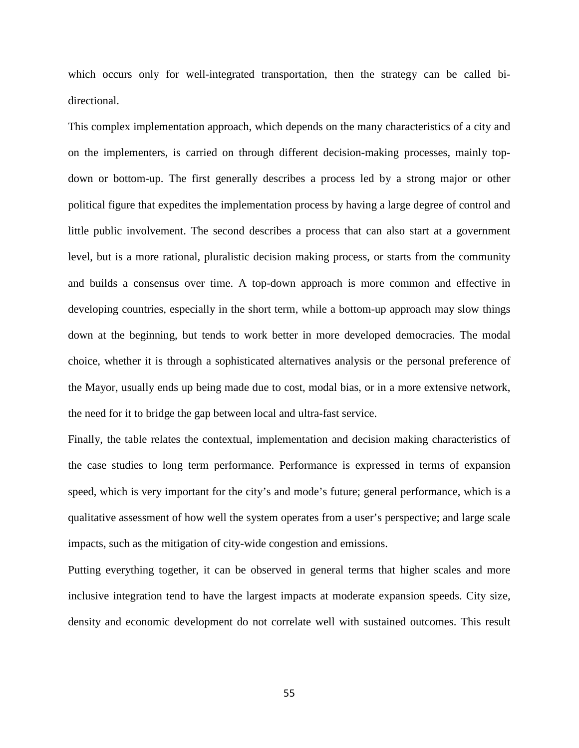which occurs only for well-integrated transportation, then the strategy can be called bidirectional.

This complex implementation approach, which depends on the many characteristics of a city and on the implementers, is carried on through different decision-making processes, mainly topdown or bottom-up. The first generally describes a process led by a strong major or other political figure that expedites the implementation process by having a large degree of control and little public involvement. The second describes a process that can also start at a government level, but is a more rational, pluralistic decision making process, or starts from the community and builds a consensus over time. A top-down approach is more common and effective in developing countries, especially in the short term, while a bottom-up approach may slow things down at the beginning, but tends to work better in more developed democracies. The modal choice, whether it is through a sophisticated alternatives analysis or the personal preference of the Mayor, usually ends up being made due to cost, modal bias, or in a more extensive network, the need for it to bridge the gap between local and ultra-fast service.

Finally, the table relates the contextual, implementation and decision making characteristics of the case studies to long term performance. Performance is expressed in terms of expansion speed, which is very important for the city's and mode's future; general performance, which is a qualitative assessment of how well the system operates from a user's perspective; and large scale impacts, such as the mitigation of city-wide congestion and emissions.

Putting everything together, it can be observed in general terms that higher scales and more inclusive integration tend to have the largest impacts at moderate expansion speeds. City size, density and economic development do not correlate well with sustained outcomes. This result

55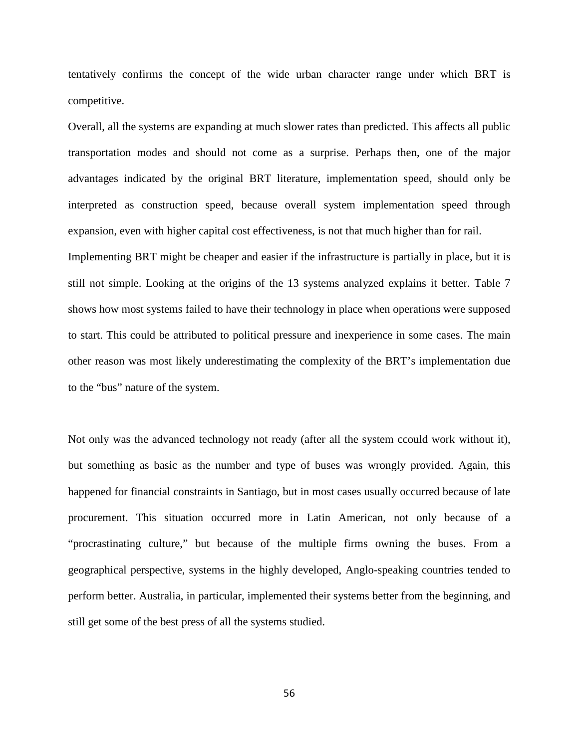tentatively confirms the concept of the wide urban character range under which BRT is competitive.

Overall, all the systems are expanding at much slower rates than predicted. This affects all public transportation modes and should not come as a surprise. Perhaps then, one of the major advantages indicated by the original BRT literature, implementation speed, should only be interpreted as construction speed, because overall system implementation speed through expansion, even with higher capital cost effectiveness, is not that much higher than for rail.

Implementing BRT might be cheaper and easier if the infrastructure is partially in place, but it is still not simple. Looking at the origins of the 13 systems analyzed explains it better. Table 7 shows how most systems failed to have their technology in place when operations were supposed to start. This could be attributed to political pressure and inexperience in some cases. The main other reason was most likely underestimating the complexity of the BRT's implementation due to the "bus" nature of the system.

Not only was the advanced technology not ready (after all the system ccould work without it), but something as basic as the number and type of buses was wrongly provided. Again, this happened for financial constraints in Santiago, but in most cases usually occurred because of late procurement. This situation occurred more in Latin American, not only because of a "procrastinating culture," but because of the multiple firms owning the buses. From a geographical perspective, systems in the highly developed, Anglo-speaking countries tended to perform better. Australia, in particular, implemented their systems better from the beginning, and still get some of the best press of all the systems studied.

56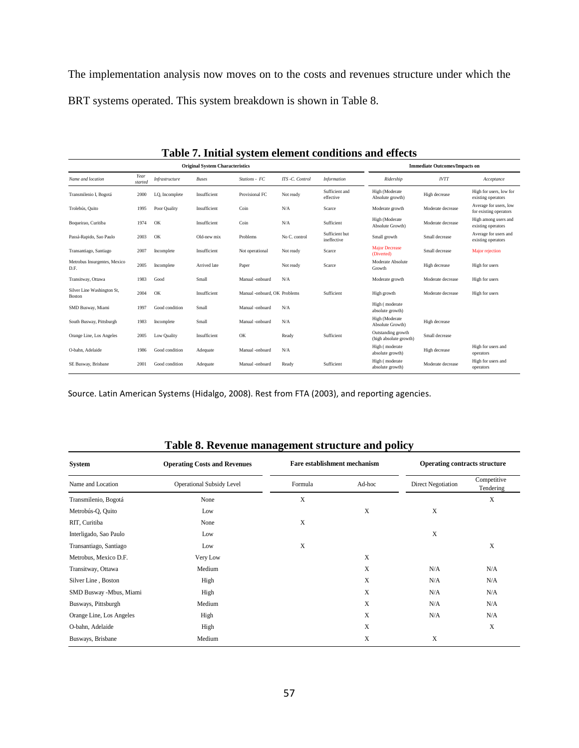The implementation analysis now moves on to the costs and revenues structure under which the BRT systems operated. This system breakdown is shown in Table 8.

|                                      | <b>Original System Characteristics</b> | <b>Immediate Outcomes/Impacts on</b> |              |                              |                 |                               |                                              |                   |                                                  |
|--------------------------------------|----------------------------------------|--------------------------------------|--------------|------------------------------|-----------------|-------------------------------|----------------------------------------------|-------------------|--------------------------------------------------|
| Name and location                    | Year<br>started                        | Infrastructure                       | <b>Buses</b> | Stations - FC                | ITS -C. Control | <b>Information</b>            | Ridership                                    | <b>IVTT</b>       | Acceptance                                       |
| Transmilenio I, Bogotá               | 2000                                   | LQ, Incomplete                       | Insufficient | Provisional FC               | Not ready       | Sufficient and<br>effective   | High (Moderate<br>Absolute growth)           | High decrease     | High for users, low for<br>existing operators    |
| Trolebús, Quito                      | 1995                                   | Poor Quality                         | Insufficient | Coin                         | N/A             | Scarce                        | Moderate growth                              | Moderate decrease | Average for users, low<br>for existing operators |
| Boqueirao, Curitiba                  | 1974                                   | OK                                   | Insufficient | Coin                         | N/A             | Sufficient                    | High (Moderate<br>Absolute Growth)           | Moderate decrease | High among users and<br>existing operators       |
| Passá-Rapido, Sao Paulo              | 2003                                   | OK                                   | Old-new mix  | Problems                     | No C. control   | Sufficient but<br>ineffective | Small growth                                 | Small decrease    | Average for users and<br>existing operators      |
| Transantiago, Santiago               | 2007                                   | Incomplete                           | Insufficient | Not operational              | Not ready       | Scarce                        | <b>Major Decrease</b><br>(Diverted)          | Small decrease    | Major rejection                                  |
| Metrobus Insurgentes, Mexico<br>D.F. | 2005                                   | Incomplete                           | Arrived late | Paper                        | Not ready       | Scarce                        | Moderate Absolute<br>Growth                  | High decrease     | High for users                                   |
| Transitway, Ottawa                   | 1983                                   | Good                                 | Small        | Manual -onboard              | N/A             |                               | Moderate growth                              | Moderate decrease | High for users                                   |
| Silver Line Washington St,<br>Boston | 2004                                   | OK                                   | Insufficient | Manual -onboard, OK Problems |                 | Sufficient                    | High growth                                  | Moderate decrease | High for users                                   |
| SMD Busway, Miami                    | 1997                                   | Good condition                       | Small        | Manual -onboard              | N/A             |                               | High (moderate<br>absolute growth)           |                   |                                                  |
| South Busway, Pittsburgh             | 1983                                   | Incomplete                           | Small        | Manual -onboard              | N/A             |                               | High (Moderate<br>Absolute Growth)           | High decrease     |                                                  |
| Orange Line, Los Angeles             | 2005                                   | Low Quality                          | Insufficient | OK                           | Ready           | Sufficient                    | Outstanding growth<br>(high absolute growth) | Small decrease    |                                                  |
| O-bahn, Adelaide                     | 1986                                   | Good condition                       | Adequate     | Manual -onboard              | N/A             |                               | High (moderate<br>absolute growth)           | High decrease     | High for users and<br>operators                  |
| SE Busway, Brisbane                  | 2001                                   | Good condition                       | Adequate     | Manual -onboard              | Ready           | Sufficient                    | High (moderate<br>absolute growth)           | Moderate decrease | High for users and<br>operators                  |

**Table 7. Initial system element conditions and effects** 

Source. Latin American Systems (Hidalgo, 2008). Rest from FTA (2003), and reporting agencies.

|                          | Table of Revenue management su ucture and poncy |                                     |             |                                      |                          |  |
|--------------------------|-------------------------------------------------|-------------------------------------|-------------|--------------------------------------|--------------------------|--|
| <b>System</b>            | <b>Operating Costs and Revenues</b>             | <b>Fare establishment mechanism</b> |             | <b>Operating contracts structure</b> |                          |  |
| Name and Location        | <b>Operational Subsidy Level</b>                | Formula                             | Ad-hoc      | <b>Direct Negotiation</b>            | Competitive<br>Tendering |  |
| Transmilenio, Bogotá     | None                                            | X                                   |             |                                      | X                        |  |
| Metrobús-Q, Quito        | Low                                             |                                     | X           | X                                    |                          |  |
| RIT, Curitiba            | None                                            | X                                   |             |                                      |                          |  |
| Interligado, Sao Paulo   | Low                                             |                                     |             | $\mathbf X$                          |                          |  |
| Transantiago, Santiago   | Low                                             | X                                   |             |                                      | X                        |  |
| Metrobus, Mexico D.F.    | Very Low                                        |                                     | $\mathbf X$ |                                      |                          |  |
| Transitway, Ottawa       | Medium                                          |                                     | $\mathbf X$ | N/A                                  | N/A                      |  |
| Silver Line, Boston      | High                                            |                                     | X           | N/A                                  | N/A                      |  |
| SMD Busway -Mbus, Miami  | High                                            |                                     | $\mathbf X$ | N/A                                  | N/A                      |  |
| Busways, Pittsburgh      | Medium                                          |                                     | X           | N/A                                  | N/A                      |  |
| Orange Line, Los Angeles | High                                            |                                     | X           | N/A                                  | N/A                      |  |
| O-bahn, Adelaide         | High                                            |                                     | X           |                                      | X                        |  |
| Busways, Brisbane        | Medium                                          |                                     | X           | X                                    |                          |  |

### **Table 8. Revenue management structure and policy**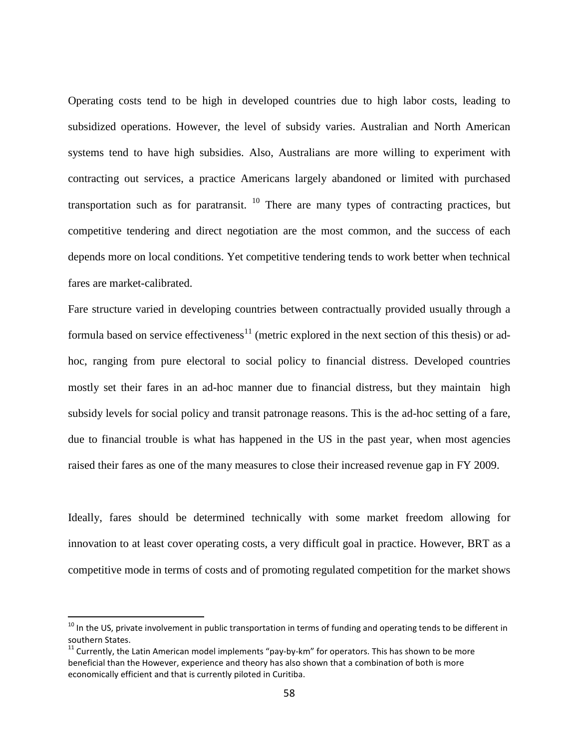Operating costs tend to be high in developed countries due to high labor costs, leading to subsidized operations. However, the level of subsidy varies. Australian and North American systems tend to have high subsidies. Also, Australians are more willing to experiment with contracting out services, a practice Americans largely abandoned or limited with purchased transportation such as for paratransit.  $10$  There are many types of contracting practices, but competitive tendering and direct negotiation are the most common, and the success of each depends more on local conditions. Yet competitive tendering tends to work better when technical fares are market-calibrated.

Fare structure varied in developing countries between contractually provided usually through a formula based on service effectiveness<sup>11</sup> (metric explored in the next section of this thesis) or adhoc, ranging from pure electoral to social policy to financial distress. Developed countries mostly set their fares in an ad-hoc manner due to financial distress, but they maintain high subsidy levels for social policy and transit patronage reasons. This is the ad-hoc setting of a fare, due to financial trouble is what has happened in the US in the past year, when most agencies raised their fares as one of the many measures to close their increased revenue gap in FY 2009.

Ideally, fares should be determined technically with some market freedom allowing for innovation to at least cover operating costs, a very difficult goal in practice. However, BRT as a competitive mode in terms of costs and of promoting regulated competition for the market shows

.

 $10$  In the US, private involvement in public transportation in terms of funding and operating tends to be different in southern States.

 $11$  Currently, the Latin American model implements "pay-by-km" for operators. This has shown to be more beneficial than the However, experience and theory has also shown that a combination of both is more economically efficient and that is currently piloted in Curitiba.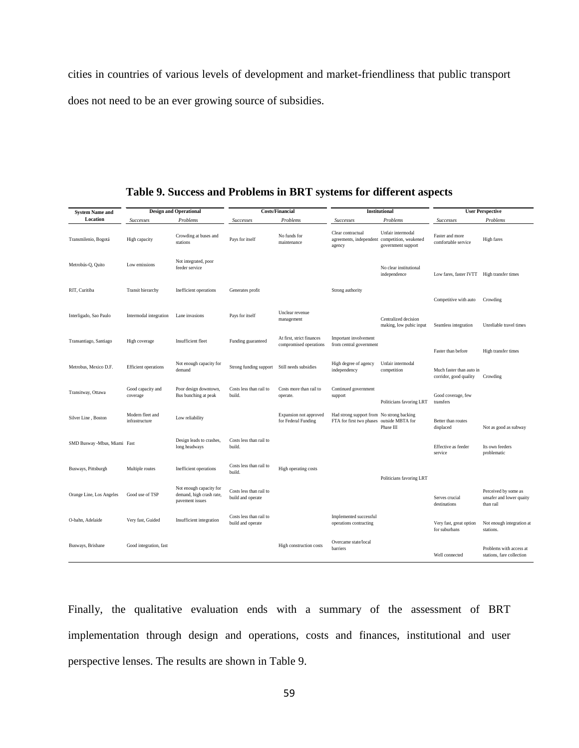cities in countries of various levels of development and market-friendliness that public transport does not need to be an ever growing source of subsidies.

| <b>System Name and</b>       |                                    | <b>Design and Operational</b>                                          |                                              | <b>Costs/Financial</b>                              |                                                                                        | Institutional                                                    | <b>User Perspective</b>                            |                                                               |  |
|------------------------------|------------------------------------|------------------------------------------------------------------------|----------------------------------------------|-----------------------------------------------------|----------------------------------------------------------------------------------------|------------------------------------------------------------------|----------------------------------------------------|---------------------------------------------------------------|--|
| Location                     | <b>Successes</b>                   | Problems                                                               | <b>Successes</b>                             | Problems                                            | <b>Successes</b>                                                                       | Problems                                                         | <b>Successes</b>                                   | Problems                                                      |  |
| Transmilenio, Bogotá         | High capacity                      | Crowding at buses and<br>stations                                      | Pays for itself                              | No funds for<br>maintenance                         | Clear contractual<br>agreements, independent<br>agency                                 | Unfair intermodal<br>competition, weakened<br>government support | Faster and more<br>comfortable service             | High fares                                                    |  |
| Metrobús-Q, Quito            | Low emissions                      | Not integrated, poor<br>feeder service                                 |                                              |                                                     |                                                                                        | No clear institutional<br>independence                           | Low fares, faster IVTT                             | High transfer times                                           |  |
| RIT, Curitiba                | Transit hierarchy                  | Inefficient operations                                                 | Generates profit                             |                                                     | Strong authority                                                                       |                                                                  | Competitive with auto                              | Crowding                                                      |  |
| Interligado, Sao Paulo       | Intermodal integration             | Lane invasions                                                         | Pays for itself                              | Unclear revenue<br>management                       |                                                                                        | Centralized decision<br>making, low pubic input                  | Seamless integration                               | Unreliable travel times                                       |  |
| Transantiago, Santiago       | High coverage                      | Insufficient fleet                                                     | Funding guaranteed                           | At first, strict finances<br>compromised operations | Important involvement<br>from central government                                       |                                                                  | Faster than before                                 | High transfer times                                           |  |
| Metrobus, Mexico D.F.        | <b>Efficient</b> operations        | Not enough capacity for<br>demand                                      | Strong funding support                       | Still needs subsidies                               | High degree of agency<br>independency                                                  | Unfair intermodal<br>competition                                 | Much faster than auto in<br>corridor, good quality | Crowding                                                      |  |
| Transitway, Ottawa           | Good capacity and<br>coverage      | Poor design downtown,<br>Bus bunching at peak                          | Costs less than rail to<br>build.            | Costs more than rail to<br>operate.                 | Continued government<br>support                                                        | Politicians favoring LRT                                         | Good coverage, few<br>transfers                    |                                                               |  |
| Silver Line, Boston          | Modern fleet and<br>infrastructure | Low reliability                                                        |                                              | Expansion not approved<br>for Federal Funding       | Had strong support from No strong backing<br>FTA for first two phases outside MBTA for | Phase III                                                        | Better than routes<br>displaced                    | Not as good as subway                                         |  |
| SMD Busway -Mbus, Miami Fast |                                    | Design leads to crashes,<br>long headways                              | Costs less than rail to<br>build.            |                                                     |                                                                                        |                                                                  | Effective as feeder<br>service                     | Its own feeders<br>problematic                                |  |
| Busways, Pittsburgh          | Multiple routes                    | Inefficient operations                                                 | Costs less than rail to<br>build.            | High operating costs                                |                                                                                        | Politicians favoring LRT                                         |                                                    |                                                               |  |
| Orange Line, Los Angeles     | Good use of TSP                    | Not enough capacity for<br>demand, high crash rate,<br>pavement issues | Costs less than rail to<br>build and operate |                                                     |                                                                                        |                                                                  | Serves crucial<br>destinations                     | Perceived by some as<br>unsafer and lower quaity<br>than rail |  |
| O-bahn, Adelaide             | Very fast, Guided                  | Insufficient integration                                               | Costs less than rail to<br>build and operate |                                                     | Implemented successful<br>operations contracting                                       |                                                                  | Very fast, great option<br>for suburbans           | Not enough integration at<br>stations.                        |  |
| Busways, Brisbane            | Good integration, fast             |                                                                        |                                              | High construction costs                             | Overcame state/local<br>barriers                                                       |                                                                  | Well connected                                     | Problems with access at<br>stations, fare collection          |  |

**Table 9. Success and Problems in BRT systems for different aspects** 

Finally, the qualitative evaluation ends with a summary of the assessment of BRT implementation through design and operations, costs and finances, institutional and user perspective lenses. The results are shown in Table 9.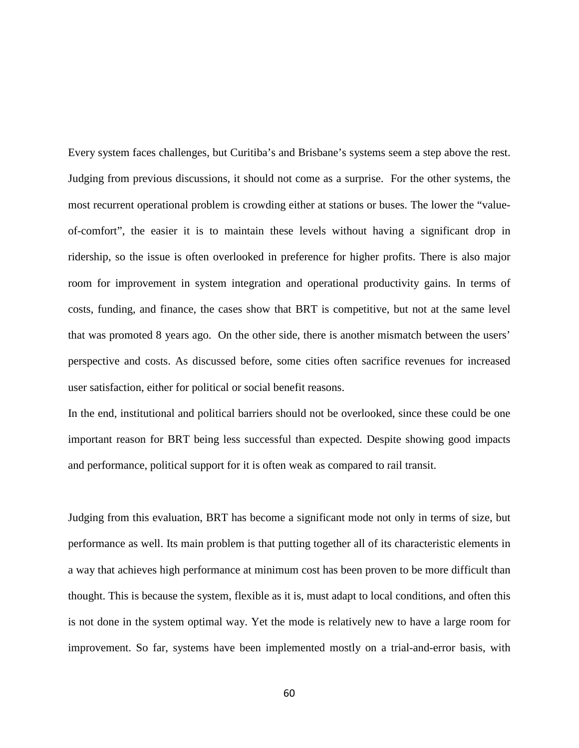Every system faces challenges, but Curitiba's and Brisbane's systems seem a step above the rest. Judging from previous discussions, it should not come as a surprise. For the other systems, the most recurrent operational problem is crowding either at stations or buses. The lower the "valueof-comfort", the easier it is to maintain these levels without having a significant drop in ridership, so the issue is often overlooked in preference for higher profits. There is also major room for improvement in system integration and operational productivity gains. In terms of costs, funding, and finance, the cases show that BRT is competitive, but not at the same level that was promoted 8 years ago. On the other side, there is another mismatch between the users' perspective and costs. As discussed before, some cities often sacrifice revenues for increased user satisfaction, either for political or social benefit reasons.

In the end, institutional and political barriers should not be overlooked, since these could be one important reason for BRT being less successful than expected. Despite showing good impacts and performance, political support for it is often weak as compared to rail transit.

Judging from this evaluation, BRT has become a significant mode not only in terms of size, but performance as well. Its main problem is that putting together all of its characteristic elements in a way that achieves high performance at minimum cost has been proven to be more difficult than thought. This is because the system, flexible as it is, must adapt to local conditions, and often this is not done in the system optimal way. Yet the mode is relatively new to have a large room for improvement. So far, systems have been implemented mostly on a trial-and-error basis, with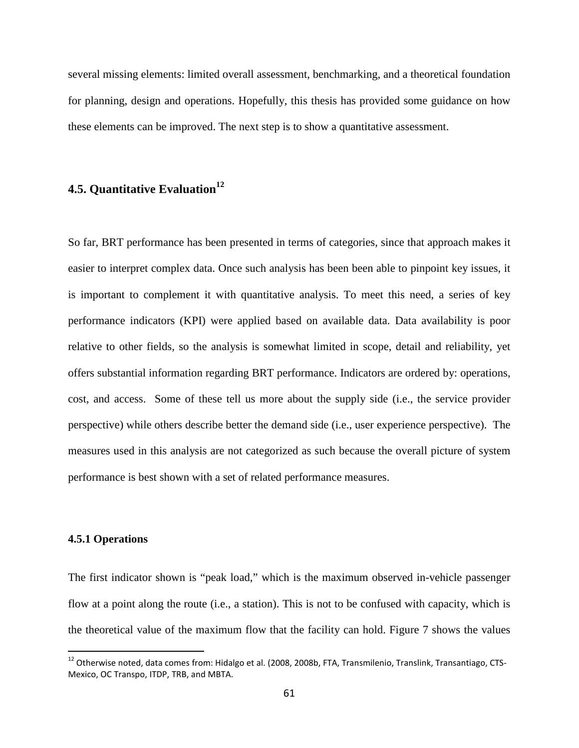several missing elements: limited overall assessment, benchmarking, and a theoretical foundation for planning, design and operations. Hopefully, this thesis has provided some guidance on how these elements can be improved. The next step is to show a quantitative assessment.

### **4.5. Quantitative Evaluation<sup>12</sup>**

So far, BRT performance has been presented in terms of categories, since that approach makes it easier to interpret complex data. Once such analysis has been been able to pinpoint key issues, it is important to complement it with quantitative analysis. To meet this need, a series of key performance indicators (KPI) were applied based on available data. Data availability is poor relative to other fields, so the analysis is somewhat limited in scope, detail and reliability, yet offers substantial information regarding BRT performance. Indicators are ordered by: operations, cost, and access. Some of these tell us more about the supply side (i.e., the service provider perspective) while others describe better the demand side (i.e., user experience perspective). The measures used in this analysis are not categorized as such because the overall picture of system performance is best shown with a set of related performance measures.

### **4.5.1 Operations**

.

The first indicator shown is "peak load," which is the maximum observed in-vehicle passenger flow at a point along the route (i.e., a station). This is not to be confused with capacity, which is the theoretical value of the maximum flow that the facility can hold. Figure 7 shows the values

<sup>&</sup>lt;sup>12</sup> Otherwise noted, data comes from: Hidalgo et al. (2008, 2008b, FTA, Transmilenio, Translink, Transantiago, CTS-Mexico, OC Transpo, ITDP, TRB, and MBTA.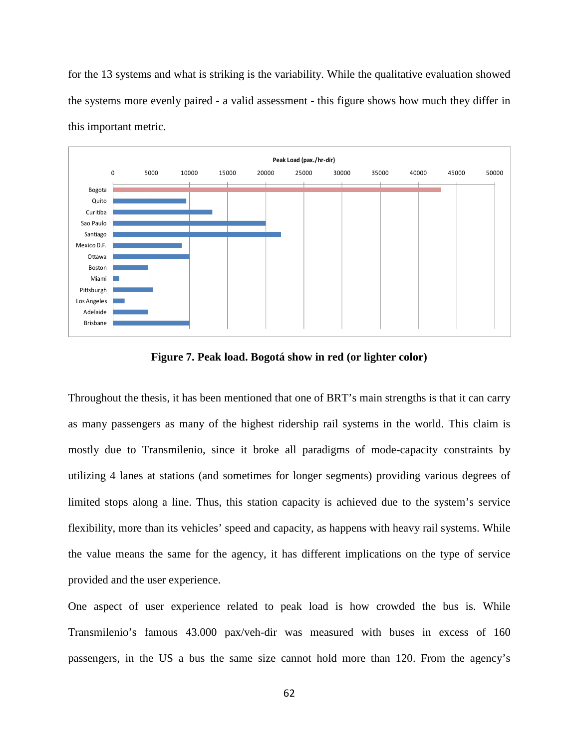for the 13 systems and what is striking is the variability. While the qualitative evaluation showed the systems more evenly paired - a valid assessment - this figure shows how much they differ in this important metric.



**Figure 7. Peak load. Bogotá show in red (or lighter color)** 

Throughout the thesis, it has been mentioned that one of BRT's main strengths is that it can carry as many passengers as many of the highest ridership rail systems in the world. This claim is mostly due to Transmilenio, since it broke all paradigms of mode-capacity constraints by utilizing 4 lanes at stations (and sometimes for longer segments) providing various degrees of limited stops along a line. Thus, this station capacity is achieved due to the system's service flexibility, more than its vehicles' speed and capacity, as happens with heavy rail systems. While the value means the same for the agency, it has different implications on the type of service provided and the user experience.

One aspect of user experience related to peak load is how crowded the bus is. While Transmilenio's famous 43.000 pax/veh-dir was measured with buses in excess of 160 passengers, in the US a bus the same size cannot hold more than 120. From the agency's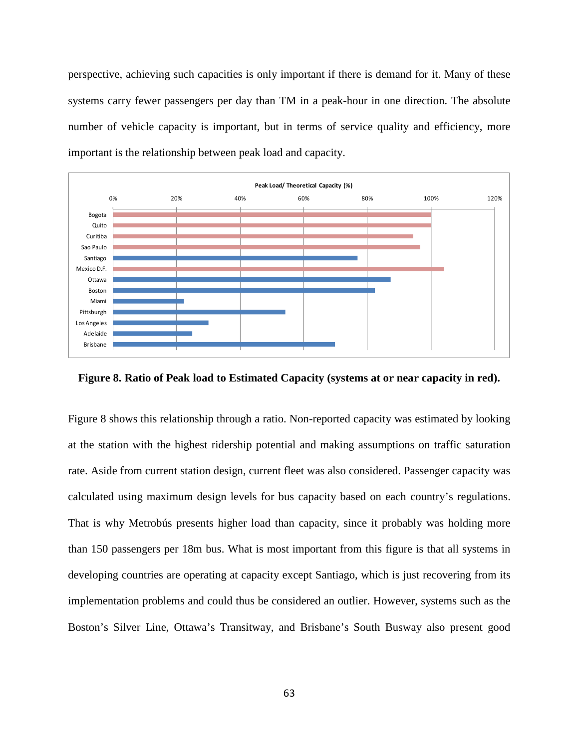perspective, achieving such capacities is only important if there is demand for it. Many of these systems carry fewer passengers per day than TM in a peak-hour in one direction. The absolute number of vehicle capacity is important, but in terms of service quality and efficiency, more important is the relationship between peak load and capacity.



**Figure 8. Ratio of Peak load to Estimated Capacity (systems at or near capacity in red).** 

Figure 8 shows this relationship through a ratio. Non-reported capacity was estimated by looking at the station with the highest ridership potential and making assumptions on traffic saturation rate. Aside from current station design, current fleet was also considered. Passenger capacity was calculated using maximum design levels for bus capacity based on each country's regulations. That is why Metrobús presents higher load than capacity, since it probably was holding more than 150 passengers per 18m bus. What is most important from this figure is that all systems in developing countries are operating at capacity except Santiago, which is just recovering from its implementation problems and could thus be considered an outlier. However, systems such as the Boston's Silver Line, Ottawa's Transitway, and Brisbane's South Busway also present good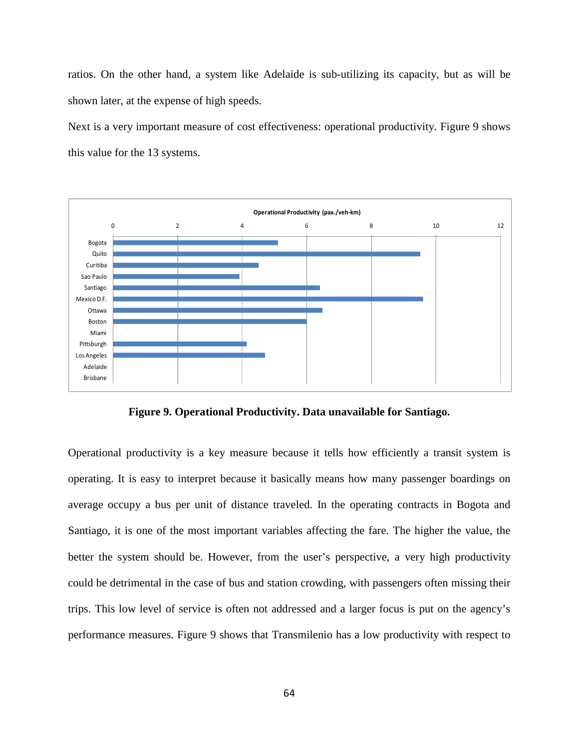ratios. On the other hand, a system like Adelaide is sub-utilizing its capacity, but as will be shown later, at the expense of high speeds.

Next is a very important measure of cost effectiveness: operational productivity. Figure 9 shows this value for the 13 systems.



**Figure 9. Operational Productivity. Data unavailable for Santiago.** 

Operational productivity is a key measure because it tells how efficiently a transit system is operating. It is easy to interpret because it basically means how many passenger boardings on average occupy a bus per unit of distance traveled. In the operating contracts in Bogota and Santiago, it is one of the most important variables affecting the fare. The higher the value, the better the system should be. However, from the user's perspective, a very high productivity could be detrimental in the case of bus and station crowding, with passengers often missing their trips. This low level of service is often not addressed and a larger focus is put on the agency's performance measures. Figure 9 shows that Transmilenio has a low productivity with respect to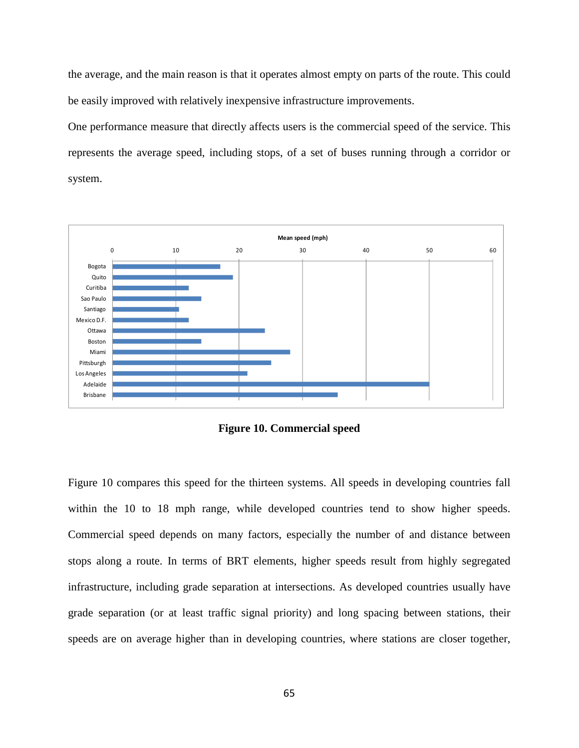the average, and the main reason is that it operates almost empty on parts of the route. This could be easily improved with relatively inexpensive infrastructure improvements.

One performance measure that directly affects users is the commercial speed of the service. This represents the average speed, including stops, of a set of buses running through a corridor or system.



**Figure 10. Commercial speed** 

Figure 10 compares this speed for the thirteen systems. All speeds in developing countries fall within the 10 to 18 mph range, while developed countries tend to show higher speeds. Commercial speed depends on many factors, especially the number of and distance between stops along a route. In terms of BRT elements, higher speeds result from highly segregated infrastructure, including grade separation at intersections. As developed countries usually have grade separation (or at least traffic signal priority) and long spacing between stations, their speeds are on average higher than in developing countries, where stations are closer together,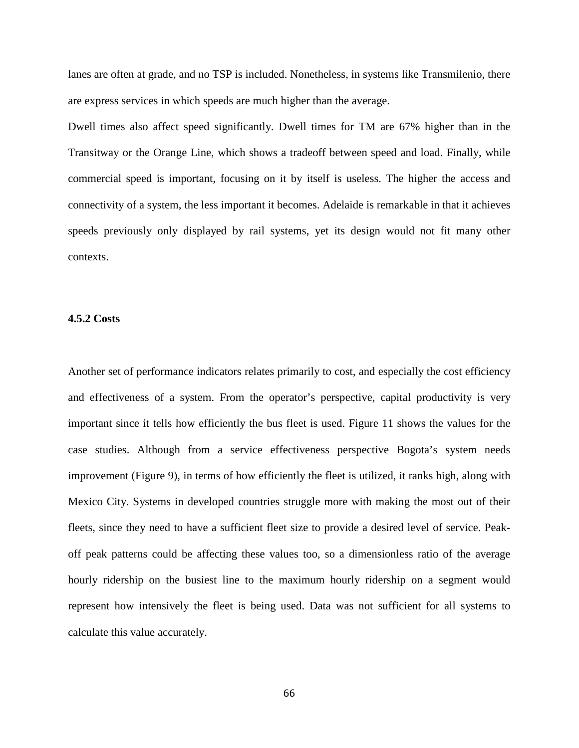lanes are often at grade, and no TSP is included. Nonetheless, in systems like Transmilenio, there are express services in which speeds are much higher than the average.

Dwell times also affect speed significantly. Dwell times for TM are 67% higher than in the Transitway or the Orange Line, which shows a tradeoff between speed and load. Finally, while commercial speed is important, focusing on it by itself is useless. The higher the access and connectivity of a system, the less important it becomes. Adelaide is remarkable in that it achieves speeds previously only displayed by rail systems, yet its design would not fit many other contexts.

## **4.5.2 Costs**

Another set of performance indicators relates primarily to cost, and especially the cost efficiency and effectiveness of a system. From the operator's perspective, capital productivity is very important since it tells how efficiently the bus fleet is used. Figure 11 shows the values for the case studies. Although from a service effectiveness perspective Bogota's system needs improvement (Figure 9), in terms of how efficiently the fleet is utilized, it ranks high, along with Mexico City. Systems in developed countries struggle more with making the most out of their fleets, since they need to have a sufficient fleet size to provide a desired level of service. Peakoff peak patterns could be affecting these values too, so a dimensionless ratio of the average hourly ridership on the busiest line to the maximum hourly ridership on a segment would represent how intensively the fleet is being used. Data was not sufficient for all systems to calculate this value accurately.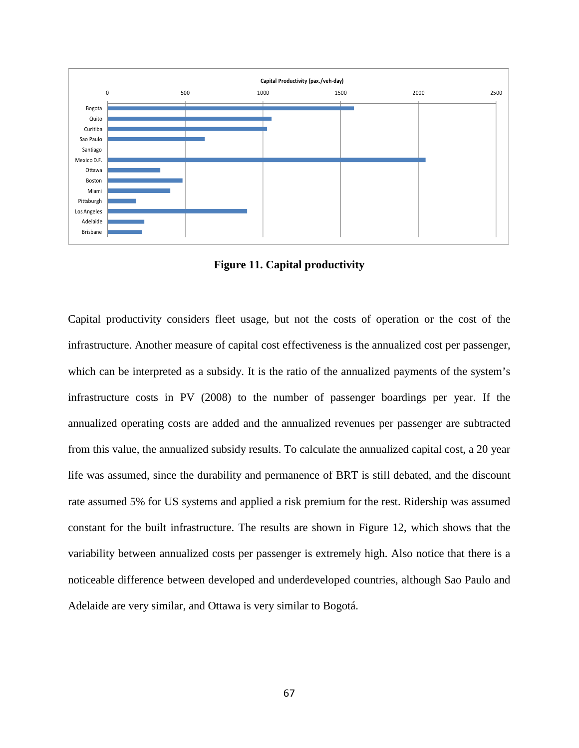

**Figure 11. Capital productivity** 

Capital productivity considers fleet usage, but not the costs of operation or the cost of the infrastructure. Another measure of capital cost effectiveness is the annualized cost per passenger, which can be interpreted as a subsidy. It is the ratio of the annualized payments of the system's infrastructure costs in PV (2008) to the number of passenger boardings per year. If the annualized operating costs are added and the annualized revenues per passenger are subtracted from this value, the annualized subsidy results. To calculate the annualized capital cost, a 20 year life was assumed, since the durability and permanence of BRT is still debated, and the discount rate assumed 5% for US systems and applied a risk premium for the rest. Ridership was assumed constant for the built infrastructure. The results are shown in Figure 12, which shows that the variability between annualized costs per passenger is extremely high. Also notice that there is a noticeable difference between developed and underdeveloped countries, although Sao Paulo and Adelaide are very similar, and Ottawa is very similar to Bogotá.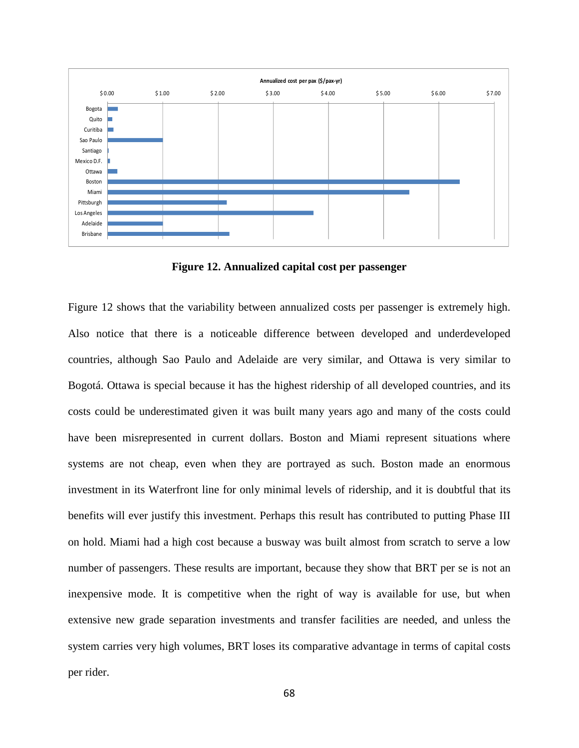

**Figure 12. Annualized capital cost per passenger** 

Figure 12 shows that the variability between annualized costs per passenger is extremely high. Also notice that there is a noticeable difference between developed and underdeveloped countries, although Sao Paulo and Adelaide are very similar, and Ottawa is very similar to Bogotá. Ottawa is special because it has the highest ridership of all developed countries, and its costs could be underestimated given it was built many years ago and many of the costs could have been misrepresented in current dollars. Boston and Miami represent situations where systems are not cheap, even when they are portrayed as such. Boston made an enormous investment in its Waterfront line for only minimal levels of ridership, and it is doubtful that its benefits will ever justify this investment. Perhaps this result has contributed to putting Phase III on hold. Miami had a high cost because a busway was built almost from scratch to serve a low number of passengers. These results are important, because they show that BRT per se is not an inexpensive mode. It is competitive when the right of way is available for use, but when extensive new grade separation investments and transfer facilities are needed, and unless the system carries very high volumes, BRT loses its comparative advantage in terms of capital costs per rider.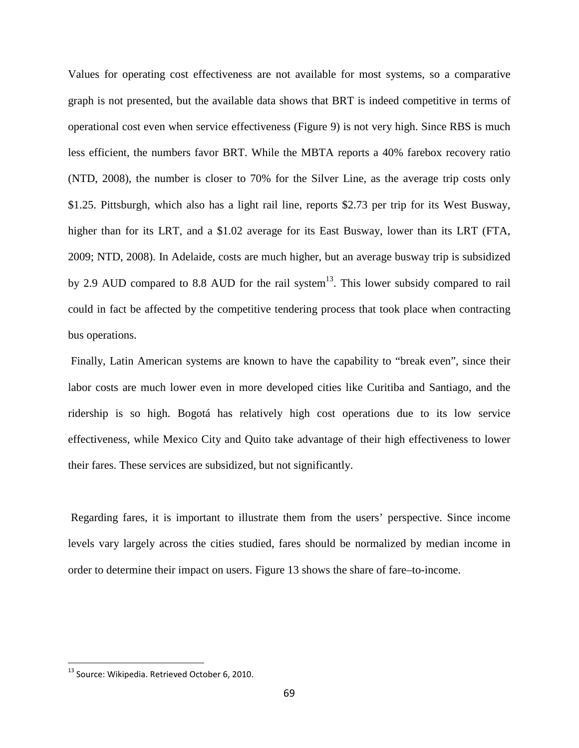Values for operating cost effectiveness are not available for most systems, so a comparative graph is not presented, but the available data shows that BRT is indeed competitive in terms of operational cost even when service effectiveness (Figure 9) is not very high. Since RBS is much less efficient, the numbers favor BRT. While the MBTA reports a 40% farebox recovery ratio (NTD, 2008), the number is closer to 70% for the Silver Line, as the average trip costs only \$1.25. Pittsburgh, which also has a light rail line, reports \$2.73 per trip for its West Busway, higher than for its LRT, and a \$1.02 average for its East Busway, lower than its LRT (FTA, 2009; NTD, 2008). In Adelaide, costs are much higher, but an average busway trip is subsidized by 2.9 AUD compared to 8.8 AUD for the rail system<sup>13</sup>. This lower subsidy compared to rail could in fact be affected by the competitive tendering process that took place when contracting bus operations.

 Finally, Latin American systems are known to have the capability to "break even", since their labor costs are much lower even in more developed cities like Curitiba and Santiago, and the ridership is so high. Bogotá has relatively high cost operations due to its low service effectiveness, while Mexico City and Quito take advantage of their high effectiveness to lower their fares. These services are subsidized, but not significantly.

 Regarding fares, it is important to illustrate them from the users' perspective. Since income levels vary largely across the cities studied, fares should be normalized by median income in order to determine their impact on users. Figure 13 shows the share of fare–to-income.

1

<sup>&</sup>lt;sup>13</sup> Source: Wikipedia. Retrieved October 6, 2010.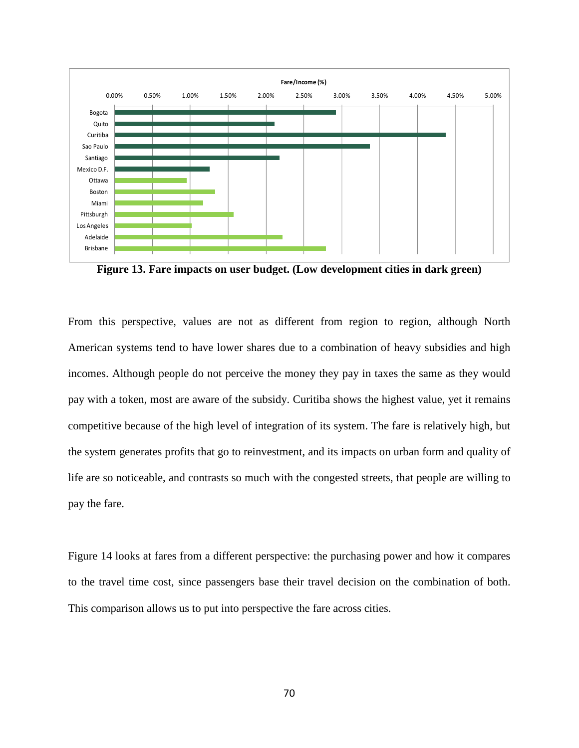

**Figure 13. Fare impacts on user budget. (Low development cities in dark green)**

From this perspective, values are not as different from region to region, although North American systems tend to have lower shares due to a combination of heavy subsidies and high incomes. Although people do not perceive the money they pay in taxes the same as they would pay with a token, most are aware of the subsidy. Curitiba shows the highest value, yet it remains competitive because of the high level of integration of its system. The fare is relatively high, but the system generates profits that go to reinvestment, and its impacts on urban form and quality of life are so noticeable, and contrasts so much with the congested streets, that people are willing to pay the fare.

Figure 14 looks at fares from a different perspective: the purchasing power and how it compares to the travel time cost, since passengers base their travel decision on the combination of both. This comparison allows us to put into perspective the fare across cities.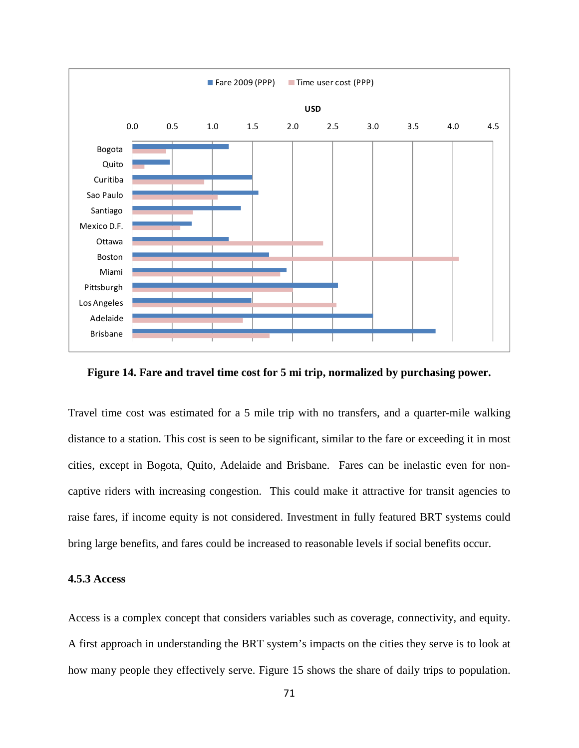

**Figure 14. Fare and travel time cost for 5 mi trip, normalized by purchasing power.** 

Travel time cost was estimated for a 5 mile trip with no transfers, and a quarter-mile walking distance to a station. This cost is seen to be significant, similar to the fare or exceeding it in most cities, except in Bogota, Quito, Adelaide and Brisbane. Fares can be inelastic even for noncaptive riders with increasing congestion. This could make it attractive for transit agencies to raise fares, if income equity is not considered. Investment in fully featured BRT systems could bring large benefits, and fares could be increased to reasonable levels if social benefits occur.

## **4.5.3 Access**

Access is a complex concept that considers variables such as coverage, connectivity, and equity. A first approach in understanding the BRT system's impacts on the cities they serve is to look at how many people they effectively serve. Figure 15 shows the share of daily trips to population.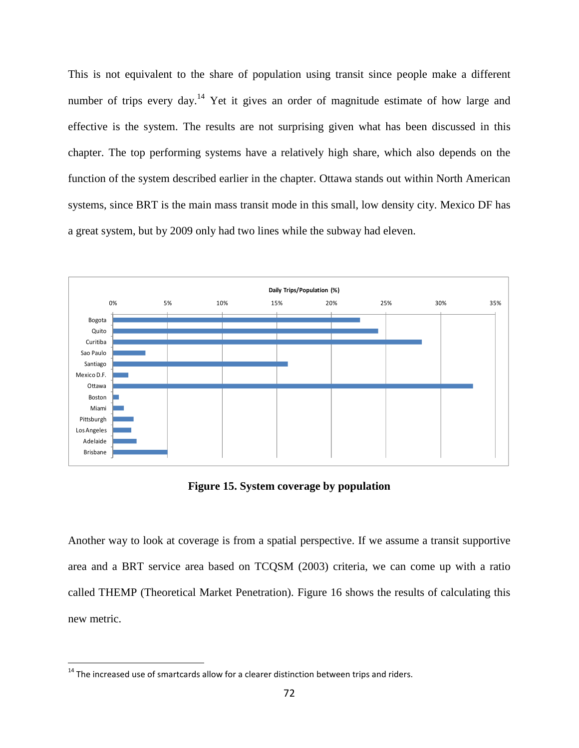This is not equivalent to the share of population using transit since people make a different number of trips every day.<sup>14</sup> Yet it gives an order of magnitude estimate of how large and effective is the system. The results are not surprising given what has been discussed in this chapter. The top performing systems have a relatively high share, which also depends on the function of the system described earlier in the chapter. Ottawa stands out within North American systems, since BRT is the main mass transit mode in this small, low density city. Mexico DF has a great system, but by 2009 only had two lines while the subway had eleven.



**Figure 15. System coverage by population** 

Another way to look at coverage is from a spatial perspective. If we assume a transit supportive area and a BRT service area based on TCQSM (2003) criteria, we can come up with a ratio called THEMP (Theoretical Market Penetration). Figure 16 shows the results of calculating this new metric.

1

 $14$  The increased use of smartcards allow for a clearer distinction between trips and riders.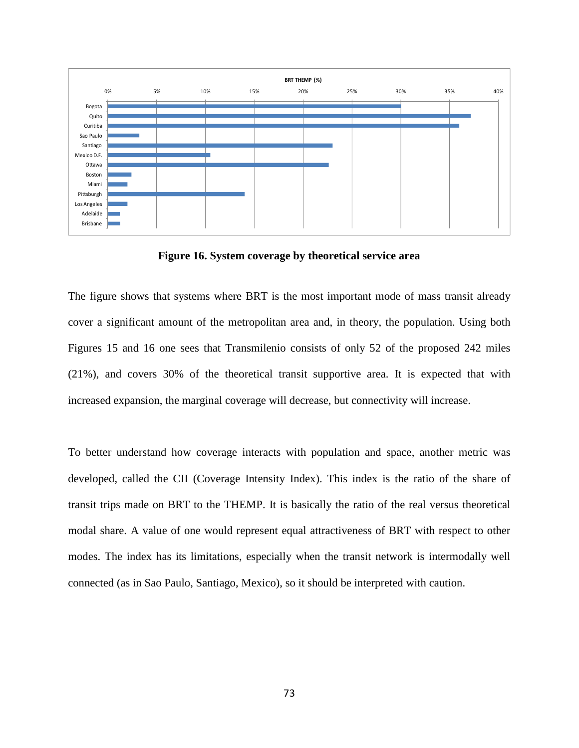

**Figure 16. System coverage by theoretical service area** 

The figure shows that systems where BRT is the most important mode of mass transit already cover a significant amount of the metropolitan area and, in theory, the population. Using both Figures 15 and 16 one sees that Transmilenio consists of only 52 of the proposed 242 miles (21%), and covers 30% of the theoretical transit supportive area. It is expected that with increased expansion, the marginal coverage will decrease, but connectivity will increase.

To better understand how coverage interacts with population and space, another metric was developed, called the CII (Coverage Intensity Index). This index is the ratio of the share of transit trips made on BRT to the THEMP. It is basically the ratio of the real versus theoretical modal share. A value of one would represent equal attractiveness of BRT with respect to other modes. The index has its limitations, especially when the transit network is intermodally well connected (as in Sao Paulo, Santiago, Mexico), so it should be interpreted with caution.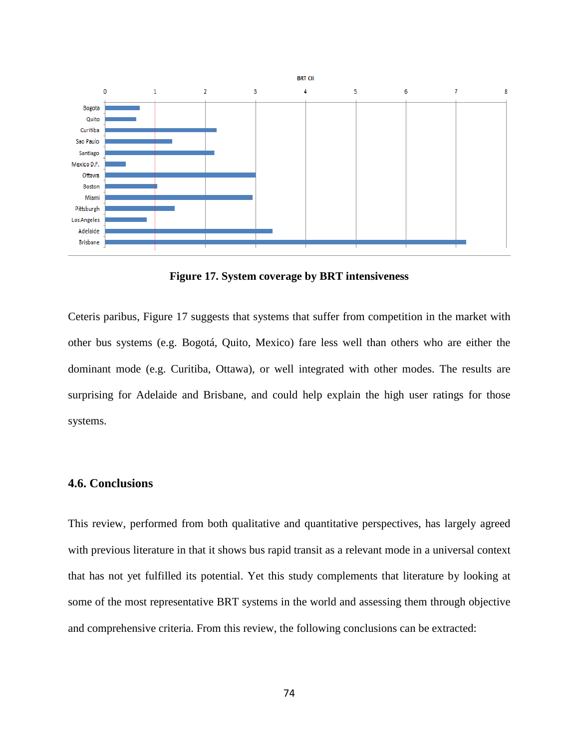

**Figure 17. System coverage by BRT intensiveness** 

Ceteris paribus, Figure 17 suggests that systems that suffer from competition in the market with other bus systems (e.g. Bogotá, Quito, Mexico) fare less well than others who are either the dominant mode (e.g. Curitiba, Ottawa), or well integrated with other modes. The results are surprising for Adelaide and Brisbane, and could help explain the high user ratings for those systems.

## **4.6. Conclusions**

This review, performed from both qualitative and quantitative perspectives, has largely agreed with previous literature in that it shows bus rapid transit as a relevant mode in a universal context that has not yet fulfilled its potential. Yet this study complements that literature by looking at some of the most representative BRT systems in the world and assessing them through objective and comprehensive criteria. From this review, the following conclusions can be extracted: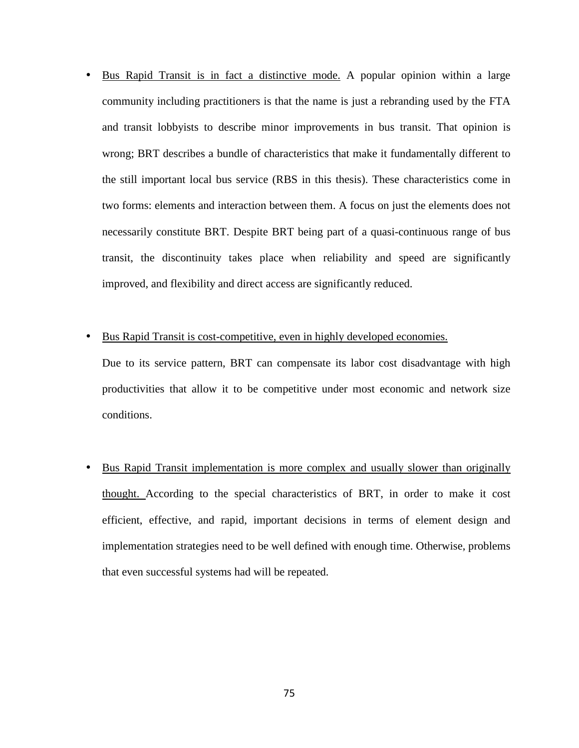- Bus Rapid Transit is in fact a distinctive mode. A popular opinion within a large community including practitioners is that the name is just a rebranding used by the FTA and transit lobbyists to describe minor improvements in bus transit. That opinion is wrong; BRT describes a bundle of characteristics that make it fundamentally different to the still important local bus service (RBS in this thesis). These characteristics come in two forms: elements and interaction between them. A focus on just the elements does not necessarily constitute BRT. Despite BRT being part of a quasi-continuous range of bus transit, the discontinuity takes place when reliability and speed are significantly improved, and flexibility and direct access are significantly reduced.
- Bus Rapid Transit is cost-competitive, even in highly developed economies.

Due to its service pattern, BRT can compensate its labor cost disadvantage with high productivities that allow it to be competitive under most economic and network size conditions.

• Bus Rapid Transit implementation is more complex and usually slower than originally thought. According to the special characteristics of BRT, in order to make it cost efficient, effective, and rapid, important decisions in terms of element design and implementation strategies need to be well defined with enough time. Otherwise, problems that even successful systems had will be repeated.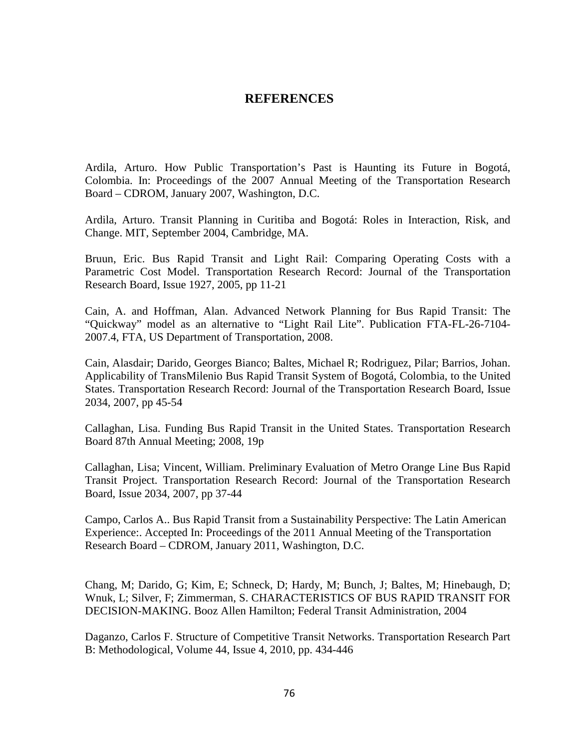## **REFERENCES**

Ardila, Arturo. How Public Transportation's Past is Haunting its Future in Bogotá, Colombia. In: Proceedings of the 2007 Annual Meeting of the Transportation Research Board – CDROM, January 2007, Washington, D.C.

Ardila, Arturo. Transit Planning in Curitiba and Bogotá: Roles in Interaction, Risk, and Change. MIT, September 2004, Cambridge, MA.

Bruun, Eric. Bus Rapid Transit and Light Rail: Comparing Operating Costs with a Parametric Cost Model. Transportation Research Record: Journal of the Transportation Research Board, Issue 1927, 2005, pp 11-21

Cain, A. and Hoffman, Alan. Advanced Network Planning for Bus Rapid Transit: The "Quickway" model as an alternative to "Light Rail Lite". Publication FTA-FL-26-7104- 2007.4, FTA, US Department of Transportation, 2008.

Cain, Alasdair; Darido, Georges Bianco; Baltes, Michael R; Rodriguez, Pilar; Barrios, Johan. Applicability of TransMilenio Bus Rapid Transit System of Bogotá, Colombia, to the United States. Transportation Research Record: Journal of the Transportation Research Board, Issue 2034, 2007, pp 45-54

Callaghan, Lisa. Funding Bus Rapid Transit in the United States. Transportation Research Board 87th Annual Meeting; 2008, 19p

Callaghan, Lisa; Vincent, William. Preliminary Evaluation of Metro Orange Line Bus Rapid Transit Project. Transportation Research Record: Journal of the Transportation Research Board, Issue 2034, 2007, pp 37-44

Campo, Carlos A.. Bus Rapid Transit from a Sustainability Perspective: The Latin American Experience:. Accepted In: Proceedings of the 2011 Annual Meeting of the Transportation Research Board – CDROM, January 2011, Washington, D.C.

Chang, M; Darido, G; Kim, E; Schneck, D; Hardy, M; Bunch, J; Baltes, M; Hinebaugh, D; Wnuk, L; Silver, F; Zimmerman, S. CHARACTERISTICS OF BUS RAPID TRANSIT FOR DECISION-MAKING. Booz Allen Hamilton; Federal Transit Administration, 2004

Daganzo, Carlos F. Structure of Competitive Transit Networks. Transportation Research Part B: Methodological, Volume 44, Issue 4, 2010, pp. 434-446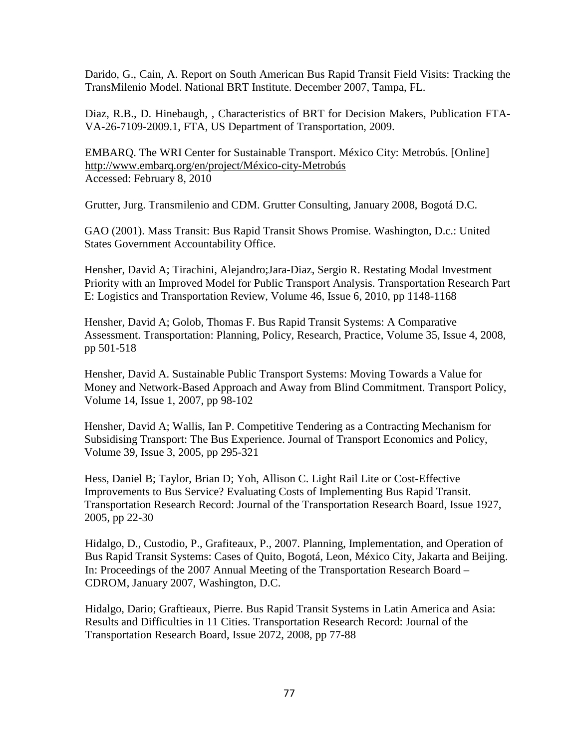Darido, G., Cain, A. Report on South American Bus Rapid Transit Field Visits: Tracking the TransMilenio Model. National BRT Institute. December 2007, Tampa, FL.

Diaz, R.B., D. Hinebaugh, , Characteristics of BRT for Decision Makers, Publication FTA-VA-26-7109-2009.1, FTA, US Department of Transportation, 2009.

EMBARQ. The WRI Center for Sustainable Transport. México City: Metrobús. [Online] http://www.embarq.org/en/project/México-city-Metrobús Accessed: February 8, 2010

Grutter, Jurg. Transmilenio and CDM. Grutter Consulting, January 2008, Bogotá D.C.

GAO (2001). Mass Transit: Bus Rapid Transit Shows Promise. Washington, D.c.: United States Government Accountability Office.

Hensher, David A; Tirachini, Alejandro;Jara-Diaz, Sergio R. Restating Modal Investment Priority with an Improved Model for Public Transport Analysis. Transportation Research Part E: Logistics and Transportation Review, Volume 46, Issue 6, 2010, pp 1148-1168

Hensher, David A; Golob, Thomas F. Bus Rapid Transit Systems: A Comparative Assessment. Transportation: Planning, Policy, Research, Practice, Volume 35, Issue 4, 2008, pp 501-518

Hensher, David A. Sustainable Public Transport Systems: Moving Towards a Value for Money and Network-Based Approach and Away from Blind Commitment. Transport Policy, Volume 14, Issue 1, 2007, pp 98-102

Hensher, David A; Wallis, Ian P. Competitive Tendering as a Contracting Mechanism for Subsidising Transport: The Bus Experience. Journal of Transport Economics and Policy, Volume 39, Issue 3, 2005, pp 295-321

Hess, Daniel B; Taylor, Brian D; Yoh, Allison C. Light Rail Lite or Cost-Effective Improvements to Bus Service? Evaluating Costs of Implementing Bus Rapid Transit. Transportation Research Record: Journal of the Transportation Research Board, Issue 1927, 2005, pp 22-30

Hidalgo, D., Custodio, P., Grafiteaux, P., 2007. Planning, Implementation, and Operation of Bus Rapid Transit Systems: Cases of Quito, Bogotá, Leon, México City, Jakarta and Beijing. In: Proceedings of the 2007 Annual Meeting of the Transportation Research Board – CDROM, January 2007, Washington, D.C.

Hidalgo, Dario; Graftieaux, Pierre. Bus Rapid Transit Systems in Latin America and Asia: Results and Difficulties in 11 Cities. Transportation Research Record: Journal of the Transportation Research Board, Issue 2072, 2008, pp 77-88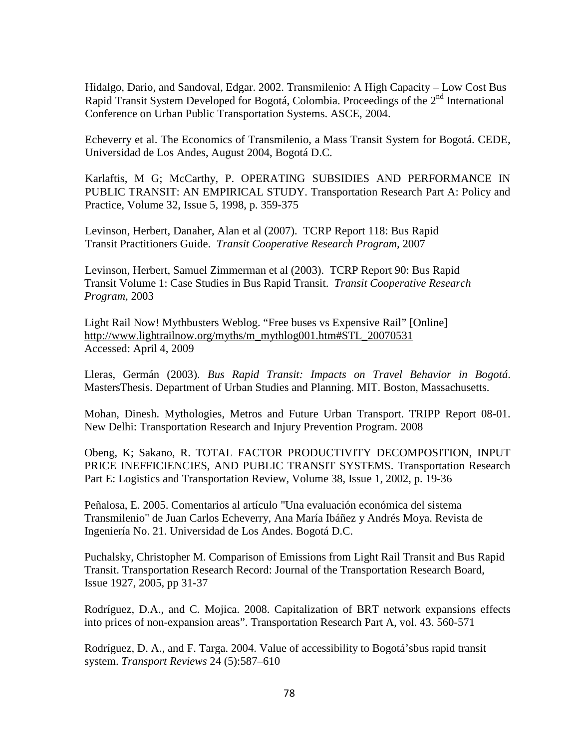Hidalgo, Dario, and Sandoval, Edgar. 2002. Transmilenio: A High Capacity – Low Cost Bus Rapid Transit System Developed for Bogotá, Colombia. Proceedings of the  $2<sup>nd</sup>$  International Conference on Urban Public Transportation Systems. ASCE, 2004.

Echeverry et al. The Economics of Transmilenio, a Mass Transit System for Bogotá. CEDE, Universidad de Los Andes, August 2004, Bogotá D.C.

Karlaftis, M G; McCarthy, P. OPERATING SUBSIDIES AND PERFORMANCE IN PUBLIC TRANSIT: AN EMPIRICAL STUDY. Transportation Research Part A: Policy and Practice, Volume 32, Issue 5, 1998, p. 359-375

Levinson, Herbert, Danaher, Alan et al (2007). TCRP Report 118: Bus Rapid Transit Practitioners Guide. *Transit Cooperative Research Program,* 2007

Levinson, Herbert, Samuel Zimmerman et al (2003). TCRP Report 90: Bus Rapid Transit Volume 1: Case Studies in Bus Rapid Transit. *Transit Cooperative Research Program,* 2003

Light Rail Now! Mythbusters Weblog. "Free buses vs Expensive Rail" [Online] http://www.lightrailnow.org/myths/m\_mythlog001.htm#STL\_20070531 Accessed: April 4, 2009

Lleras, Germán (2003). *Bus Rapid Transit: Impacts on Travel Behavior in Bogotá*. MastersThesis. Department of Urban Studies and Planning. MIT. Boston, Massachusetts.

Mohan, Dinesh. Mythologies, Metros and Future Urban Transport. TRIPP Report 08-01. New Delhi: Transportation Research and Injury Prevention Program. 2008

Obeng, K; Sakano, R. TOTAL FACTOR PRODUCTIVITY DECOMPOSITION, INPUT PRICE INEFFICIENCIES, AND PUBLIC TRANSIT SYSTEMS. Transportation Research Part E: Logistics and Transportation Review, Volume 38, Issue 1, 2002, p. 19-36

Peñalosa, E. 2005. Comentarios al artículo "Una evaluación económica del sistema Transmilenio" de Juan Carlos Echeverry, Ana María Ibáñez y Andrés Moya. Revista de Ingeniería No. 21. Universidad de Los Andes. Bogotá D.C.

Puchalsky, Christopher M. Comparison of Emissions from Light Rail Transit and Bus Rapid Transit. Transportation Research Record: Journal of the Transportation Research Board, Issue 1927, 2005, pp 31-37

Rodríguez, D.A., and C. Mojica. 2008. Capitalization of BRT network expansions effects into prices of non-expansion areas". Transportation Research Part A, vol. 43. 560-571

Rodríguez, D. A., and F. Targa. 2004. Value of accessibility to Bogotá'sbus rapid transit system. *Transport Reviews* 24 (5):587–610